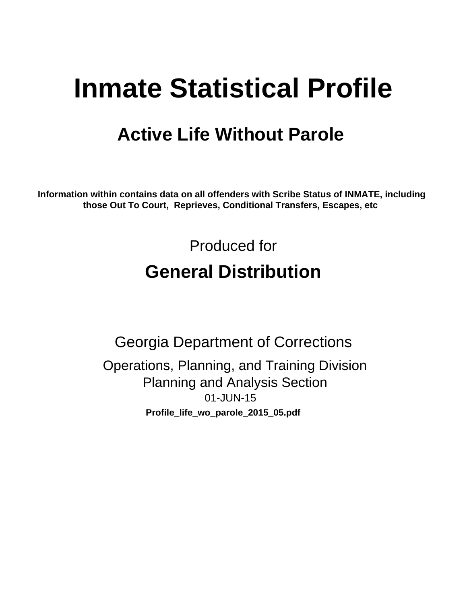# **Inmate Statistical Profile**

## **Active Life Without Parole**

Information within contains data on all offenders with Scribe Status of INMATE, including those Out To Court, Reprieves, Conditional Transfers, Escapes, etc

> Produced for **General Distribution**

**Georgia Department of Corrections** Operations, Planning, and Training Division **Planning and Analysis Section** 01-JUN-15 Profile\_life\_wo\_parole\_2015\_05.pdf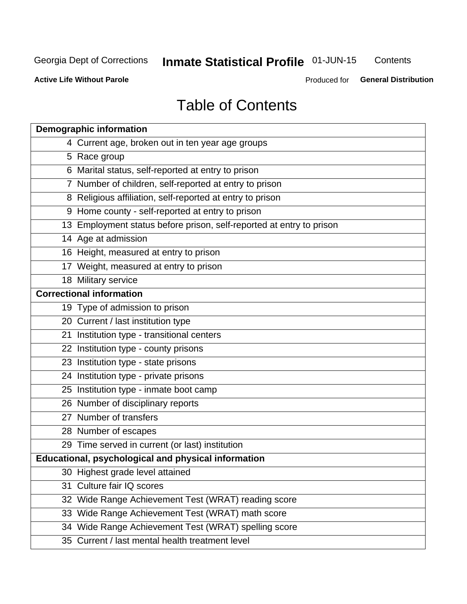## **Inmate Statistical Profile 01-JUN-15**

Contents

**Active Life Without Parole** 

Produced for General Distribution

## **Table of Contents**

|    | <b>Demographic information</b>                                       |
|----|----------------------------------------------------------------------|
|    | 4 Current age, broken out in ten year age groups                     |
|    | 5 Race group                                                         |
|    | 6 Marital status, self-reported at entry to prison                   |
|    | 7 Number of children, self-reported at entry to prison               |
|    | 8 Religious affiliation, self-reported at entry to prison            |
|    | 9 Home county - self-reported at entry to prison                     |
|    | 13 Employment status before prison, self-reported at entry to prison |
|    | 14 Age at admission                                                  |
|    | 16 Height, measured at entry to prison                               |
|    | 17 Weight, measured at entry to prison                               |
|    | 18 Military service                                                  |
|    | <b>Correctional information</b>                                      |
|    | 19 Type of admission to prison                                       |
|    | 20 Current / last institution type                                   |
|    | 21 Institution type - transitional centers                           |
|    | 22 Institution type - county prisons                                 |
|    | 23 Institution type - state prisons                                  |
|    | 24 Institution type - private prisons                                |
|    | 25 Institution type - inmate boot camp                               |
|    | 26 Number of disciplinary reports                                    |
|    | 27 Number of transfers                                               |
|    | 28 Number of escapes                                                 |
|    | 29 Time served in current (or last) institution                      |
|    | <b>Educational, psychological and physical information</b>           |
|    | 30 Highest grade level attained                                      |
| 31 | Culture fair IQ scores                                               |
|    | 32 Wide Range Achievement Test (WRAT) reading score                  |
|    | 33 Wide Range Achievement Test (WRAT) math score                     |
|    | 34 Wide Range Achievement Test (WRAT) spelling score                 |
|    | 35 Current / last mental health treatment level                      |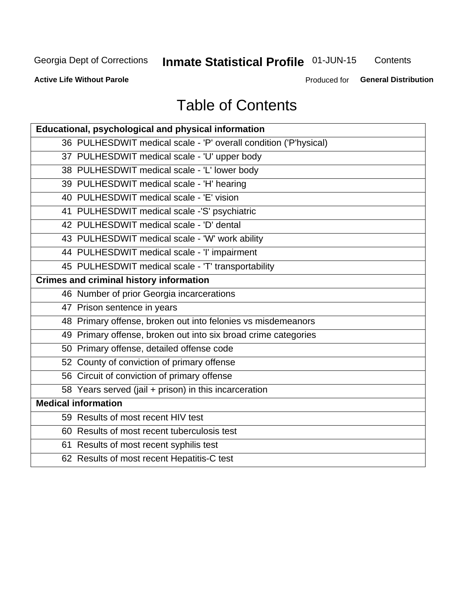## **Inmate Statistical Profile 01-JUN-15**

Contents

**Active Life Without Parole** 

Produced for General Distribution

## **Table of Contents**

| <b>Educational, psychological and physical information</b>       |
|------------------------------------------------------------------|
| 36 PULHESDWIT medical scale - 'P' overall condition ('P'hysical) |
| 37 PULHESDWIT medical scale - 'U' upper body                     |
| 38 PULHESDWIT medical scale - 'L' lower body                     |
| 39 PULHESDWIT medical scale - 'H' hearing                        |
| 40 PULHESDWIT medical scale - 'E' vision                         |
| 41 PULHESDWIT medical scale -'S' psychiatric                     |
| 42 PULHESDWIT medical scale - 'D' dental                         |
| 43 PULHESDWIT medical scale - 'W' work ability                   |
| 44 PULHESDWIT medical scale - 'I' impairment                     |
| 45 PULHESDWIT medical scale - 'T' transportability               |
| <b>Crimes and criminal history information</b>                   |
| 46 Number of prior Georgia incarcerations                        |
| 47 Prison sentence in years                                      |
| 48 Primary offense, broken out into felonies vs misdemeanors     |
| 49 Primary offense, broken out into six broad crime categories   |
| 50 Primary offense, detailed offense code                        |
| 52 County of conviction of primary offense                       |
| 56 Circuit of conviction of primary offense                      |
| 58 Years served (jail + prison) in this incarceration            |
| <b>Medical information</b>                                       |
| 59 Results of most recent HIV test                               |
| 60 Results of most recent tuberculosis test                      |
| 61 Results of most recent syphilis test                          |
| 62 Results of most recent Hepatitis-C test                       |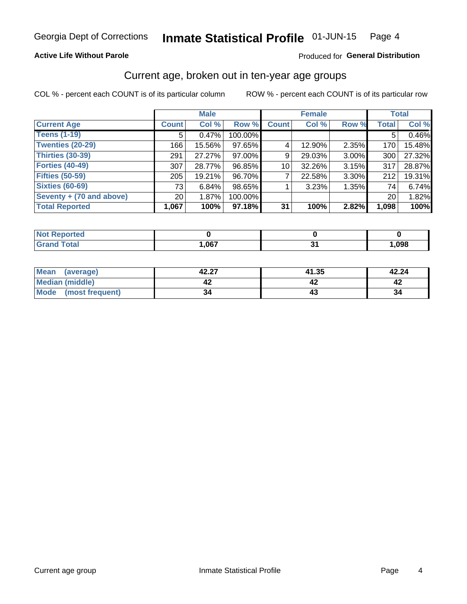### **Active Life Without Parole**

### Produced for General Distribution

## Current age, broken out in ten-year age groups

COL % - percent each COUNT is of its particular column

|                          | <b>Male</b>     |        |         |                 | <b>Female</b> |          |              | <b>Total</b> |
|--------------------------|-----------------|--------|---------|-----------------|---------------|----------|--------------|--------------|
| <b>Current Age</b>       | <b>Count</b>    | Col %  | Row %   | <b>Count</b>    | Col %         | Row %    | <b>Total</b> | Col %        |
| <b>Teens (1-19)</b>      | 5               | 0.47%  | 100.00% |                 |               |          | 5            | 0.46%        |
| <b>Twenties (20-29)</b>  | 166             | 15.56% | 97.65%  | 4               | 12.90%        | $2.35\%$ | 170          | 15.48%       |
| Thirties (30-39)         | 291             | 27.27% | 97.00%  | 9               | 29.03%        | 3.00%    | 300          | 27.32%       |
| <b>Forties (40-49)</b>   | 307             | 28.77% | 96.85%  | 10 <sup>1</sup> | 32.26%        | 3.15%    | 317          | 28.87%       |
| <b>Fifties (50-59)</b>   | 205             | 19.21% | 96.70%  |                 | 22.58%        | 3.30%    | 212          | 19.31%       |
| <b>Sixties (60-69)</b>   | 73              | 6.84%  | 98.65%  |                 | 3.23%         | 1.35%    | 74 l         | 6.74%        |
| Seventy + (70 and above) | 20 <sub>1</sub> | 1.87%  | 100.00% |                 |               |          | 20           | 1.82%        |
| <b>Total Reported</b>    | 1,067           | 100%   | 97.18%  | 31              | 100%          | 2.82%    | 1,098        | 100%         |

| <b><i>Continued in the Continued</i></b><br>тек |       |        |      |
|-------------------------------------------------|-------|--------|------|
| $f \circ f \circ f$                             | 1,067 | $\sim$ | ,098 |

| Mean<br>(average)      | 42.27 | 41.35 | 42.24 |
|------------------------|-------|-------|-------|
| <b>Median (middle)</b> |       |       |       |
| Mode (most frequent)   | 34    |       | 34    |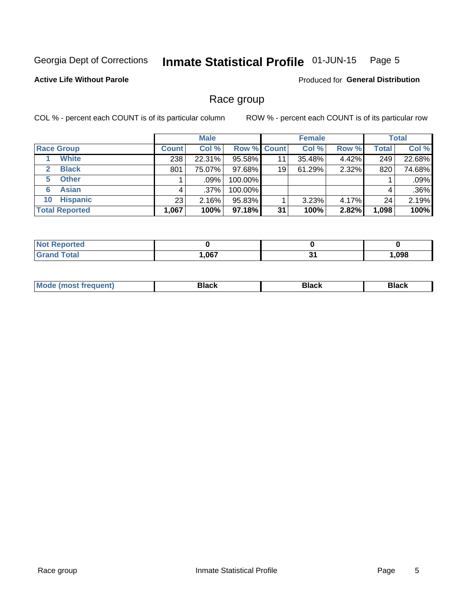#### Inmate Statistical Profile 01-JUN-15 Page 5

## **Active Life Without Parole**

**Produced for General Distribution** 

## Race group

COL % - percent each COUNT is of its particular column

|                              | <b>Male</b>  |         |                    | <b>Female</b> |        |       | <b>Total</b> |        |
|------------------------------|--------------|---------|--------------------|---------------|--------|-------|--------------|--------|
| <b>Race Group</b>            | <b>Count</b> | Col %   | <b>Row % Count</b> |               | Col %  | Row % | <b>Total</b> | Col %  |
| <b>White</b>                 | 238          | 22.31%  | 95.58%             | 11            | 35.48% | 4.42% | 249          | 22.68% |
| <b>Black</b><br>$\mathbf{2}$ | 801          | 75.07%  | 97.68%             | 19            | 61.29% | 2.32% | 820          | 74.68% |
| <b>Other</b><br>5.           |              | $.09\%$ | 100.00%            |               |        |       |              | .09%   |
| <b>Asian</b><br>6            | 4            | $.37\%$ | 100.00%            |               |        |       | 4            | .36%   |
| <b>Hispanic</b><br>10        | 23           | 2.16%   | 95.83%             |               | 3.23%  | 4.17% | 24           | 2.19%  |
| <b>Total Reported</b>        | 1,067        | 100%    | $97.18\%$          | 31            | 100%   | 2.82% | 1,098        | 100%   |

| Reported     |      |        |       |
|--------------|------|--------|-------|
| <b>Total</b> | ,067 | $\sim$ | 1,098 |

| M |  |  |
|---|--|--|
|   |  |  |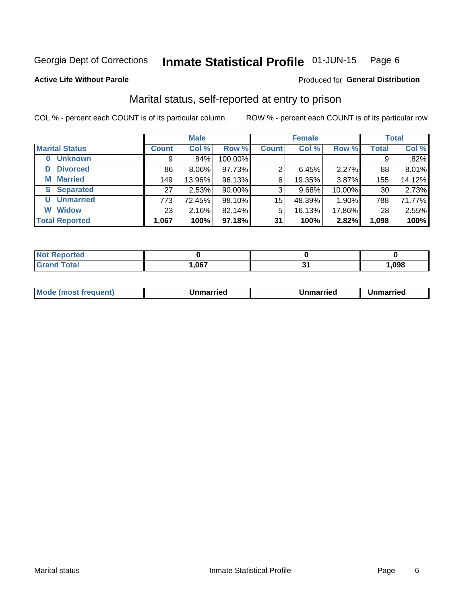#### Inmate Statistical Profile 01-JUN-15 Page 6

### **Active Life Without Parole**

### Produced for General Distribution

## Marital status, self-reported at entry to prison

COL % - percent each COUNT is of its particular column

|                            |                 | <b>Male</b> |         |              | <b>Female</b> |        |              | <b>Total</b> |
|----------------------------|-----------------|-------------|---------|--------------|---------------|--------|--------------|--------------|
| <b>Marital Status</b>      | <b>Count</b>    | Col %       | Row %   | <b>Count</b> | Col %         | Row %  | <b>Total</b> | Col %        |
| <b>Unknown</b><br>$\bf{0}$ | 9               | .84%        | 100.00% |              |               |        | 9            | .82%         |
| <b>Divorced</b><br>D       | 86              | $8.06\%$    | 97.73%  | 2            | 6.45%         | 2.27%  | 88           | 8.01%        |
| <b>Married</b><br>М        | 149             | 13.96%      | 96.13%  | 6            | 19.35%        | 3.87%  | 155          | 14.12%       |
| <b>Separated</b><br>S      | 27              | 2.53%       | 90.00%  | 3            | 9.68%         | 10.00% | 30           | 2.73%        |
| <b>Unmarried</b><br>U      | 773             | 72.45%      | 98.10%  | 15           | 48.39%        | 1.90%  | 788          | 71.77%       |
| <b>Widow</b><br>W          | 23 <sub>1</sub> | 2.16%       | 82.14%  | 5            | 16.13%        | 17.86% | 28           | 2.55%        |
| <b>Total Reported</b>      | 1,067           | 100%        | 97.18%  | 31           | 100%          | 2.82%  | 1,098        | 100%         |

| rtea<br>NO |      |      |
|------------|------|------|
|            | ,067 | .098 |

|  | M | . | Unmarried | າmarried<br>_____ |
|--|---|---|-----------|-------------------|
|--|---|---|-----------|-------------------|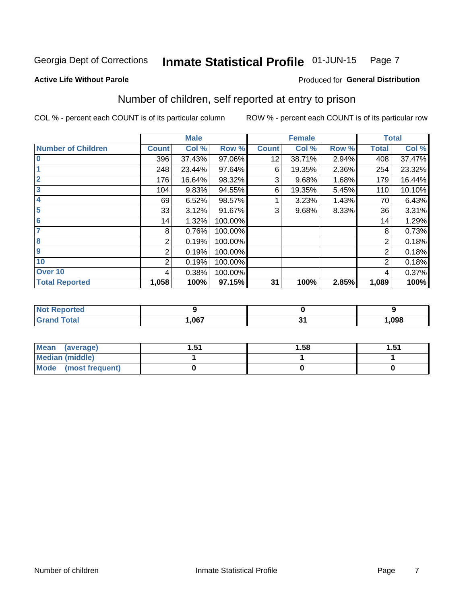#### Inmate Statistical Profile 01-JUN-15 Page 7

#### **Active Life Without Parole**

## **Produced for General Distribution**

## Number of children, self reported at entry to prison

COL % - percent each COUNT is of its particular column

|                           |                | <b>Male</b> |         |              | <b>Female</b> |       |                | <b>Total</b> |
|---------------------------|----------------|-------------|---------|--------------|---------------|-------|----------------|--------------|
| <b>Number of Children</b> | <b>Count</b>   | Col %       | Row %   | <b>Count</b> | Col %         | Row % | <b>Total</b>   | Col %        |
| $\bf{0}$                  | 396            | 37.43%      | 97.06%  | 12           | 38.71%        | 2.94% | 408            | 37.47%       |
|                           | 248            | 23.44%      | 97.64%  | 6            | 19.35%        | 2.36% | 254            | 23.32%       |
| $\overline{2}$            | 176            | 16.64%      | 98.32%  | 3            | 9.68%         | 1.68% | 179            | 16.44%       |
| 3                         | 104            | 9.83%       | 94.55%  | 6            | 19.35%        | 5.45% | 110            | 10.10%       |
| 4                         | 69             | 6.52%       | 98.57%  |              | 3.23%         | 1.43% | 70             | 6.43%        |
| 5                         | 33             | 3.12%       | 91.67%  | 3            | 9.68%         | 8.33% | 36             | 3.31%        |
| $6\phantom{1}6$           | 14             | 1.32%       | 100.00% |              |               |       | 14             | 1.29%        |
| 7                         | 8              | 0.76%       | 100.00% |              |               |       | 8              | 0.73%        |
| $\overline{\mathbf{8}}$   | 2              | 0.19%       | 100.00% |              |               |       | 2              | 0.18%        |
| $\boldsymbol{9}$          | 2              | 0.19%       | 100.00% |              |               |       | 2              | 0.18%        |
| 10                        | $\overline{2}$ | 0.19%       | 100.00% |              |               |       | $\overline{2}$ | 0.18%        |
| Over 10                   | 4              | 0.38%       | 100.00% |              |               |       | 4              | 0.37%        |
| <b>Total Reported</b>     | 1,058          | 100%        | 97.15%  | 31           | 100%          | 2.85% | 1,089          | 100%         |

| теа               |      |                              |      |
|-------------------|------|------------------------------|------|
| $F \sim 4 \sim 7$ | ,067 | $\sim$ .<br>. .<br>$\cdot$ . | ,098 |

| Mean (average)         | -51<br>ا ب. | 1.58 | -51<br>J |
|------------------------|-------------|------|----------|
| <b>Median (middle)</b> |             |      |          |
| Mode (most frequent)   |             |      |          |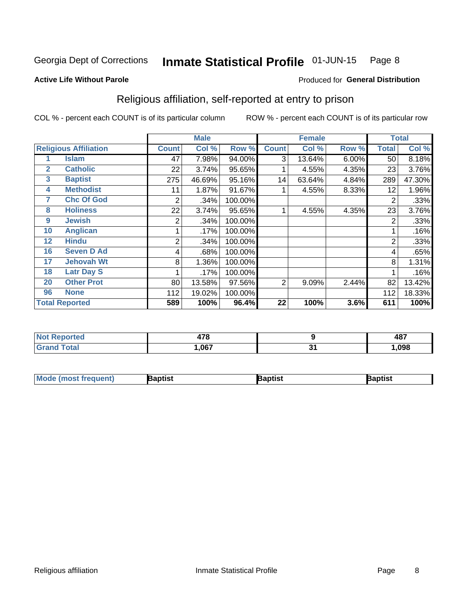#### Inmate Statistical Profile 01-JUN-15 Page 8

#### **Active Life Without Parole**

### Produced for General Distribution

## Religious affiliation, self-reported at entry to prison

COL % - percent each COUNT is of its particular column

|              |                              | <b>Male</b>  |        |         | <b>Female</b> |        |       | <b>Total</b>   |        |
|--------------|------------------------------|--------------|--------|---------|---------------|--------|-------|----------------|--------|
|              | <b>Religious Affiliation</b> | <b>Count</b> | Col %  | Row %   | <b>Count</b>  | Col %  | Row % | <b>Total</b>   | Col %  |
|              | <b>Islam</b>                 | 47           | 7.98%  | 94.00%  | 3             | 13.64% | 6.00% | 50             | 8.18%  |
| $\mathbf{2}$ | <b>Catholic</b>              | 22           | 3.74%  | 95.65%  |               | 4.55%  | 4.35% | 23             | 3.76%  |
| 3            | <b>Baptist</b>               | 275          | 46.69% | 95.16%  | 14            | 63.64% | 4.84% | 289            | 47.30% |
| 4            | <b>Methodist</b>             | 11           | 1.87%  | 91.67%  |               | 4.55%  | 8.33% | 12             | 1.96%  |
| 7            | <b>Chc Of God</b>            | 2            | .34%   | 100.00% |               |        |       | 2              | .33%   |
| 8            | <b>Holiness</b>              | 22           | 3.74%  | 95.65%  |               | 4.55%  | 4.35% | 23             | 3.76%  |
| 9            | <b>Jewish</b>                | 2            | .34%   | 100.00% |               |        |       | $\overline{2}$ | .33%   |
| 10           | <b>Anglican</b>              |              | .17%   | 100.00% |               |        |       |                | .16%   |
| 12           | <b>Hindu</b>                 | 2            | .34%   | 100.00% |               |        |       | $\overline{2}$ | .33%   |
| 16           | <b>Seven D Ad</b>            | 4            | .68%   | 100.00% |               |        |       | 4              | .65%   |
| 17           | <b>Jehovah Wt</b>            | 8            | 1.36%  | 100.00% |               |        |       | 8              | 1.31%  |
| 18           | <b>Latr Day S</b>            |              | .17%   | 100.00% |               |        |       |                | .16%   |
| 20           | <b>Other Prot</b>            | 80           | 13.58% | 97.56%  | 2             | 9.09%  | 2.44% | 82             | 13.42% |
| 96           | <b>None</b>                  | 112          | 19.02% | 100.00% |               |        |       | 112            | 18.33% |
|              | <b>Total Reported</b>        | 589          | 100%   | 96.4%   | 22            | 100%   | 3.6%  | 611            | 100%   |

| <b>NOT Reported</b> | 170  |          | 487  |
|---------------------|------|----------|------|
| <b>Total</b>        | ,067 | ີ<br>- - | .098 |

| <b>Mode (most frequent)</b> | Baptist | Baptist | Baptist |
|-----------------------------|---------|---------|---------|
|-----------------------------|---------|---------|---------|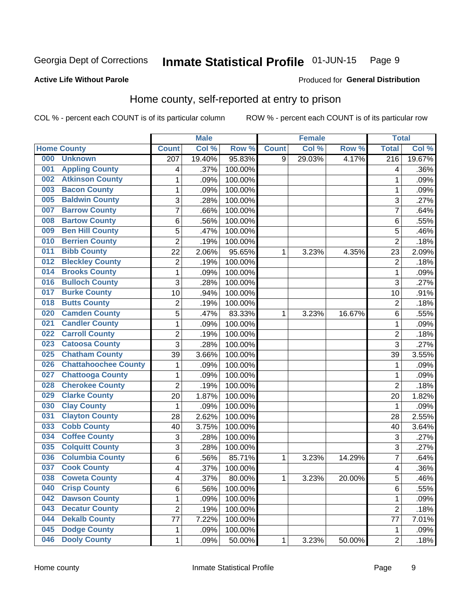#### Inmate Statistical Profile 01-JUN-15 Page 9

### **Active Life Without Parole**

#### Produced for General Distribution

## Home county, self-reported at entry to prison

COL % - percent each COUNT is of its particular column

|     |                             |                         | <b>Male</b> |         |              | <b>Female</b> |        | <b>Total</b>     |        |
|-----|-----------------------------|-------------------------|-------------|---------|--------------|---------------|--------|------------------|--------|
|     | <b>Home County</b>          | <b>Count</b>            | Col %       | Row %   | <b>Count</b> | Col %         | Row %  | <b>Total</b>     | Col %  |
| 000 | <b>Unknown</b>              | $\overline{207}$        | 19.40%      | 95.83%  | 9            | 29.03%        | 4.17%  | $\overline{216}$ | 19.67% |
| 001 | <b>Appling County</b>       | 4                       | .37%        | 100.00% |              |               |        | 4                | .36%   |
| 002 | <b>Atkinson County</b>      | 1                       | .09%        | 100.00% |              |               |        | 1                | .09%   |
| 003 | <b>Bacon County</b>         | $\mathbf 1$             | .09%        | 100.00% |              |               |        | 1                | .09%   |
| 005 | <b>Baldwin County</b>       | 3                       | .28%        | 100.00% |              |               |        | 3                | .27%   |
| 007 | <b>Barrow County</b>        | 7                       | .66%        | 100.00% |              |               |        | $\overline{7}$   | .64%   |
| 008 | <b>Bartow County</b>        | 6                       | .56%        | 100.00% |              |               |        | $\,6$            | .55%   |
| 009 | <b>Ben Hill County</b>      | 5                       | .47%        | 100.00% |              |               |        | 5                | .46%   |
| 010 | <b>Berrien County</b>       | $\overline{2}$          | .19%        | 100.00% |              |               |        | $\overline{2}$   | .18%   |
| 011 | <b>Bibb County</b>          | 22                      | 2.06%       | 95.65%  | 1            | 3.23%         | 4.35%  | 23               | 2.09%  |
| 012 | <b>Bleckley County</b>      | $\mathbf 2$             | .19%        | 100.00% |              |               |        | $\overline{2}$   | .18%   |
| 014 | <b>Brooks County</b>        | $\mathbf 1$             | .09%        | 100.00% |              |               |        | 1                | .09%   |
| 016 | <b>Bulloch County</b>       | 3                       | .28%        | 100.00% |              |               |        | 3                | .27%   |
| 017 | <b>Burke County</b>         | 10                      | .94%        | 100.00% |              |               |        | 10               | .91%   |
| 018 | <b>Butts County</b>         | $\mathbf 2$             | .19%        | 100.00% |              |               |        | $\overline{2}$   | .18%   |
| 020 | <b>Camden County</b>        | 5                       | .47%        | 83.33%  | 1            | 3.23%         | 16.67% | 6                | .55%   |
| 021 | <b>Candler County</b>       | $\mathbf 1$             | .09%        | 100.00% |              |               |        | 1                | .09%   |
| 022 | <b>Carroll County</b>       | $\overline{c}$          | .19%        | 100.00% |              |               |        | $\overline{2}$   | .18%   |
| 023 | <b>Catoosa County</b>       | 3                       | .28%        | 100.00% |              |               |        | $\overline{3}$   | .27%   |
| 025 | <b>Chatham County</b>       | 39                      | 3.66%       | 100.00% |              |               |        | 39               | 3.55%  |
| 026 | <b>Chattahoochee County</b> | $\mathbf 1$             | .09%        | 100.00% |              |               |        | 1                | .09%   |
| 027 | <b>Chattooga County</b>     | $\mathbf 1$             | .09%        | 100.00% |              |               |        | 1                | .09%   |
| 028 | <b>Cherokee County</b>      | $\overline{2}$          | .19%        | 100.00% |              |               |        | $\overline{2}$   | .18%   |
| 029 | <b>Clarke County</b>        | 20                      | 1.87%       | 100.00% |              |               |        | 20               | 1.82%  |
| 030 | <b>Clay County</b>          | 1                       | .09%        | 100.00% |              |               |        | 1                | .09%   |
| 031 | <b>Clayton County</b>       | 28                      | 2.62%       | 100.00% |              |               |        | 28               | 2.55%  |
| 033 | <b>Cobb County</b>          | 40                      | 3.75%       | 100.00% |              |               |        | 40               | 3.64%  |
| 034 | <b>Coffee County</b>        | 3                       | .28%        | 100.00% |              |               |        | 3                | .27%   |
| 035 | <b>Colquitt County</b>      | 3                       | .28%        | 100.00% |              |               |        | 3                | .27%   |
| 036 | <b>Columbia County</b>      | 6                       | .56%        | 85.71%  | 1            | 3.23%         | 14.29% | 7                | .64%   |
| 037 | <b>Cook County</b>          | 4                       | .37%        | 100.00% |              |               |        | 4                | .36%   |
| 038 | <b>Coweta County</b>        | $\overline{\mathbf{4}}$ | .37%        | 80.00%  | 1            | 3.23%         | 20.00% | 5                | .46%   |
| 040 | <b>Crisp County</b>         | 6                       | .56%        | 100.00% |              |               |        | 6                | .55%   |
| 042 | <b>Dawson County</b>        | $\mathbf 1$             | .09%        | 100.00% |              |               |        | 1                | .09%   |
| 043 | <b>Decatur County</b>       | $\overline{c}$          | .19%        | 100.00% |              |               |        | $\overline{c}$   | .18%   |
| 044 | <b>Dekalb County</b>        | 77                      | 7.22%       | 100.00% |              |               |        | 77               | 7.01%  |
| 045 | <b>Dodge County</b>         | 1                       | .09%        | 100.00% |              |               |        | 1                | .09%   |
| 046 | <b>Dooly County</b>         | $\mathbf 1$             | .09%        | 50.00%  | 1            | 3.23%         | 50.00% | $\overline{2}$   | .18%   |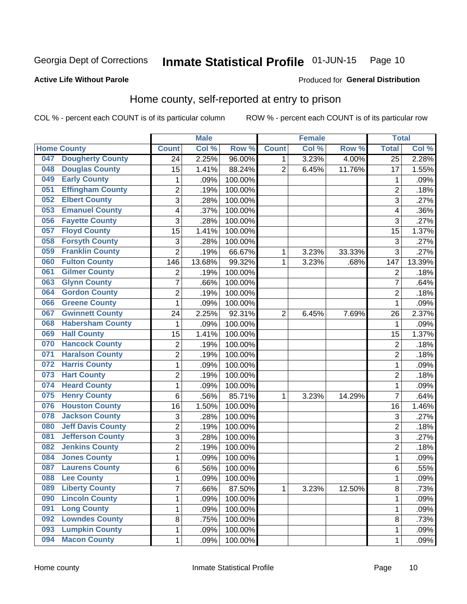#### Inmate Statistical Profile 01-JUN-15 Page 10

### **Active Life Without Parole**

## Produced for General Distribution

## Home county, self-reported at entry to prison

COL % - percent each COUNT is of its particular column

|     |                          |                | <b>Male</b> |         |                | <b>Female</b> |        | <b>Total</b>    |        |
|-----|--------------------------|----------------|-------------|---------|----------------|---------------|--------|-----------------|--------|
|     | <b>Home County</b>       | <b>Count</b>   | Col %       | Row %   | <b>Count</b>   | Col %         | Row %  | <b>Total</b>    | Col %  |
| 047 | <b>Dougherty County</b>  | 24             | 2.25%       | 96.00%  | 1              | 3.23%         | 4.00%  | $\overline{25}$ | 2.28%  |
| 048 | <b>Douglas County</b>    | 15             | 1.41%       | 88.24%  | $\overline{2}$ | 6.45%         | 11.76% | 17              | 1.55%  |
| 049 | <b>Early County</b>      | 1              | .09%        | 100.00% |                |               |        | 1               | .09%   |
| 051 | <b>Effingham County</b>  | 2              | .19%        | 100.00% |                |               |        | $\overline{2}$  | .18%   |
| 052 | <b>Elbert County</b>     | 3              | .28%        | 100.00% |                |               |        | 3               | .27%   |
| 053 | <b>Emanuel County</b>    | 4              | .37%        | 100.00% |                |               |        | 4               | .36%   |
| 056 | <b>Fayette County</b>    | 3              | .28%        | 100.00% |                |               |        | 3               | .27%   |
| 057 | <b>Floyd County</b>      | 15             | 1.41%       | 100.00% |                |               |        | 15              | 1.37%  |
| 058 | <b>Forsyth County</b>    | 3              | .28%        | 100.00% |                |               |        | 3               | .27%   |
| 059 | <b>Franklin County</b>   | $\overline{2}$ | .19%        | 66.67%  | 1              | 3.23%         | 33.33% | 3               | .27%   |
| 060 | <b>Fulton County</b>     | 146            | 13.68%      | 99.32%  | 1              | 3.23%         | .68%   | 147             | 13.39% |
| 061 | <b>Gilmer County</b>     | $\overline{2}$ | .19%        | 100.00% |                |               |        | $\overline{2}$  | .18%   |
| 063 | <b>Glynn County</b>      | $\overline{7}$ | .66%        | 100.00% |                |               |        | 7               | .64%   |
| 064 | <b>Gordon County</b>     | $\overline{2}$ | .19%        | 100.00% |                |               |        | $\overline{2}$  | .18%   |
| 066 | <b>Greene County</b>     | $\mathbf{1}$   | .09%        | 100.00% |                |               |        | 1               | .09%   |
| 067 | <b>Gwinnett County</b>   | 24             | 2.25%       | 92.31%  | 2              | 6.45%         | 7.69%  | 26              | 2.37%  |
| 068 | <b>Habersham County</b>  | 1              | .09%        | 100.00% |                |               |        | 1               | .09%   |
| 069 | <b>Hall County</b>       | 15             | 1.41%       | 100.00% |                |               |        | 15              | 1.37%  |
| 070 | <b>Hancock County</b>    | 2              | .19%        | 100.00% |                |               |        | $\overline{2}$  | .18%   |
| 071 | <b>Haralson County</b>   | $\overline{2}$ | .19%        | 100.00% |                |               |        | $\overline{2}$  | .18%   |
| 072 | <b>Harris County</b>     | $\mathbf{1}$   | .09%        | 100.00% |                |               |        | 1               | .09%   |
| 073 | <b>Hart County</b>       | $\overline{c}$ | .19%        | 100.00% |                |               |        | $\overline{2}$  | .18%   |
| 074 | <b>Heard County</b>      | $\mathbf{1}$   | .09%        | 100.00% |                |               |        | 1               | .09%   |
| 075 | <b>Henry County</b>      | $\,6$          | .56%        | 85.71%  | 1              | 3.23%         | 14.29% | $\overline{7}$  | .64%   |
| 076 | <b>Houston County</b>    | 16             | 1.50%       | 100.00% |                |               |        | 16              | 1.46%  |
| 078 | <b>Jackson County</b>    | 3              | .28%        | 100.00% |                |               |        | 3               | .27%   |
| 080 | <b>Jeff Davis County</b> | $\overline{2}$ | .19%        | 100.00% |                |               |        | $\overline{2}$  | .18%   |
| 081 | <b>Jefferson County</b>  | 3              | .28%        | 100.00% |                |               |        | 3               | .27%   |
| 082 | <b>Jenkins County</b>    | $\overline{2}$ | .19%        | 100.00% |                |               |        | $\overline{2}$  | .18%   |
| 084 | <b>Jones County</b>      | $\mathbf{1}$   | .09%        | 100.00% |                |               |        | 1               | .09%   |
| 087 | <b>Laurens County</b>    | 6              | .56%        | 100.00% |                |               |        | 6               | .55%   |
| 088 | <b>Lee County</b>        | 1              | .09%        | 100.00% |                |               |        | 1               | .09%   |
| 089 | <b>Liberty County</b>    | $\overline{7}$ | .66%        | 87.50%  | 1              | 3.23%         | 12.50% | 8               | .73%   |
| 090 | <b>Lincoln County</b>    | 1              | .09%        | 100.00% |                |               |        | 1               | .09%   |
| 091 | <b>Long County</b>       | $\mathbf{1}$   | .09%        | 100.00% |                |               |        | 1               | .09%   |
| 092 | <b>Lowndes County</b>    | 8              | .75%        | 100.00% |                |               |        | 8               | .73%   |
| 093 | <b>Lumpkin County</b>    | 1              | .09%        | 100.00% |                |               |        | 1               | .09%   |
| 094 | <b>Macon County</b>      | 1              | .09%        | 100.00% |                |               |        | 1               | .09%   |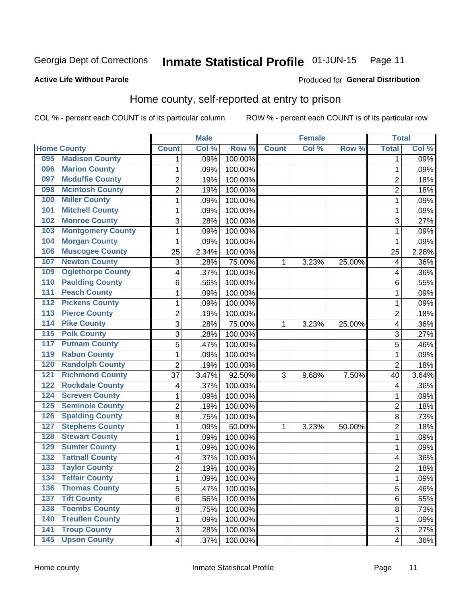#### Inmate Statistical Profile 01-JUN-15 Page 11

**Active Life Without Parole** 

### Produced for General Distribution

## Home county, self-reported at entry to prison

COL % - percent each COUNT is of its particular column

|                  |                          |                         | <b>Male</b> |         |              | <b>Female</b> |        | <b>Total</b>            |       |
|------------------|--------------------------|-------------------------|-------------|---------|--------------|---------------|--------|-------------------------|-------|
|                  | <b>Home County</b>       | <b>Count</b>            | Col %       | Row %   | <b>Count</b> | Col %         | Row %  | <b>Total</b>            | Col % |
| 095              | <b>Madison County</b>    | 1                       | .09%        | 100.00% |              |               |        | 1                       | .09%  |
| 096              | <b>Marion County</b>     | 1                       | .09%        | 100.00% |              |               |        | 1                       | .09%  |
| 097              | <b>Mcduffie County</b>   | $\overline{2}$          | .19%        | 100.00% |              |               |        | $\overline{2}$          | .18%  |
| 098              | <b>Mcintosh County</b>   | $\overline{c}$          | .19%        | 100.00% |              |               |        | $\overline{2}$          | .18%  |
| 100              | <b>Miller County</b>     | $\mathbf 1$             | .09%        | 100.00% |              |               |        | 1                       | .09%  |
| 101              | <b>Mitchell County</b>   | $\mathbf 1$             | .09%        | 100.00% |              |               |        | 1                       | .09%  |
| 102              | <b>Monroe County</b>     | 3                       | .28%        | 100.00% |              |               |        | 3                       | .27%  |
| 103              | <b>Montgomery County</b> | 1                       | .09%        | 100.00% |              |               |        | 1                       | .09%  |
| 104              | <b>Morgan County</b>     | 1                       | .09%        | 100.00% |              |               |        | 1                       | .09%  |
| 106              | <b>Muscogee County</b>   | 25                      | 2.34%       | 100.00% |              |               |        | 25                      | 2.28% |
| 107              | <b>Newton County</b>     | 3                       | .28%        | 75.00%  | 1            | 3.23%         | 25.00% | 4                       | .36%  |
| 109              | <b>Oglethorpe County</b> | 4                       | .37%        | 100.00% |              |               |        | 4                       | .36%  |
| 110              | <b>Paulding County</b>   | 6                       | .56%        | 100.00% |              |               |        | 6                       | .55%  |
| 111              | <b>Peach County</b>      | $\mathbf 1$             | .09%        | 100.00% |              |               |        | 1                       | .09%  |
| 112              | <b>Pickens County</b>    | 1                       | .09%        | 100.00% |              |               |        | 1                       | .09%  |
| 113              | <b>Pierce County</b>     | 2                       | .19%        | 100.00% |              |               |        | $\overline{2}$          | .18%  |
| 114              | <b>Pike County</b>       | 3                       | .28%        | 75.00%  | 1            | 3.23%         | 25.00% | 4                       | .36%  |
| $\overline{115}$ | <b>Polk County</b>       | 3                       | .28%        | 100.00% |              |               |        | 3                       | .27%  |
| 117              | <b>Putnam County</b>     | 5                       | .47%        | 100.00% |              |               |        | 5                       | .46%  |
| 119              | <b>Rabun County</b>      | $\mathbf 1$             | .09%        | 100.00% |              |               |        | 1                       | .09%  |
| 120              | <b>Randolph County</b>   | $\overline{2}$          | .19%        | 100.00% |              |               |        | $\overline{2}$          | .18%  |
| 121              | <b>Richmond County</b>   | 37                      | 3.47%       | 92.50%  | 3            | 9.68%         | 7.50%  | 40                      | 3.64% |
| 122              | <b>Rockdale County</b>   | 4                       | .37%        | 100.00% |              |               |        | 4                       | .36%  |
| 124              | <b>Screven County</b>    | 1                       | .09%        | 100.00% |              |               |        | 1                       | .09%  |
| 125              | <b>Seminole County</b>   | $\overline{2}$          | .19%        | 100.00% |              |               |        | $\overline{2}$          | .18%  |
| 126              | <b>Spalding County</b>   | 8                       | .75%        | 100.00% |              |               |        | 8                       | .73%  |
| 127              | <b>Stephens County</b>   | $\mathbf 1$             | .09%        | 50.00%  | 1            | 3.23%         | 50.00% | $\overline{2}$          | .18%  |
| 128              | <b>Stewart County</b>    | $\mathbf 1$             | .09%        | 100.00% |              |               |        | 1                       | .09%  |
| 129              | <b>Sumter County</b>     | $\mathbf 1$             | .09%        | 100.00% |              |               |        | 1                       | .09%  |
| 132              | <b>Tattnall County</b>   | 4                       | .37%        | 100.00% |              |               |        | 4                       | .36%  |
| 133              | <b>Taylor County</b>     | $\overline{2}$          | .19%        | 100.00% |              |               |        | $\overline{2}$          | .18%  |
| 134              | <b>Telfair County</b>    | 1                       | .09%        | 100.00% |              |               |        | 1                       | .09%  |
| 136              | <b>Thomas County</b>     | 5                       | .47%        | 100.00% |              |               |        | 5                       | .46%  |
| 137              | <b>Tift County</b>       | 6                       | .56%        | 100.00% |              |               |        | 6                       | .55%  |
| 138              | <b>Toombs County</b>     | 8                       | .75%        | 100.00% |              |               |        | 8                       | .73%  |
| 140              | <b>Treutlen County</b>   | 1                       | .09%        | 100.00% |              |               |        | 1                       | .09%  |
| $\overline{141}$ | <b>Troup County</b>      | 3                       | .28%        | 100.00% |              |               |        | 3                       | .27%  |
| $\overline{145}$ | <b>Upson County</b>      | $\overline{\mathbf{4}}$ | .37%        | 100.00% |              |               |        | $\overline{\mathbf{4}}$ | .36%  |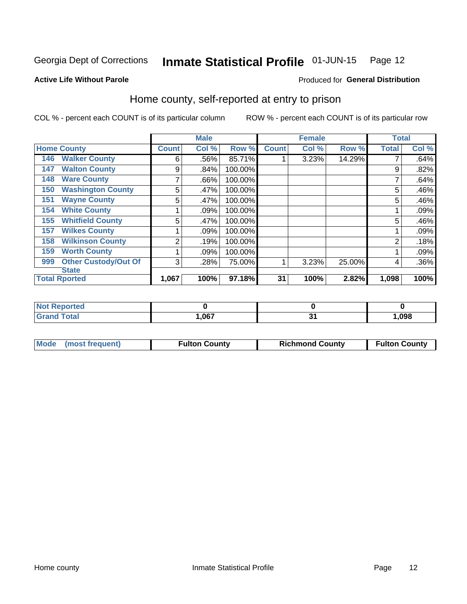#### Inmate Statistical Profile 01-JUN-15 Page 12

Produced for General Distribution

## **Active Life Without Parole**

## Home county, self-reported at entry to prison

COL % - percent each COUNT is of its particular column

|                                    |              | <b>Male</b> |         |              | <b>Female</b> |        | <b>Total</b> |       |
|------------------------------------|--------------|-------------|---------|--------------|---------------|--------|--------------|-------|
| <b>Home County</b>                 | <b>Count</b> | Col %       | Row %   | <b>Count</b> | Col %         | Row %  | <b>Total</b> | Col % |
| <b>Walker County</b><br>146        | 6            | .56%        | 85.71%  |              | 3.23%         | 14.29% |              | .64%  |
| <b>Walton County</b><br>147        | 9            | .84%        | 100.00% |              |               |        | 9            | .82%  |
| <b>Ware County</b><br>148          | 7            | .66%        | 100.00% |              |               |        |              | .64%  |
| <b>Washington County</b><br>150    | 5            | .47%        | 100.00% |              |               |        | 5            | .46%  |
| <b>Wayne County</b><br>151         | 5            | .47%        | 100.00% |              |               |        | 5            | .46%  |
| <b>White County</b><br>154         |              | .09%        | 100.00% |              |               |        |              | .09%  |
| <b>Whitfield County</b><br>155     | 5            | .47%        | 100.00% |              |               |        | 5            | .46%  |
| <b>Wilkes County</b><br>157        |              | .09%        | 100.00% |              |               |        |              | .09%  |
| <b>Wilkinson County</b><br>158     | 2            | .19%        | 100.00% |              |               |        | 2            | .18%  |
| <b>Worth County</b><br>159         |              | .09%        | 100.00% |              |               |        |              | .09%  |
| <b>Other Custody/Out Of</b><br>999 | 3            | .28%        | 75.00%  |              | 3.23%         | 25.00% | 4            | .36%  |
| <b>State</b>                       |              |             |         |              |               |        |              |       |
| <b>Total Rported</b>               | 1,067        | 100%        | 97.18%  | 31           | 100%          | 2.82%  | 1,098        | 100%  |

| Reported     |      |       |
|--------------|------|-------|
| <b>Total</b> | ,067 | 1,098 |

| Mode (most frequent) | <b>Fulton County</b> | <b>Richmond County</b> | <b>Fulton County</b> |
|----------------------|----------------------|------------------------|----------------------|
|                      |                      |                        |                      |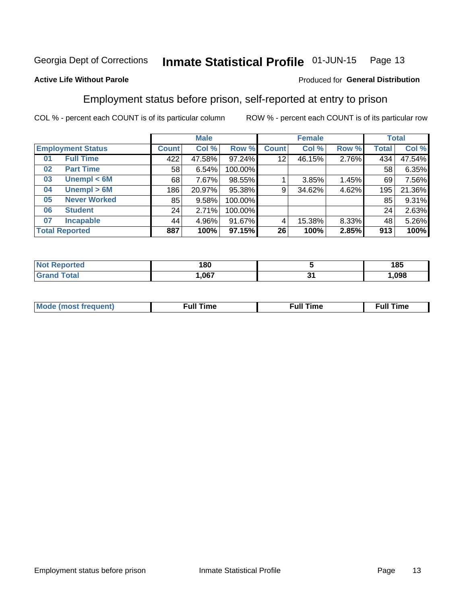#### Inmate Statistical Profile 01-JUN-15 Page 13

### **Active Life Without Parole**

### Produced for General Distribution

## Employment status before prison, self-reported at entry to prison

COL % - percent each COUNT is of its particular column

|                           | <b>Male</b>  |        |         | <b>Female</b> |        |       | <b>Total</b> |        |
|---------------------------|--------------|--------|---------|---------------|--------|-------|--------------|--------|
| <b>Employment Status</b>  | <b>Count</b> | Col %  | Row %   | <b>Count</b>  | Col %  | Row % | Total        | Col %  |
| <b>Full Time</b><br>01    | 422          | 47.58% | 97.24%  | 12            | 46.15% | 2.76% | 434          | 47.54% |
| <b>Part Time</b><br>02    | 58           | 6.54%  | 100.00% |               |        |       | 58           | 6.35%  |
| Unempl $<$ 6M<br>03       | 68           | 7.67%  | 98.55%  |               | 3.85%  | 1.45% | 69           | 7.56%  |
| Unempl $> 6M$<br>04       | 186          | 20.97% | 95.38%  | 9             | 34.62% | 4.62% | 195          | 21.36% |
| <b>Never Worked</b><br>05 | 85           | 9.58%  | 100.00% |               |        |       | 85           | 9.31%  |
| <b>Student</b><br>06      | 24           | 2.71%  | 100.00% |               |        |       | 24           | 2.63%  |
| <b>Incapable</b><br>07    | 44           | 4.96%  | 91.67%  |               | 15.38% | 8.33% | 48           | 5.26%  |
| <b>Total Reported</b>     | 887          | 100%   | 97.15%  | 26            | 100%   | 2.85% | 913          | 100%   |

| 180  | 185  |
|------|------|
| .067 | .098 |

| Mc | ∙u∥<br>----<br>ıme | ίuΙ<br>Πmε |
|----|--------------------|------------|
|    |                    |            |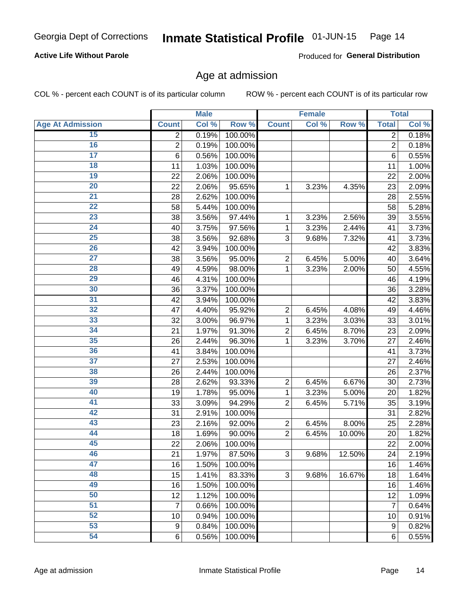## **Active Life Without Parole**

Produced for General Distribution

## Age at admission

COL % - percent each COUNT is of its particular column

|                         | <b>Male</b>      |       |         | <b>Female</b>  | <b>Total</b> |        |                |       |
|-------------------------|------------------|-------|---------|----------------|--------------|--------|----------------|-------|
| <b>Age At Admission</b> | <b>Count</b>     | Col % | Row %   | <b>Count</b>   | Col %        | Row %  | <b>Total</b>   | Col % |
| 15                      | $\overline{2}$   | 0.19% | 100.00% |                |              |        | $\overline{2}$ | 0.18% |
| 16                      | $\overline{2}$   | 0.19% | 100.00% |                |              |        | $\overline{2}$ | 0.18% |
| $\overline{17}$         | $\,6$            | 0.56% | 100.00% |                |              |        | 6              | 0.55% |
| 18                      | 11               | 1.03% | 100.00% |                |              |        | 11             | 1.00% |
| 19                      | 22               | 2.06% | 100.00% |                |              |        | 22             | 2.00% |
| $\overline{20}$         | 22               | 2.06% | 95.65%  | 1              | 3.23%        | 4.35%  | 23             | 2.09% |
| 21                      | 28               | 2.62% | 100.00% |                |              |        | 28             | 2.55% |
| $\overline{22}$         | 58               | 5.44% | 100.00% |                |              |        | 58             | 5.28% |
| $\overline{23}$         | 38               | 3.56% | 97.44%  | 1              | 3.23%        | 2.56%  | 39             | 3.55% |
| $\overline{24}$         | 40               | 3.75% | 97.56%  | 1              | 3.23%        | 2.44%  | 41             | 3.73% |
| $\overline{25}$         | 38               | 3.56% | 92.68%  | 3              | 9.68%        | 7.32%  | 41             | 3.73% |
| 26                      | 42               | 3.94% | 100.00% |                |              |        | 42             | 3.83% |
| $\overline{27}$         | 38               | 3.56% | 95.00%  | $\overline{2}$ | 6.45%        | 5.00%  | 40             | 3.64% |
| 28                      | 49               | 4.59% | 98.00%  | 1              | 3.23%        | 2.00%  | 50             | 4.55% |
| 29                      | 46               | 4.31% | 100.00% |                |              |        | 46             | 4.19% |
| 30                      | 36               | 3.37% | 100.00% |                |              |        | 36             | 3.28% |
| 31                      | 42               | 3.94% | 100.00% |                |              |        | 42             | 3.83% |
| 32                      | 47               | 4.40% | 95.92%  | $\overline{2}$ | 6.45%        | 4.08%  | 49             | 4.46% |
| 33                      | 32               | 3.00% | 96.97%  | 1              | 3.23%        | 3.03%  | 33             | 3.01% |
| $\overline{34}$         | 21               | 1.97% | 91.30%  | $\overline{2}$ | 6.45%        | 8.70%  | 23             | 2.09% |
| 35                      | 26               | 2.44% | 96.30%  | 1              | 3.23%        | 3.70%  | 27             | 2.46% |
| 36                      | 41               | 3.84% | 100.00% |                |              |        | 41             | 3.73% |
| $\overline{37}$         | 27               | 2.53% | 100.00% |                |              |        | 27             | 2.46% |
| 38                      | 26               | 2.44% | 100.00% |                |              |        | 26             | 2.37% |
| 39                      | 28               | 2.62% | 93.33%  | $\overline{2}$ | 6.45%        | 6.67%  | 30             | 2.73% |
| 40                      | 19               | 1.78% | 95.00%  | 1              | 3.23%        | 5.00%  | 20             | 1.82% |
| 41                      | 33               | 3.09% | 94.29%  | $\overline{2}$ | 6.45%        | 5.71%  | 35             | 3.19% |
| 42                      | 31               | 2.91% | 100.00% |                |              |        | 31             | 2.82% |
| 43                      | 23               | 2.16% | 92.00%  | $\overline{2}$ | 6.45%        | 8.00%  | 25             | 2.28% |
| 44                      | 18               | 1.69% | 90.00%  | $\overline{2}$ | 6.45%        | 10.00% | 20             | 1.82% |
| 45                      | 22               | 2.06% | 100.00% |                |              |        | 22             | 2.00% |
| 46                      | 21               | 1.97% | 87.50%  | 3              | 9.68%        | 12.50% | 24             | 2.19% |
| 47                      | 16               | 1.50% | 100.00% |                |              |        | 16             | 1.46% |
| 48                      | 15               | 1.41% | 83.33%  | 3              | 9.68%        | 16.67% | 18             | 1.64% |
| 49                      | 16               | 1.50% | 100.00% |                |              |        | 16             | 1.46% |
| 50                      | 12               | 1.12% | 100.00% |                |              |        | 12             | 1.09% |
| $\overline{51}$         | $\overline{7}$   | 0.66% | 100.00% |                |              |        | $\overline{7}$ | 0.64% |
| $\overline{52}$         | 10               | 0.94% | 100.00% |                |              |        | 10             | 0.91% |
| 53                      | $\boldsymbol{9}$ | 0.84% | 100.00% |                |              |        | 9              | 0.82% |
| 54                      | 6                | 0.56% | 100.00% |                |              |        | 6              | 0.55% |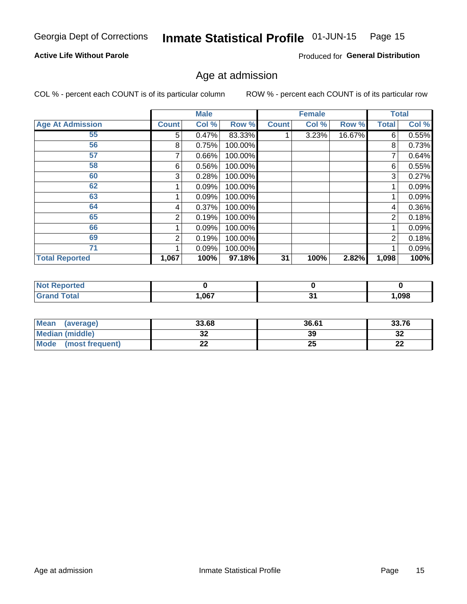#### Inmate Statistical Profile 01-JUN-15 Page 15

## **Active Life Without Parole**

Produced for General Distribution

## Age at admission

COL % - percent each COUNT is of its particular column

|                         |              | <b>Male</b> |         |              | <b>Female</b> |        |                | <b>Total</b> |
|-------------------------|--------------|-------------|---------|--------------|---------------|--------|----------------|--------------|
| <b>Age At Admission</b> | <b>Count</b> | Col %       | Row %   | <b>Count</b> | Col %         | Row %  | <b>Total</b>   | Col %        |
| 55                      | 5            | 0.47%       | 83.33%  |              | 3.23%         | 16.67% | 6              | 0.55%        |
| 56                      | 8            | 0.75%       | 100.00% |              |               |        | 8              | 0.73%        |
| 57                      |              | 0.66%       | 100.00% |              |               |        | 7              | 0.64%        |
| 58                      | 6            | 0.56%       | 100.00% |              |               |        | 6              | 0.55%        |
| 60                      | 3            | 0.28%       | 100.00% |              |               |        | 3              | 0.27%        |
| 62                      |              | 0.09%       | 100.00% |              |               |        |                | 0.09%        |
| 63                      |              | 0.09%       | 100.00% |              |               |        |                | 0.09%        |
| 64                      | 4            | 0.37%       | 100.00% |              |               |        | 4              | 0.36%        |
| 65                      | 2            | 0.19%       | 100.00% |              |               |        | $\overline{2}$ | 0.18%        |
| 66                      |              | 0.09%       | 100.00% |              |               |        |                | 0.09%        |
| 69                      | 2            | 0.19%       | 100.00% |              |               |        | $\overline{2}$ | 0.18%        |
| 71                      |              | 0.09%       | 100.00% |              |               |        |                | 0.09%        |
| <b>Total Reported</b>   | 1,067        | 100%        | 97.18%  | 31           | 100%          | 2.82%  | 1,098          | 100%         |

| <b>orted</b><br>N    |            |     |      |
|----------------------|------------|-----|------|
| <b>otal</b><br>_____ | ne7<br>,vv | - - | ,098 |

| Mean<br>(average)              | 33.68 | 36.61 | 33.76     |
|--------------------------------|-------|-------|-----------|
| <b>Median (middle)</b>         | ◡▵    | 39    | າາ<br>∠د  |
| <b>Mode</b><br>(most frequent) | --    | w     | ng,<br>LL |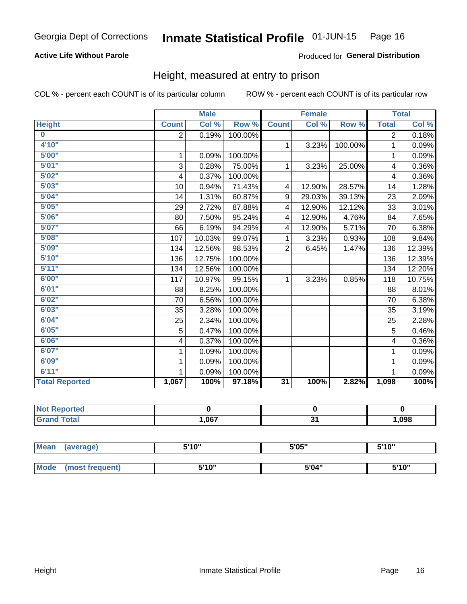## **Active Life Without Parole**

### Produced for General Distribution

## Height, measured at entry to prison

COL % - percent each COUNT is of its particular column

|                       |              | <b>Male</b> |         |                 | <b>Female</b>              |         |                | <b>Total</b>               |
|-----------------------|--------------|-------------|---------|-----------------|----------------------------|---------|----------------|----------------------------|
| <b>Height</b>         | <b>Count</b> | Col %       | Row %   | <b>Count</b>    | $\overline{\text{Col }^9}$ | Row %   | <b>Total</b>   | $\overline{\text{Col }\%}$ |
| $\bf{0}$              | 2            | 0.19%       | 100.00% |                 |                            |         | $\overline{2}$ | 0.18%                      |
| 4'10"                 |              |             |         | $\mathbf{1}$    | 3.23%                      | 100.00% | 1              | 0.09%                      |
| 5'00''                | 1            | 0.09%       | 100.00% |                 |                            |         | 1              | 0.09%                      |
| 5'01"                 | 3            | 0.28%       | 75.00%  | 1               | 3.23%                      | 25.00%  | 4              | 0.36%                      |
| 5'02"                 | 4            | 0.37%       | 100.00% |                 |                            |         | 4              | 0.36%                      |
| 5'03''                | 10           | 0.94%       | 71.43%  | 4               | 12.90%                     | 28.57%  | 14             | 1.28%                      |
| 5'04"                 | 14           | 1.31%       | 60.87%  | 9               | 29.03%                     | 39.13%  | 23             | 2.09%                      |
| 5'05"                 | 29           | 2.72%       | 87.88%  | 4               | 12.90%                     | 12.12%  | 33             | 3.01%                      |
| 5'06''                | 80           | 7.50%       | 95.24%  | 4               | 12.90%                     | 4.76%   | 84             | 7.65%                      |
| 5'07''                | 66           | 6.19%       | 94.29%  | 4               | 12.90%                     | 5.71%   | 70             | 6.38%                      |
| 5'08''                | 107          | 10.03%      | 99.07%  | 1               | 3.23%                      | 0.93%   | 108            | 9.84%                      |
| 5'09''                | 134          | 12.56%      | 98.53%  | $\overline{2}$  | 6.45%                      | 1.47%   | 136            | 12.39%                     |
| 5'10''                | 136          | 12.75%      | 100.00% |                 |                            |         | 136            | 12.39%                     |
| 5'11"                 | 134          | 12.56%      | 100.00% |                 |                            |         | 134            | 12.20%                     |
| 6'00''                | 117          | 10.97%      | 99.15%  | $\mathbf{1}$    | 3.23%                      | 0.85%   | 118            | 10.75%                     |
| 6'01''                | 88           | 8.25%       | 100.00% |                 |                            |         | 88             | 8.01%                      |
| 6'02"                 | 70           | 6.56%       | 100.00% |                 |                            |         | 70             | 6.38%                      |
| 6'03''                | 35           | 3.28%       | 100.00% |                 |                            |         | 35             | 3.19%                      |
| 6'04"                 | 25           | 2.34%       | 100.00% |                 |                            |         | 25             | 2.28%                      |
| 6'05"                 | 5            | 0.47%       | 100.00% |                 |                            |         | 5              | 0.46%                      |
| 6'06''                | 4            | 0.37%       | 100.00% |                 |                            |         | 4              | 0.36%                      |
| 6'07''                | 1            | 0.09%       | 100.00% |                 |                            |         | 1              | 0.09%                      |
| 6'09''                | 1            | 0.09%       | 100.00% |                 |                            |         | 1              | 0.09%                      |
| 6'11''                | 1            | 0.09%       | 100.00% |                 |                            |         |                | 0.09%                      |
| <b>Total Reported</b> | 1,067        | 100%        | 97.18%  | $\overline{31}$ | 100%                       | 2.82%   | 1,098          | 100%                       |

| NOT<br>rtea<br>a an estatun m<br>$\sim$ |       |           |      |
|-----------------------------------------|-------|-----------|------|
| $\sim$ 10                               | 1,067 | ົ.<br>. . | ,098 |

| <b>Mean</b> | (average)       | 5'10" | 5'05" | 5'10"<br>J |
|-------------|-----------------|-------|-------|------------|
|             |                 |       |       |            |
| <b>Mode</b> | (most frequent) | 5'10" | 5'04" | 5'10"      |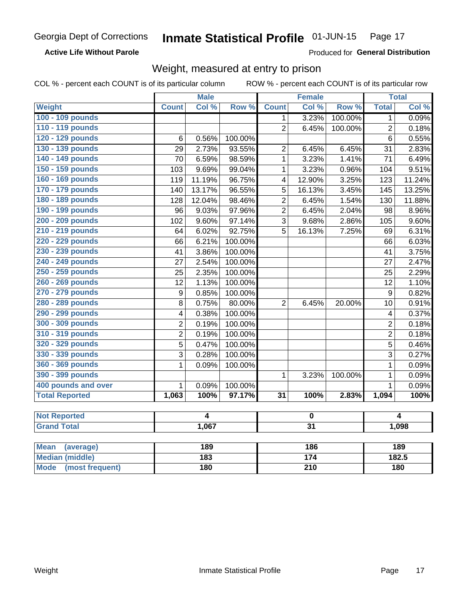### **Active Life Without Parole**

Produced for General Distribution

## Weight, measured at entry to prison

COL % - percent each COUNT is of its particular column

|                       |                         | <b>Male</b>    |         | <b>Female</b>           |                         |         | <b>Total</b>            |        |
|-----------------------|-------------------------|----------------|---------|-------------------------|-------------------------|---------|-------------------------|--------|
| Weight                | <b>Count</b>            | Col %          | Row %   | <b>Count</b>            | Col %                   | Row %   | <b>Total</b>            | Col %  |
| 100 - 109 pounds      |                         |                |         | 1                       | 3.23%                   | 100.00% | 1                       | 0.09%  |
| 110 - 119 pounds      |                         |                |         | $\overline{2}$          | 6.45%                   | 100.00% | $\overline{2}$          | 0.18%  |
| 120 - 129 pounds      | 6                       | 0.56%          | 100.00% |                         |                         |         | 6                       | 0.55%  |
| 130 - 139 pounds      | 29                      | 2.73%          | 93.55%  | $\overline{2}$          | 6.45%                   | 6.45%   | 31                      | 2.83%  |
| 140 - 149 pounds      | 70                      | 6.59%          | 98.59%  | 1                       | 3.23%                   | 1.41%   | 71                      | 6.49%  |
| 150 - 159 pounds      | 103                     | 9.69%          | 99.04%  | 1                       | 3.23%                   | 0.96%   | 104                     | 9.51%  |
| 160 - 169 pounds      | 119                     | 11.19%         | 96.75%  | $\overline{\mathbf{4}}$ | 12.90%                  | 3.25%   | 123                     | 11.24% |
| 170 - 179 pounds      | 140                     | 13.17%         | 96.55%  | 5                       | 16.13%                  | 3.45%   | 145                     | 13.25% |
| 180 - 189 pounds      | 128                     | 12.04%         | 98.46%  | $\overline{2}$          | 6.45%                   | 1.54%   | 130                     | 11.88% |
| 190 - 199 pounds      | 96                      | 9.03%          | 97.96%  | $\overline{2}$          | 6.45%                   | 2.04%   | 98                      | 8.96%  |
| 200 - 209 pounds      | 102                     | 9.60%          | 97.14%  | 3                       | 9.68%                   | 2.86%   | 105                     | 9.60%  |
| 210 - 219 pounds      | 64                      | 6.02%          | 92.75%  | 5                       | 16.13%                  | 7.25%   | 69                      | 6.31%  |
| 220 - 229 pounds      | 66                      | 6.21%          | 100.00% |                         |                         |         | 66                      | 6.03%  |
| 230 - 239 pounds      | 41                      | 3.86%          | 100.00% |                         |                         |         | 41                      | 3.75%  |
| 240 - 249 pounds      | 27                      | 2.54%          | 100.00% |                         |                         |         | 27                      | 2.47%  |
| 250 - 259 pounds      | 25                      | 2.35%          | 100.00% |                         |                         |         | 25                      | 2.29%  |
| 260 - 269 pounds      | 12                      | 1.13%          | 100.00% |                         |                         |         | 12                      | 1.10%  |
| 270 - 279 pounds      | $\boldsymbol{9}$        | 0.85%          | 100.00% |                         |                         |         | $\boldsymbol{9}$        | 0.82%  |
| 280 - 289 pounds      | 8                       | 0.75%          | 80.00%  | $\overline{2}$          | 6.45%                   | 20.00%  | 10                      | 0.91%  |
| 290 - 299 pounds      | $\overline{\mathbf{4}}$ | 0.38%          | 100.00% |                         |                         |         | $\overline{\mathbf{4}}$ | 0.37%  |
| 300 - 309 pounds      | $\overline{2}$          | 0.19%          | 100.00% |                         |                         |         | $\overline{2}$          | 0.18%  |
| 310 - 319 pounds      | $\overline{2}$          | 0.19%          | 100.00% |                         |                         |         | $\overline{2}$          | 0.18%  |
| 320 - 329 pounds      | $\overline{5}$          | 0.47%          | 100.00% |                         |                         |         | 5                       | 0.46%  |
| 330 - 339 pounds      | $\overline{3}$          | 0.28%          | 100.00% |                         |                         |         | 3                       | 0.27%  |
| 360 - 369 pounds      | 1                       | 0.09%          | 100.00% |                         |                         |         | $\mathbf{1}$            | 0.09%  |
| 390 - 399 pounds      |                         |                |         | 1                       | 3.23%                   | 100.00% | $\mathbf{1}$            | 0.09%  |
| 400 pounds and over   | 1                       | 0.09%          | 100.00% |                         |                         |         | $\mathbf{1}$            | 0.09%  |
| <b>Total Reported</b> | 1,063                   | 100%           | 97.17%  | $\overline{31}$         | 100%                    | 2.83%   | 1,094                   | 100%   |
|                       |                         |                |         |                         |                         |         |                         |        |
| <b>Not Reported</b>   |                         | $\overline{4}$ |         |                         | $\overline{\mathbf{0}}$ |         |                         | 4      |
| <b>Grand Total</b>    |                         | 1,067          |         |                         | $\overline{31}$         |         |                         | 1,098  |

| Mean<br>(average)       | 189 | 186 | 189   |
|-------------------------|-----|-----|-------|
| <b>Median (middle)</b>  | 183 | 174 | 182.5 |
| Mode<br>(most frequent) | 180 | 210 | 180   |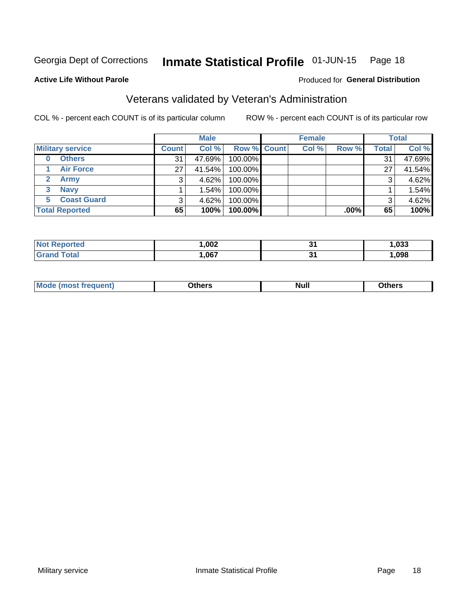**Active Life Without Parole** 

#### Inmate Statistical Profile 01-JUN-15 Page 18

Produced for General Distribution

## Veterans validated by Veteran's Administration

COL % - percent each COUNT is of its particular column

|                           | <b>Male</b>  |        |             | <b>Female</b> |       |         | <b>Total</b> |        |
|---------------------------|--------------|--------|-------------|---------------|-------|---------|--------------|--------|
| <b>Military service</b>   | <b>Count</b> | Col %  | Row % Count |               | Col % | Row %   | <b>Total</b> | Col %  |
| <b>Others</b><br>$\bf{0}$ | 31           | 47.69% | 100.00%     |               |       |         | 31           | 47.69% |
| <b>Air Force</b>          | 27           | 41.54% | 100.00%     |               |       |         | 27           | 41.54% |
| Army                      |              | 4.62%  | 100.00%     |               |       |         | 3            | 4.62%  |
| <b>Navy</b><br>3          |              | 1.54%  | 100.00%     |               |       |         |              | 1.54%  |
| <b>Coast Guard</b><br>5.  |              | 4.62%  | 100.00%     |               |       |         | 3            | 4.62%  |
| <b>Total Reported</b>     | 65           | 100%   | $100.00\%$  |               |       | $.00\%$ | 65           | 100%   |

| тет о | ,002 | - .<br>v, | .033 |
|-------|------|-----------|------|
|       | .067 | . .<br>., | ,098 |

| Mo<br><b>Null</b><br><b>Dthers</b><br>____<br>____ |
|----------------------------------------------------|
|----------------------------------------------------|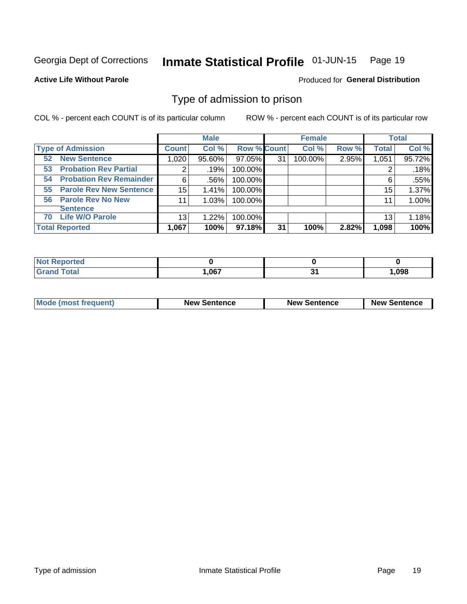#### Inmate Statistical Profile 01-JUN-15 Page 19

**Active Life Without Parole** 

Produced for General Distribution

## Type of admission to prison

COL % - percent each COUNT is of its particular column

|                                      |              | <b>Male</b> |                    |    | <b>Female</b> |       |              | <b>Total</b> |
|--------------------------------------|--------------|-------------|--------------------|----|---------------|-------|--------------|--------------|
| <b>Type of Admission</b>             | <b>Count</b> | Col %       | <b>Row % Count</b> |    | Col %         | Row % | <b>Total</b> | Col %        |
| <b>New Sentence</b><br>52            | 1,020        | 95.60%      | 97.05%             | 31 | 100.00%       | 2.95% | 1,051        | 95.72%       |
| <b>Probation Rev Partial</b><br>53   | 2            | .19%        | 100.00%            |    |               |       |              | .18%         |
| <b>Probation Rev Remainder</b><br>54 | 6            | .56%        | 100.00%            |    |               |       | 6            | .55%         |
| <b>Parole Rev New Sentence</b><br>55 | 15           | 1.41%       | 100.00%            |    |               |       | 15           | 1.37%        |
| 56 Parole Rev No New                 | 11           | 1.03%       | 100.00%            |    |               |       | 11           | 1.00%        |
| <b>Sentence</b>                      |              |             |                    |    |               |       |              |              |
| <b>Life W/O Parole</b><br>70         | 13           | 1.22%       | 100.00%            |    |               |       | 13           | 1.18%        |
| <b>Total Reported</b>                | 1,067        | 100%        | 97.18%             | 31 | 100%          | 2.82% | 1,098        | 100%         |

| Reported<br>-N. |      |     |       |
|-----------------|------|-----|-------|
| Total           | ,067 | . . | 1.098 |

| <b>Mode (most frequent)</b> | <b>New Sentence</b> | <b>New Sentence</b> | <b>New Sentence</b> |
|-----------------------------|---------------------|---------------------|---------------------|
|                             |                     |                     |                     |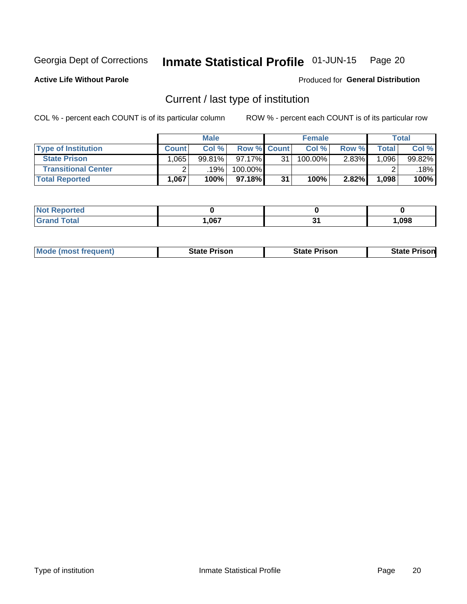#### Inmate Statistical Profile 01-JUN-15 Page 20

**Active Life Without Parole** 

Produced for General Distribution

## Current / last type of institution

COL % - percent each COUNT is of its particular column

|                            |              | <b>Male</b> |                    |    | <b>Female</b> |          |       | <b>Total</b> |
|----------------------------|--------------|-------------|--------------------|----|---------------|----------|-------|--------------|
| <b>Type of Institution</b> | <b>Count</b> | Col %       | <b>Row % Count</b> |    | Col %         | Row %    | Total | Col %        |
| <b>State Prison</b>        | ∣.065        | 99.81%      | $97.17\%$          | 31 | 100.00%       | $2.83\%$ | .096  | 99.82%       |
| <b>Transitional Center</b> |              | .19%        | 100.00%            |    |               |          |       | $.18\%$      |
| <b>Total Reported</b>      | 1,067        | 100%        | $97.18\%$          | 31 | 100%          | 2.82%    | 1,098 | 100%         |

| <b>eported</b> |                            |      |
|----------------|----------------------------|------|
| <b>otal</b>    | <b>067</b><br>$\mathbf{v}$ | ,098 |

|  | <b>Mode (most frequent)</b> | State Prison | <b>State Prison</b> | risonl<br>State |
|--|-----------------------------|--------------|---------------------|-----------------|
|--|-----------------------------|--------------|---------------------|-----------------|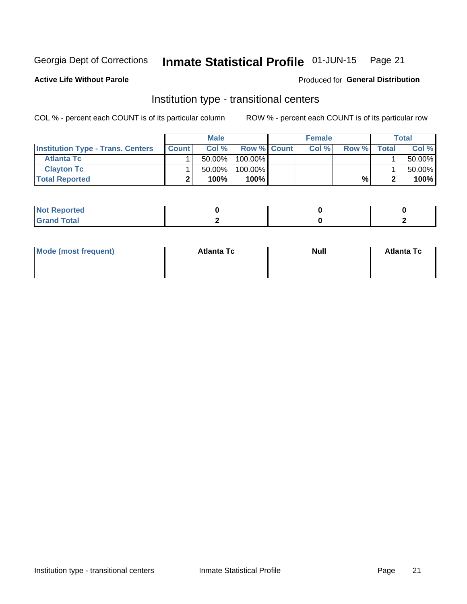#### Inmate Statistical Profile 01-JUN-15 Page 21

**Active Life Without Parole** 

## Produced for General Distribution

## Institution type - transitional centers

COL % - percent each COUNT is of its particular column

|                                          |              | <b>Male</b> |                    | <b>Female</b> |       |              | Total  |
|------------------------------------------|--------------|-------------|--------------------|---------------|-------|--------------|--------|
| <b>Institution Type - Trans. Centers</b> | <b>Count</b> | Col%        | <b>Row % Count</b> | Col%          | Row % | <b>Total</b> | Col %  |
| <b>Atlanta Tc</b>                        |              | $50.00\%$   | 100.00%            |               |       |              | 50.00% |
| <b>Clayton Tc</b>                        |              | $50.00\%$   | 100.00%            |               |       |              | 50.00% |
| <b>Total Reported</b>                    |              | 100%        | $100\%$            |               | %     |              | 100%   |

| <b>Not Reported</b>            |  |  |
|--------------------------------|--|--|
| <b>Total</b><br>Cron<br>$\sim$ |  |  |

| Mode (most frequent) | <b>Atlanta Tc</b> | <b>Null</b> | <b>Atlanta Tc</b> |
|----------------------|-------------------|-------------|-------------------|
|                      |                   |             |                   |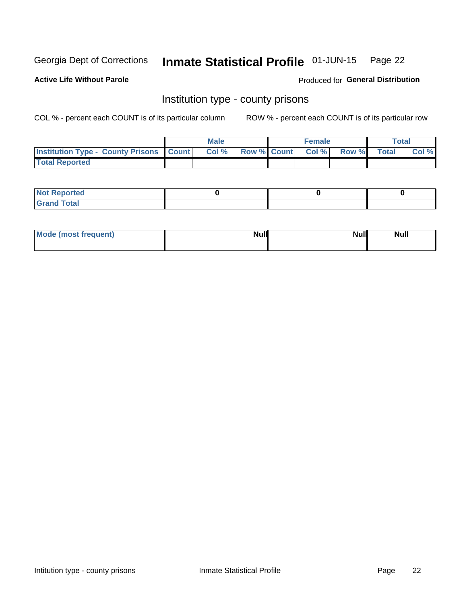#### Inmate Statistical Profile 01-JUN-15 Page 22

**Active Life Without Parole** 

Produced for General Distribution

## Institution type - county prisons

COL % - percent each COUNT is of its particular column

|                                                    | <b>Male</b> |  | <b>Female</b>            |             | <b>Total</b> |
|----------------------------------------------------|-------------|--|--------------------------|-------------|--------------|
| <b>Institution Type - County Prisons   Count  </b> | Col %       |  | <b>Row % Count Col %</b> | Row % Total | Col %        |
| <b>Total Reported</b>                              |             |  |                          |             |              |

| <b>Not Reported</b>         |  |  |
|-----------------------------|--|--|
| <b>Total</b><br>-<br>______ |  |  |

| Mode (most frequent) | <b>Null</b> | <b>Null</b><br><b>Null</b> |
|----------------------|-------------|----------------------------|
|                      |             |                            |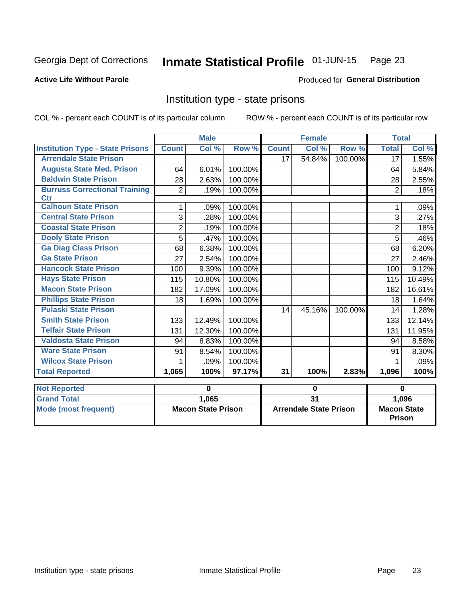#### Inmate Statistical Profile 01-JUN-15 Page 23

### **Active Life Without Parole**

### Produced for General Distribution

## Institution type - state prisons

COL % - percent each COUNT is of its particular column

|                                         |                | <b>Male</b>               |         |              | <b>Female</b>                 |         | <b>Total</b>       |          |
|-----------------------------------------|----------------|---------------------------|---------|--------------|-------------------------------|---------|--------------------|----------|
| <b>Institution Type - State Prisons</b> | <b>Count</b>   | Col %                     | Row %   | <b>Count</b> | Col %                         | Row %   | <b>Total</b>       | Col %    |
| <b>Arrendale State Prison</b>           |                |                           |         | 17           | 54.84%                        | 100.00% | 17                 | 1.55%    |
| <b>Augusta State Med. Prison</b>        | 64             | 6.01%                     | 100.00% |              |                               |         | 64                 | 5.84%    |
| <b>Baldwin State Prison</b>             | 28             | 2.63%                     | 100.00% |              |                               |         | 28                 | 2.55%    |
| <b>Burruss Correctional Training</b>    | $\overline{2}$ | .19%                      | 100.00% |              |                               |         | $\overline{2}$     | .18%     |
| <b>Ctr</b>                              |                |                           |         |              |                               |         |                    |          |
| <b>Calhoun State Prison</b>             | 1              | .09%                      | 100.00% |              |                               |         |                    | .09%     |
| <b>Central State Prison</b>             | 3              | .28%                      | 100.00% |              |                               |         | 3                  | .27%     |
| <b>Coastal State Prison</b>             | $\overline{2}$ | .19%                      | 100.00% |              |                               |         | $\overline{2}$     | .18%     |
| <b>Dooly State Prison</b>               | 5              | .47%                      | 100.00% |              |                               |         | 5                  | .46%     |
| <b>Ga Diag Class Prison</b>             | 68             | 6.38%                     | 100.00% |              |                               |         | 68                 | 6.20%    |
| <b>Ga State Prison</b>                  | 27             | 2.54%                     | 100.00% |              |                               |         | 27                 | 2.46%    |
| <b>Hancock State Prison</b>             | 100            | 9.39%                     | 100.00% |              |                               |         | 100                | 9.12%    |
| <b>Hays State Prison</b>                | 115            | 10.80%                    | 100.00% |              |                               |         | 115                | 10.49%   |
| <b>Macon State Prison</b>               | 182            | 17.09%                    | 100.00% |              |                               |         | 182                | 16.61%   |
| <b>Phillips State Prison</b>            | 18             | 1.69%                     | 100.00% |              |                               |         | 18                 | 1.64%    |
| <b>Pulaski State Prison</b>             |                |                           |         | 14           | 45.16%                        | 100.00% | 14                 | 1.28%    |
| <b>Smith State Prison</b>               | 133            | 12.49%                    | 100.00% |              |                               |         | 133                | 12.14%   |
| <b>Telfair State Prison</b>             | 131            | 12.30%                    | 100.00% |              |                               |         | 131                | 11.95%   |
| <b>Valdosta State Prison</b>            | 94             | 8.83%                     | 100.00% |              |                               |         | 94                 | 8.58%    |
| <b>Ware State Prison</b>                | 91             | 8.54%                     | 100.00% |              |                               |         | 91                 | 8.30%    |
| <b>Wilcox State Prison</b>              | 1              | .09%                      | 100.00% |              |                               |         | 1                  | .09%     |
| <b>Total Reported</b>                   | 1,065          | 100%                      | 97.17%  | 31           | 100%                          | 2.83%   | 1,096              | 100%     |
| <b>Not Reported</b>                     |                | 0                         |         |              | 0                             |         |                    | $\bf{0}$ |
| <b>Grand Total</b>                      |                | 1,065                     |         |              | $\overline{31}$               |         |                    | 1,096    |
| <b>Mode (most frequent)</b>             |                | <b>Macon State Prison</b> |         |              | <b>Arrendale State Prison</b> |         | <b>Macon State</b> |          |
|                                         |                |                           |         |              |                               |         | <b>Prison</b>      |          |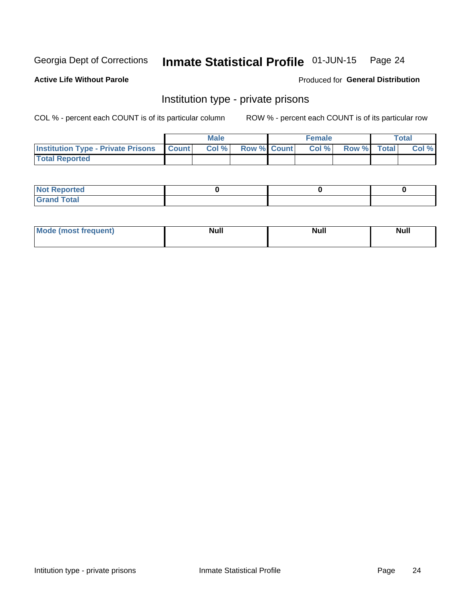## Inmate Statistical Profile 01-JUN-15 Page 24

## **Active Life Without Parole**

### Produced for General Distribution

## Institution type - private prisons

COL % - percent each COUNT is of its particular column

|                                                 | <b>Male</b> |                    | <b>Female</b> |             | Total |
|-------------------------------------------------|-------------|--------------------|---------------|-------------|-------|
| <b>Institution Type - Private Prisons Count</b> | Col %       | <b>Row % Count</b> | Col %         | Row % Total | Col % |
| <b>Total Reported</b>                           |             |                    |               |             |       |

| Not Reported           |  |  |
|------------------------|--|--|
| <b>Cotal</b><br>______ |  |  |

| <b>Mo</b><br>frequent) | <b>Null</b> | <b>Null</b> | . . I *<br><b>IVUII</b> |
|------------------------|-------------|-------------|-------------------------|
|                        |             |             |                         |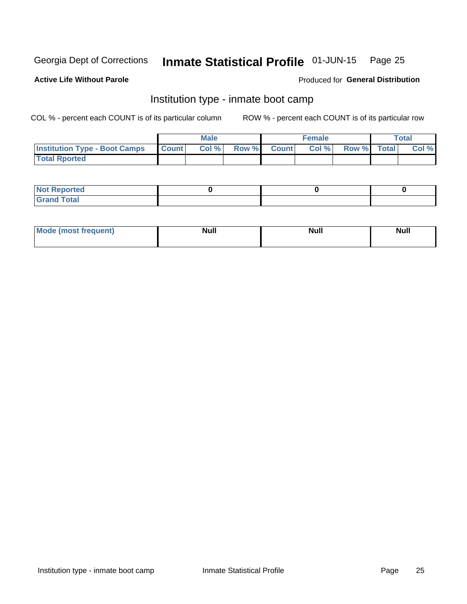#### Inmate Statistical Profile 01-JUN-15 Page 25

#### **Active Life Without Parole**

### Produced for General Distribution

## Institution type - inmate boot camp

COL % - percent each COUNT is of its particular column

|                                            | <b>Male</b> |             | <b>Female</b> |             | <b>Total</b> |
|--------------------------------------------|-------------|-------------|---------------|-------------|--------------|
| <b>Institution Type - Boot Camps Count</b> | Col %       | Row % Count | Col %         | Row % Total | Col %        |
| <b>Total Rported</b>                       |             |             |               |             |              |

| <b>Not Reported</b>            |  |  |
|--------------------------------|--|--|
| <b>Total</b><br>C <sub>r</sub> |  |  |

| Mod<br>uamo | Nul.<br>$- - - - - -$ | <b>Null</b> | . .<br>uu.<br>------ |
|-------------|-----------------------|-------------|----------------------|
|             |                       |             |                      |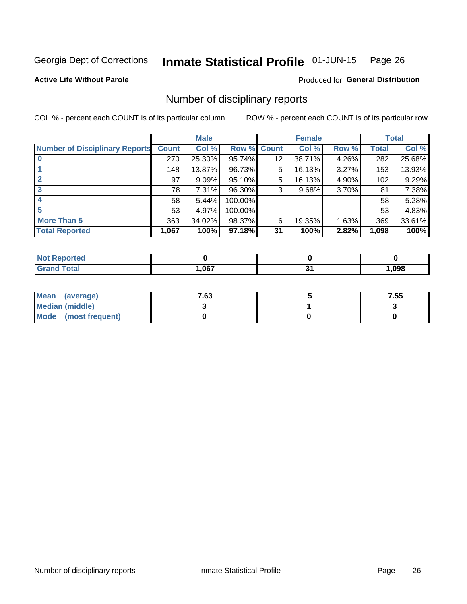#### Inmate Statistical Profile 01-JUN-15 Page 26

**Active Life Without Parole** 

Produced for General Distribution

## Number of disciplinary reports

COL % - percent each COUNT is of its particular column

|                                       |              | <b>Male</b> |         |             | <b>Female</b> |       |       | <b>Total</b> |
|---------------------------------------|--------------|-------------|---------|-------------|---------------|-------|-------|--------------|
| <b>Number of Disciplinary Reports</b> | <b>Count</b> | Col %       |         | Row % Count | Col %         | Row % | Total | Col %        |
|                                       | 270          | 25.30%      | 95.74%  | 12          | 38.71%        | 4.26% | 282   | 25.68%       |
|                                       | 148          | 13.87%      | 96.73%  | 5           | 16.13%        | 3.27% | 153   | 13.93%       |
| $\mathbf{2}$                          | 97           | 9.09%       | 95.10%  | 5           | 16.13%        | 4.90% | 102   | 9.29%        |
|                                       | 78           | 7.31%       | 96.30%  | 3           | 9.68%         | 3.70% | 81    | 7.38%        |
|                                       | 58           | 5.44%       | 100.00% |             |               |       | 58    | 5.28%        |
| 5                                     | 53           | 4.97%       | 100.00% |             |               |       | 53    | 4.83%        |
| <b>More Than 5</b>                    | 363          | 34.02%      | 98.37%  | 6           | 19.35%        | 1.63% | 369   | 33.61%       |
| <b>Total Reported</b>                 | 1,067        | 100%        | 97.18%  | 31          | 100%          | 2.82% | 1,098 | 100%         |

| <u>orteo</u><br>NOT |      |      |
|---------------------|------|------|
| <sup>-</sup> otal   | .067 | ,098 |

| Mean (average)       | 7.63 | 7.55 |
|----------------------|------|------|
| Median (middle)      |      |      |
| Mode (most frequent) |      |      |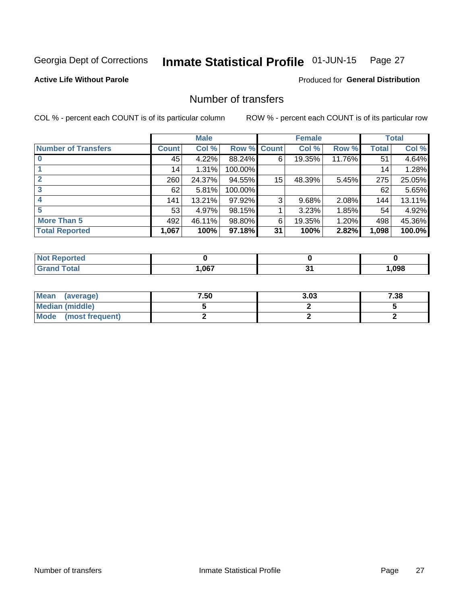#### Inmate Statistical Profile 01-JUN-15 Page 27

### **Active Life Without Parole**

Produced for General Distribution

## Number of transfers

COL % - percent each COUNT is of its particular column

|                            |         | <b>Male</b> |             |    | <b>Female</b> |        |              | <b>Total</b> |
|----------------------------|---------|-------------|-------------|----|---------------|--------|--------------|--------------|
| <b>Number of Transfers</b> | Count l | Col %       | Row % Count |    | Col %         | Row %  | <b>Total</b> | Col %        |
|                            | 45      | 4.22%       | 88.24%      | 6  | 19.35%        | 11.76% | 51           | 4.64%        |
|                            | 14      | 1.31%       | 100.00%     |    |               |        | 14           | 1.28%        |
| $\mathbf{2}$               | 260     | 24.37%      | 94.55%      | 15 | 48.39%        | 5.45%  | 275          | 25.05%       |
| 3                          | 62      | 5.81%       | 100.00%     |    |               |        | 62           | 5.65%        |
|                            | 141     | 13.21%      | 97.92%      | 3  | 9.68%         | 2.08%  | 144          | 13.11%       |
| 5                          | 53      | 4.97%       | 98.15%      |    | 3.23%         | 1.85%  | 54           | 4.92%        |
| <b>More Than 5</b>         | 492     | 46.11%      | 98.80%      | 6  | 19.35%        | 1.20%  | 498          | 45.36%       |
| <b>Total Reported</b>      | 1,067   | 100%        | 97.18%      | 31 | 100%          | 2.82%  | 1,098        | 100.0%       |

| งrted<br>NO  |      |      |
|--------------|------|------|
| <b>Total</b> | .067 | ,098 |

| Mean (average)       | 7.50 | 3.03 | 7.38 |
|----------------------|------|------|------|
| Median (middle)      |      |      |      |
| Mode (most frequent) |      |      |      |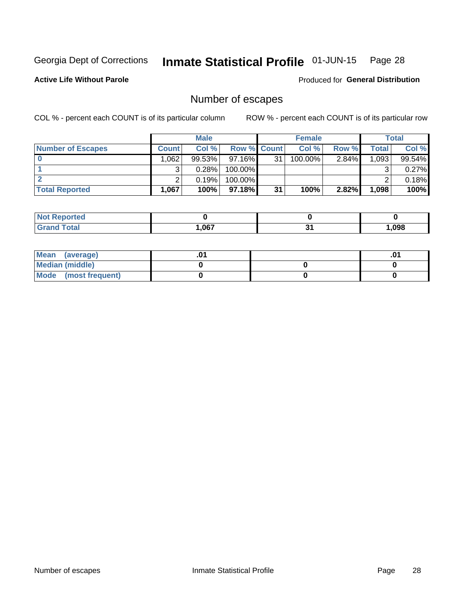## Inmate Statistical Profile 01-JUN-15 Page 28

**Active Life Without Parole** 

Produced for General Distribution

## Number of escapes

COL % - percent each COUNT is of its particular column

|                          |              | <b>Male</b> |                    |    | <b>Female</b> |       |       | <b>Total</b> |
|--------------------------|--------------|-------------|--------------------|----|---------------|-------|-------|--------------|
| <b>Number of Escapes</b> | <b>Count</b> | Col%        | <b>Row % Count</b> |    | Col %         | Row % | Total | Col %        |
|                          | .062         | $99.53\%$   | $97.16\%$          | 31 | 100.00%       | 2.84% | 1,093 | 99.54%       |
|                          |              | 0.28%       | 100.00%            |    |               |       |       | 0.27%        |
|                          |              | 0.19%       | 100.00%            |    |               |       |       | 0.18%        |
| <b>Total Reported</b>    | .067         | 100%        | $97.18\%$          | 31 | 100%          | 2.82% | 1,098 | 100%         |

| rtea<br><b>NOT</b>         |       |      |
|----------------------------|-------|------|
| <sup>-</sup> otal<br>Grand | 1,067 | ,098 |

| Mean (average)       |  | .v |
|----------------------|--|----|
| Median (middle)      |  |    |
| Mode (most frequent) |  |    |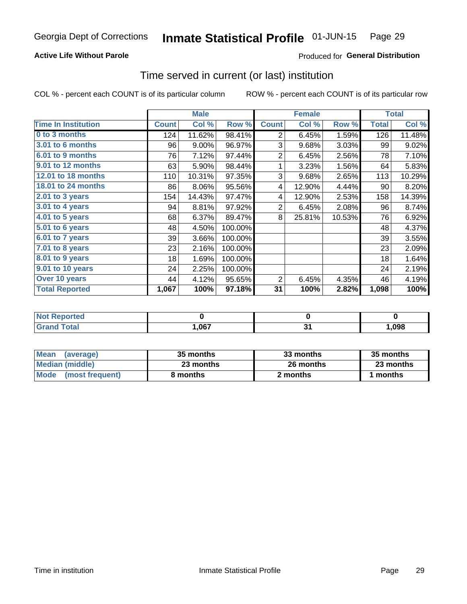## **Active Life Without Parole**

## **Produced for General Distribution**

## Time served in current (or last) institution

COL % - percent each COUNT is of its particular column

|                            |              | <b>Male</b> |         |                | <b>Female</b> |        |              | <b>Total</b> |
|----------------------------|--------------|-------------|---------|----------------|---------------|--------|--------------|--------------|
| <b>Time In Institution</b> | <b>Count</b> | Col %       | Row %   | <b>Count</b>   | Col %         | Row %  | <b>Total</b> | Col %        |
| 0 to 3 months              | 124          | 11.62%      | 98.41%  | 2              | 6.45%         | 1.59%  | 126          | 11.48%       |
| <b>3.01 to 6 months</b>    | 96           | 9.00%       | 96.97%  | 3              | 9.68%         | 3.03%  | 99           | 9.02%        |
| 6.01 to 9 months           | 76           | 7.12%       | 97.44%  | $\overline{2}$ | 6.45%         | 2.56%  | 78           | 7.10%        |
| 9.01 to 12 months          | 63           | 5.90%       | 98.44%  | 1              | 3.23%         | 1.56%  | 64           | 5.83%        |
| <b>12.01 to 18 months</b>  | 110          | 10.31%      | 97.35%  | 3              | 9.68%         | 2.65%  | 113          | 10.29%       |
| 18.01 to 24 months         | 86           | 8.06%       | 95.56%  | 4              | 12.90%        | 4.44%  | 90           | 8.20%        |
| $2.01$ to 3 years          | 154          | 14.43%      | 97.47%  | 4              | 12.90%        | 2.53%  | 158          | 14.39%       |
| 3.01 to 4 years            | 94           | 8.81%       | 97.92%  | $\overline{2}$ | 6.45%         | 2.08%  | 96           | 8.74%        |
| $4.01$ to 5 years          | 68           | 6.37%       | 89.47%  | 8              | 25.81%        | 10.53% | 76           | 6.92%        |
| 5.01 to 6 years            | 48           | 4.50%       | 100.00% |                |               |        | 48           | 4.37%        |
| 6.01 to 7 years            | 39           | 3.66%       | 100.00% |                |               |        | 39           | 3.55%        |
| $7.01$ to 8 years          | 23           | 2.16%       | 100.00% |                |               |        | 23           | 2.09%        |
| 8.01 to 9 years            | 18           | 1.69%       | 100.00% |                |               |        | 18           | 1.64%        |
| 9.01 to 10 years           | 24           | 2.25%       | 100.00% |                |               |        | 24           | 2.19%        |
| Over 10 years              | 44           | 4.12%       | 95.65%  | 2              | 6.45%         | 4.35%  | 46           | 4.19%        |
| <b>Total Reported</b>      | 1,067        | 100%        | 97.18%  | 31             | 100%          | 2.82%  | 1,098        | 100%         |

| <b>roorted</b><br>NOT  |      |      |
|------------------------|------|------|
| $f \wedge f \wedge f'$ | ,067 | ,098 |

| <b>Mean</b><br>(average) | 35 months | 33 months | 35 months |  |
|--------------------------|-----------|-----------|-----------|--|
| Median (middle)          | 23 months | 26 months | 23 months |  |
| Mode (most frequent)     | 8 months  | 2 months  | months    |  |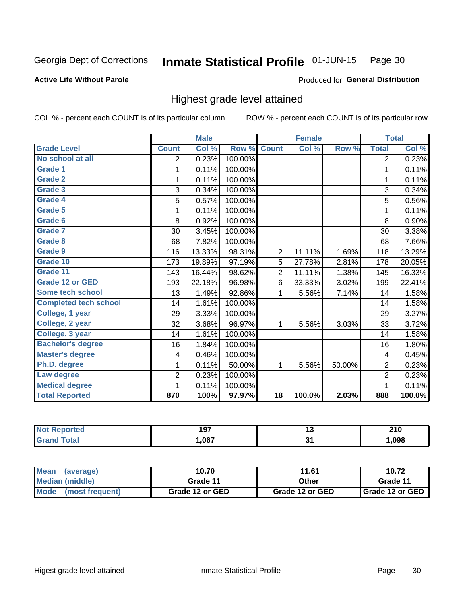#### Inmate Statistical Profile 01-JUN-15 Page 30

### **Active Life Without Parole**

### Produced for General Distribution

## Highest grade level attained

COL % - percent each COUNT is of its particular column

|                              |                         | <b>Male</b> |         |                 | <b>Female</b> |        |                         | <b>Total</b> |
|------------------------------|-------------------------|-------------|---------|-----------------|---------------|--------|-------------------------|--------------|
| <b>Grade Level</b>           | <b>Count</b>            | Col %       | Row %   | <b>Count</b>    | Col %         | Row %  | <b>Total</b>            | Col %        |
| No school at all             | 2                       | 0.23%       | 100.00% |                 |               |        | 2                       | 0.23%        |
| Grade 1                      | 1                       | 0.11%       | 100.00% |                 |               |        | 1                       | 0.11%        |
| <b>Grade 2</b>               | 1                       | 0.11%       | 100.00% |                 |               |        | $\mathbf{1}$            | 0.11%        |
| Grade 3                      | 3                       | 0.34%       | 100.00% |                 |               |        | 3                       | 0.34%        |
| <b>Grade 4</b>               | 5                       | 0.57%       | 100.00% |                 |               |        | 5                       | 0.56%        |
| Grade 5                      | 1                       | 0.11%       | 100.00% |                 |               |        | $\mathbf{1}$            | 0.11%        |
| Grade 6                      | 8                       | 0.92%       | 100.00% |                 |               |        | 8                       | 0.90%        |
| Grade 7                      | 30                      | 3.45%       | 100.00% |                 |               |        | 30                      | 3.38%        |
| Grade 8                      | 68                      | 7.82%       | 100.00% |                 |               |        | 68                      | 7.66%        |
| Grade 9                      | 116                     | 13.33%      | 98.31%  | $\overline{2}$  | 11.11%        | 1.69%  | 118                     | 13.29%       |
| Grade 10                     | 173                     | 19.89%      | 97.19%  | 5               | 27.78%        | 2.81%  | 178                     | 20.05%       |
| Grade 11                     | 143                     | 16.44%      | 98.62%  | $\overline{2}$  | 11.11%        | 1.38%  | 145                     | 16.33%       |
| <b>Grade 12 or GED</b>       | 193                     | 22.18%      | 96.98%  | 6               | 33.33%        | 3.02%  | 199                     | 22.41%       |
| Some tech school             | 13                      | 1.49%       | 92.86%  | 1               | 5.56%         | 7.14%  | 14                      | 1.58%        |
| <b>Completed tech school</b> | 14                      | 1.61%       | 100.00% |                 |               |        | 14                      | 1.58%        |
| College, 1 year              | 29                      | 3.33%       | 100.00% |                 |               |        | 29                      | 3.27%        |
| College, 2 year              | 32                      | 3.68%       | 96.97%  | 1               | 5.56%         | 3.03%  | 33                      | 3.72%        |
| College, 3 year              | 14                      | 1.61%       | 100.00% |                 |               |        | 14                      | 1.58%        |
| <b>Bachelor's degree</b>     | 16                      | 1.84%       | 100.00% |                 |               |        | 16                      | 1.80%        |
| <b>Master's degree</b>       | $\overline{\mathbf{4}}$ | 0.46%       | 100.00% |                 |               |        | $\overline{\mathbf{4}}$ | 0.45%        |
| Ph.D. degree                 | 1                       | 0.11%       | 50.00%  | 1               | 5.56%         | 50.00% | $\overline{2}$          | 0.23%        |
| Law degree                   | $\overline{2}$          | 0.23%       | 100.00% |                 |               |        | $\overline{2}$          | 0.23%        |
| <b>Medical degree</b>        | 1                       | 0.11%       | 100.00% |                 |               |        | 1                       | 0.11%        |
| <b>Total Reported</b>        | 870                     | 100%        | 97.97%  | $\overline{18}$ | 100.0%        | 2.03%  | 888                     | 100.0%       |

| ola (etol | 107<br>1 J I | .,         | 240<br>ZIV |
|-----------|--------------|------------|------------|
| ______    | .067         | . .<br>. . | .098       |

| <b>Mean</b><br>(average) | 10.70           | 11.61           | 10.72             |
|--------------------------|-----------------|-----------------|-------------------|
| Median (middle)          | Grade 11        | Other           | Grade 11          |
| Mode (most frequent)     | Grade 12 or GED | Grade 12 or GED | I Grade 12 or GED |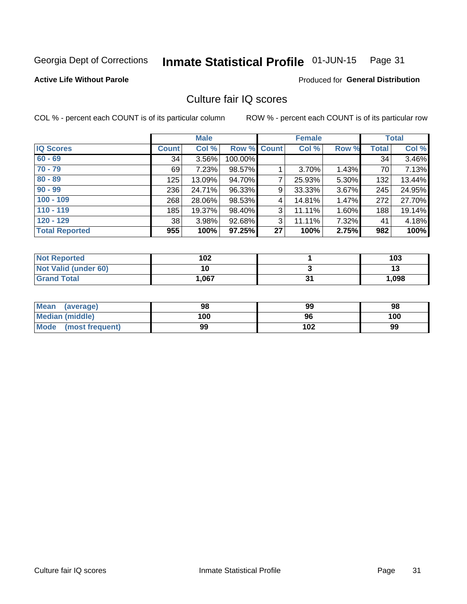#### Inmate Statistical Profile 01-JUN-15 Page 31

### **Active Life Without Parole**

Produced for General Distribution

## Culture fair IQ scores

COL % - percent each COUNT is of its particular column

|                       |              | <b>Male</b> |             |    | <b>Female</b> |          |              | <b>Total</b> |
|-----------------------|--------------|-------------|-------------|----|---------------|----------|--------------|--------------|
| <b>IQ Scores</b>      | <b>Count</b> | Col %       | Row % Count |    | Col %         | Row %    | <b>Total</b> | Col %        |
| $60 - 69$             | 34           | 3.56%       | 100.00%     |    |               |          | 34           | 3.46%        |
| $70 - 79$             | 69           | 7.23%       | 98.57%      |    | 3.70%         | 1.43%    | 70           | 7.13%        |
| $80 - 89$             | 125          | 13.09%      | 94.70%      | 7  | 25.93%        | 5.30%    | 132          | 13.44%       |
| $90 - 99$             | 236          | 24.71%      | 96.33%      | 9  | 33.33%        | $3.67\%$ | 245          | 24.95%       |
| $100 - 109$           | 268          | 28.06%      | 98.53%      | 4  | 14.81%        | 1.47%    | 272          | 27.70%       |
| $110 - 119$           | 185          | 19.37%      | 98.40%      | 3  | 11.11%        | 1.60%    | 188          | 19.14%       |
| $120 - 129$           | 38           | 3.98%       | 92.68%      | 3  | 11.11%        | 7.32%    | 41           | 4.18%        |
| <b>Total Reported</b> | 955          | 100%        | 97.25%      | 27 | 100%          | 2.75%    | 982          | 100%         |

| <b>Not Reported</b>         | 102  | 103   |
|-----------------------------|------|-------|
| <b>Not Valid (under 60)</b> |      | IJ    |
| <b>Grand Total</b>          | .067 | 1,098 |

| <b>Mean</b><br>(average)       | 98  | 99  | 98  |
|--------------------------------|-----|-----|-----|
| <b>Median (middle)</b>         | 100 | 96  | 100 |
| <b>Mode</b><br>(most frequent) | 99  | 102 | 99  |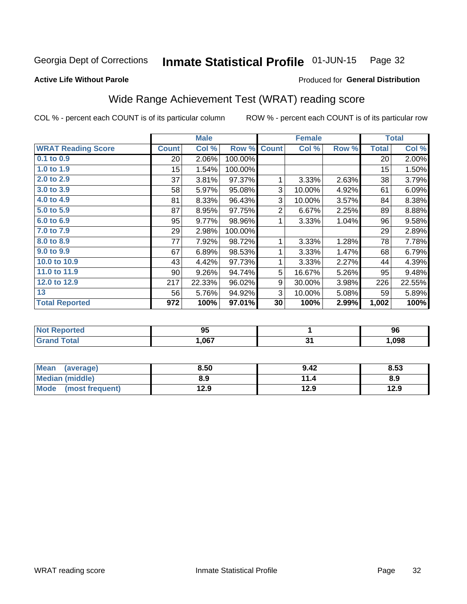#### Inmate Statistical Profile 01-JUN-15 Page 32

**Active Life Without Parole** 

#### Produced for General Distribution

## Wide Range Achievement Test (WRAT) reading score

COL % - percent each COUNT is of its particular column

|                           |                 | <b>Male</b> |         |                | <b>Female</b> |       |              | <b>Total</b> |
|---------------------------|-----------------|-------------|---------|----------------|---------------|-------|--------------|--------------|
| <b>WRAT Reading Score</b> | <b>Count</b>    | Col %       | Row %   | <b>Count</b>   | Col %         | Row % | <b>Total</b> | Col %        |
| $0.1$ to $0.9$            | 20 <sup>°</sup> | 2.06%       | 100.00% |                |               |       | 20           | 2.00%        |
| 1.0 to 1.9                | 15              | 1.54%       | 100.00% |                |               |       | 15           | 1.50%        |
| 2.0 to 2.9                | 37              | 3.81%       | 97.37%  | 1              | 3.33%         | 2.63% | 38           | 3.79%        |
| 3.0 to 3.9                | 58              | 5.97%       | 95.08%  | 3              | 10.00%        | 4.92% | 61           | 6.09%        |
| 4.0 to 4.9                | 81              | 8.33%       | 96.43%  | 3              | 10.00%        | 3.57% | 84           | 8.38%        |
| 5.0 to 5.9                | 87              | 8.95%       | 97.75%  | $\overline{2}$ | 6.67%         | 2.25% | 89           | 8.88%        |
| 6.0 to 6.9                | 95              | 9.77%       | 98.96%  | 1              | 3.33%         | 1.04% | 96           | 9.58%        |
| 7.0 to 7.9                | 29              | 2.98%       | 100.00% |                |               |       | 29           | 2.89%        |
| 8.0 to 8.9                | 77              | 7.92%       | 98.72%  | 1              | 3.33%         | 1.28% | 78           | 7.78%        |
| 9.0 to 9.9                | 67              | 6.89%       | 98.53%  | 1              | 3.33%         | 1.47% | 68           | 6.79%        |
| 10.0 to 10.9              | 43              | 4.42%       | 97.73%  | 1              | 3.33%         | 2.27% | 44           | 4.39%        |
| 11.0 to 11.9              | 90 <sup>°</sup> | 9.26%       | 94.74%  | 5              | 16.67%        | 5.26% | 95           | 9.48%        |
| 12.0 to 12.9              | 217             | 22.33%      | 96.02%  | 9              | 30.00%        | 3.98% | 226          | 22.55%       |
| 13                        | 56              | 5.76%       | 94.92%  | 3              | 10.00%        | 5.08% | 59           | 5.89%        |
| <b>Total Reported</b>     | 972             | 100%        | 97.01%  | 30             | 100%          | 2.99% | 1,002        | 100%         |
|                           |                 |             |         |                |               |       |              |              |

| <b>Not Reported</b> | 95   |              | 96    |
|---------------------|------|--------------|-------|
| Гоtal               | .067 | $\sim$<br>v, | 1,098 |

| Mean (average)         | 8.50 | 9.42 | 8.53 |
|------------------------|------|------|------|
| <b>Median (middle)</b> | 8.9  | 11.4 | 8.9  |
| Mode (most frequent)   | 12.9 | 12.9 | 12.9 |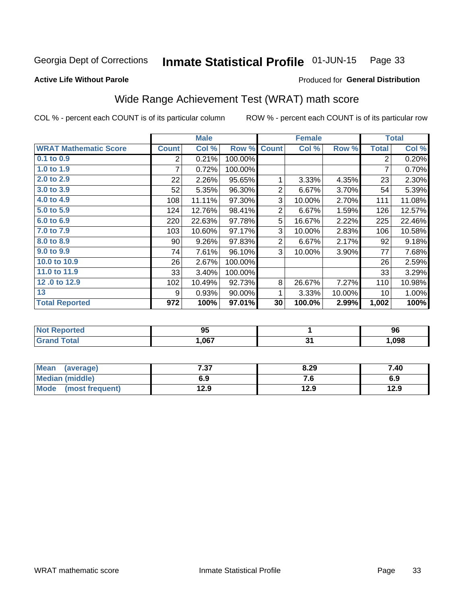#### Inmate Statistical Profile 01-JUN-15 Page 33

#### **Active Life Without Parole**

### Produced for General Distribution

## Wide Range Achievement Test (WRAT) math score

COL % - percent each COUNT is of its particular column

|                              |                 | <b>Male</b> |           |                 | <b>Female</b> |        |              | <b>Total</b> |
|------------------------------|-----------------|-------------|-----------|-----------------|---------------|--------|--------------|--------------|
| <b>WRAT Mathematic Score</b> | <b>Count</b>    | Col %       | Row %     | <b>Count</b>    | Col %         | Row %  | <b>Total</b> | Col %        |
| $0.1$ to $0.9$               | 2               | 0.21%       | 100.00%   |                 |               |        | 2            | 0.20%        |
| 1.0 to 1.9                   | 7               | 0.72%       | 100.00%   |                 |               |        | 7            | 0.70%        |
| 2.0 to 2.9                   | 22              | 2.26%       | 95.65%    | 1               | 3.33%         | 4.35%  | 23           | 2.30%        |
| 3.0 to 3.9                   | 52              | 5.35%       | 96.30%    | $\overline{2}$  | 6.67%         | 3.70%  | 54           | 5.39%        |
| 4.0 to 4.9                   | 108             | 11.11%      | 97.30%    | 3               | 10.00%        | 2.70%  | 111          | 11.08%       |
| 5.0 to 5.9                   | 124             | 12.76%      | 98.41%    | $\overline{2}$  | 6.67%         | 1.59%  | 126          | 12.57%       |
| 6.0 to 6.9                   | 220             | 22.63%      | 97.78%    | 5               | 16.67%        | 2.22%  | 225          | 22.46%       |
| 7.0 to 7.9                   | 103             | 10.60%      | 97.17%    | 3               | 10.00%        | 2.83%  | 106          | 10.58%       |
| 8.0 to 8.9                   | 90 <sub>1</sub> | 9.26%       | 97.83%    | 2               | 6.67%         | 2.17%  | 92           | 9.18%        |
| 9.0 to 9.9                   | 74              | 7.61%       | 96.10%    | 3               | 10.00%        | 3.90%  | 77           | 7.68%        |
| 10.0 to 10.9                 | 26              | 2.67%       | 100.00%   |                 |               |        | 26           | 2.59%        |
| 11.0 to 11.9                 | 33              | 3.40%       | 100.00%   |                 |               |        | 33           | 3.29%        |
| 12.0 to 12.9                 | 102             | 10.49%      | 92.73%    | 8               | 26.67%        | 7.27%  | 110          | 10.98%       |
| 13                           | 9               | 0.93%       | $90.00\%$ | 1               | 3.33%         | 10.00% | 10           | 1.00%        |
| <b>Total Reported</b>        | 972             | 100%        | 97.01%    | 30 <sup>°</sup> | 100.0%        | 2.99%  | 1,002        | 100%         |

| <b>Not Reported</b>   | ΛE<br>ນບ |    | 96   |
|-----------------------|----------|----|------|
| <b>Total</b><br>Grand | 067,،    | м. | ,098 |

| <b>Mean</b><br>(average) | 7.37 | 8.29 | 7.40 |
|--------------------------|------|------|------|
| <b>Median (middle)</b>   | 6.9  | 7. J | 6.9  |
| Mode (most frequent)     | 12.9 | 12.9 | 12.9 |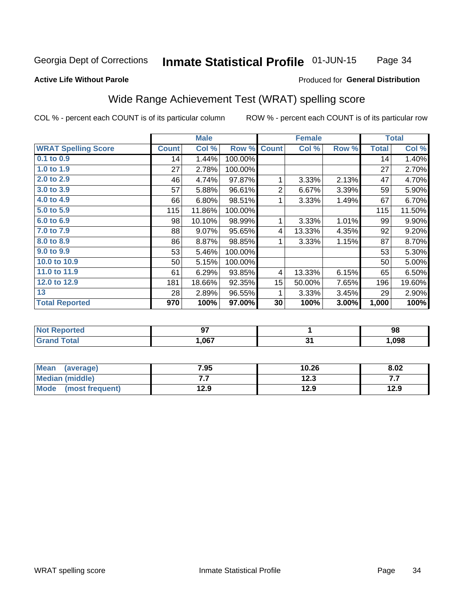#### Inmate Statistical Profile 01-JUN-15 Page 34

#### **Active Life Without Parole**

### Produced for General Distribution

## Wide Range Achievement Test (WRAT) spelling score

COL % - percent each COUNT is of its particular column

|                            |              | <b>Male</b> |         |                  | <b>Female</b>  |       |              | <b>Total</b> |
|----------------------------|--------------|-------------|---------|------------------|----------------|-------|--------------|--------------|
| <b>WRAT Spelling Score</b> | <b>Count</b> | Col %       | Row %   | <b>Count</b>     | Col %          | Row % | <b>Total</b> | Col %        |
| 0.1 to 0.9                 | 14           | 1.44%       | 100.00% |                  |                |       | 14           | 1.40%        |
| 1.0 to 1.9                 | 27           | 2.78%       | 100.00% |                  |                |       | 27           | 2.70%        |
| 2.0 to 2.9                 | 46           | 4.74%       | 97.87%  | 1                | 3.33%          | 2.13% | 47           | 4.70%        |
| 3.0 to 3.9                 | 57           | 5.88%       | 96.61%  | 2                | 6.67%          | 3.39% | 59           | 5.90%        |
| 4.0 to 4.9                 | 66           | 6.80%       | 98.51%  |                  | 3.33%          | 1.49% | 67           | 6.70%        |
| 5.0 to 5.9                 | 115          | 11.86%      | 100.00% |                  |                |       | 115          | 11.50%       |
| 6.0 to 6.9                 | 98           | 10.10%      | 98.99%  | 1                | 3.33%          | 1.01% | 99           | 9.90%        |
| 7.0 to 7.9                 | 88           | 9.07%       | 95.65%  | 4                | 13.33%         | 4.35% | 92           | 9.20%        |
| 8.0 to 8.9                 | 86           | 8.87%       | 98.85%  | 1                | 3.33%          | 1.15% | 87           | 8.70%        |
| 9.0 to 9.9                 | 53           | 5.46%       | 100.00% |                  |                |       | 53           | 5.30%        |
| 10.0 to 10.9               | 50           | 5.15%       | 100.00% |                  |                |       | 50           | 5.00%        |
| 11.0 to 11.9               | 61           | 6.29%       | 93.85%  | 4                | 13.33%         | 6.15% | 65           | 6.50%        |
| 12.0 to 12.9               | 181          | 18.66%      | 92.35%  | 15 <sub>15</sub> | 50.00%         | 7.65% | 196          | 19.60%       |
| 13                         | 28           | 2.89%       | 96.55%  | 1                | 3.33%          | 3.45% | 29           | 2.90%        |
| <b>Total Reported</b>      | 970          | 100%        | 97.00%  | 30               | 100%           | 3.00% | 1,000        | 100%         |
|                            |              |             |         |                  |                |       |              |              |
| Mart Daniel and a st       |              | $\sim$      |         |                  | $\overline{a}$ |       |              | nn.          |

| -N/<br>$\blacksquare$ | $-$<br>v. |            | 98   |
|-----------------------|-----------|------------|------|
|                       | .067      | . .<br>. . | .098 |

| <b>Mean</b><br>(average) | 7.95 | 10.26 | 8.02 |
|--------------------------|------|-------|------|
| Median (middle)          | .    | 12.3  | .    |
| Mode<br>(most frequent)  | 12.9 | 12.9  | 12.9 |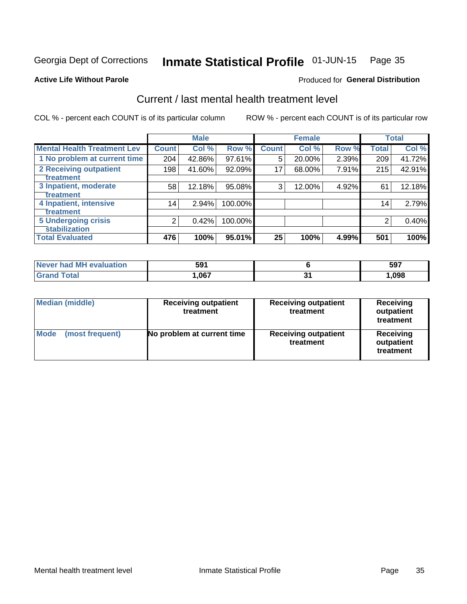#### Inmate Statistical Profile 01-JUN-15 Page 35

#### **Active Life Without Parole**

## **Produced for General Distribution**

## Current / last mental health treatment level

COL % - percent each COUNT is of its particular column

|                                    |              | <b>Male</b> |           |              | <b>Female</b> |       |                 | <b>Total</b> |
|------------------------------------|--------------|-------------|-----------|--------------|---------------|-------|-----------------|--------------|
| <b>Mental Health Treatment Lev</b> | <b>Count</b> | Col %       | Row %     | <b>Count</b> | Col %         | Row % | Total           | Col %        |
| 1 No problem at current time       | 204          | 42.86%      | 97.61%    | 5            | 20.00%        | 2.39% | 209             | 41.72%       |
| 2 Receiving outpatient             | 198          | 41.60%      | $92.09\%$ | 17           | 68.00%        | 7.91% | 215             | 42.91%       |
| <b>Treatment</b>                   |              |             |           |              |               |       |                 |              |
| 3 Inpatient, moderate              | 58           | 12.18%      | 95.08%    | 3            | 12.00%        | 4.92% | 61              | 12.18%       |
| Treatment                          |              |             |           |              |               |       |                 |              |
| 4 Inpatient, intensive             | 14           | 2.94%       | 100.00%   |              |               |       | 14 <sub>1</sub> | 2.79%        |
| Treatment                          |              |             |           |              |               |       |                 |              |
| <b>5 Undergoing crisis</b>         | 2            | 0.42%       | 100.00%   |              |               |       | 2               | 0.40%        |
| <b>stabilization</b>               |              |             |           |              |               |       |                 |              |
| <b>Total Evaluated</b>             | 476          | 100%        | 95.01%    | 25           | 100%          | 4.99% | 501             | 100%         |

| evaluation<br>Never had MI | 591 | 597  |
|----------------------------|-----|------|
| $\sim$ 10                  | በ67 | ,098 |

| <b>Median (middle)</b>  | <b>Receiving outpatient</b><br>treatment | <b>Receiving outpatient</b><br>treatment | <b>Receiving</b><br>outpatient<br>treatment |  |
|-------------------------|------------------------------------------|------------------------------------------|---------------------------------------------|--|
| Mode<br>(most frequent) | No problem at current time               | <b>Receiving outpatient</b><br>treatment | <b>Receiving</b><br>outpatient<br>treatment |  |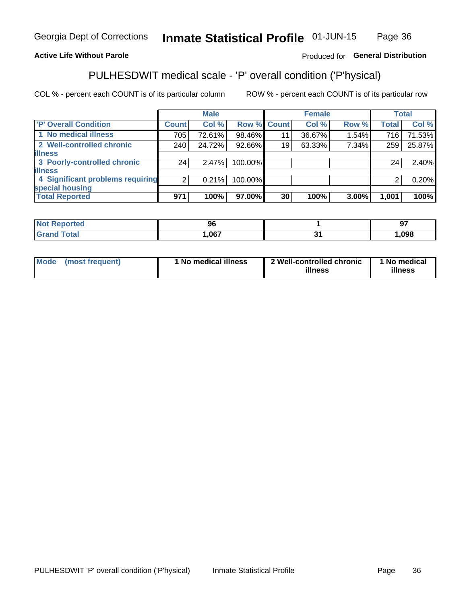#### **Inmate Statistical Profile 01-JUN-15** Page 36

## **Active Life Without Parole**

## Produced for General Distribution

## PULHESDWIT medical scale - 'P' overall condition ('P'hysical)

COL % - percent each COUNT is of its particular column

|                                  |         | <b>Male</b> |             |    | <b>Female</b> |       |              | <b>Total</b> |
|----------------------------------|---------|-------------|-------------|----|---------------|-------|--------------|--------------|
| 'P' Overall Condition            | Count l | Col %       | Row % Count |    | Col %         | Row % | <b>Total</b> | Col %        |
| 1 No medical illness             | 705     | 72.61%      | 98.46%      | 11 | 36.67%        | 1.54% | 716          | 71.53%       |
| 2 Well-controlled chronic        | 240     | 24.72%      | 92.66%      | 19 | 63.33%        | 7.34% | 259          | 25.87%       |
| <b>illness</b>                   |         |             |             |    |               |       |              |              |
| 3 Poorly-controlled chronic      | 24      | 2.47%       | 100.00%     |    |               |       | 24           | 2.40%        |
| <b>illness</b>                   |         |             |             |    |               |       |              |              |
| 4 Significant problems requiring | 2       | 0.21%       | 100.00%     |    |               |       | 2            | 0.20%        |
| special housing                  |         |             |             |    |               |       |              |              |
| <b>Total Reported</b>            | 971     | 100%        | 97.00%      | 30 | 100%          | 3.00% | 1,001        | 100%         |

|       | 96   |     | $ -$<br>o<br>. ㄱ. |
|-------|------|-----|-------------------|
| _____ | ,067 | . . | ,098              |

| <b>Mode</b> | (most frequent) | 1 No medical illness | 2 Well-controlled chronic<br>illness | 1 No medical<br>illness |
|-------------|-----------------|----------------------|--------------------------------------|-------------------------|
|-------------|-----------------|----------------------|--------------------------------------|-------------------------|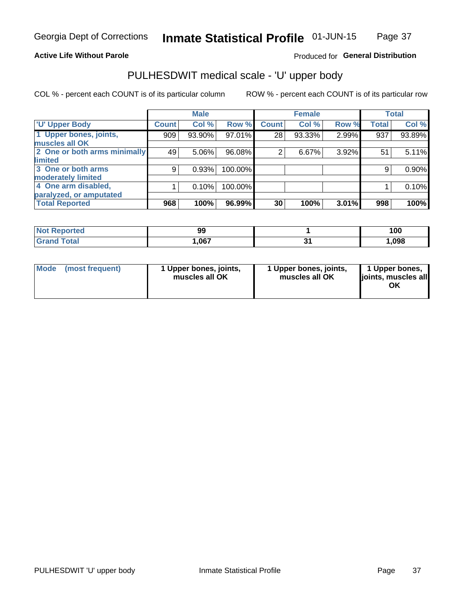### **Active Life Without Parole**

## Produced for General Distribution

## PULHESDWIT medical scale - 'U' upper body

COL % - percent each COUNT is of its particular column

|                              |               | <b>Male</b> |         |              | <b>Female</b> |       |              | <b>Total</b> |
|------------------------------|---------------|-------------|---------|--------------|---------------|-------|--------------|--------------|
| <b>U' Upper Body</b>         | <b>Count!</b> | Col %       | Row %   | <b>Count</b> | Col %         | Row % | <b>Total</b> | Col %        |
| 1 Upper bones, joints,       | 909           | 93.90%      | 97.01%  | 28           | 93.33%        | 2.99% | 937          | 93.89%       |
| muscles all OK               |               |             |         |              |               |       |              |              |
| 2 One or both arms minimally | 49            | 5.06%       | 96.08%  | 2            | 6.67%         | 3.92% | 51           | 5.11%        |
| limited                      |               |             |         |              |               |       |              |              |
| 3 One or both arms           | 9             | 0.93%       | 100.00% |              |               |       | 9            | 0.90%        |
| <b>moderately limited</b>    |               |             |         |              |               |       |              |              |
| 4 One arm disabled,          |               | 0.10%       | 100.00% |              |               |       |              | 0.10%        |
| paralyzed, or amputated      |               |             |         |              |               |       |              |              |
| <b>Total Reported</b>        | 968           | 100%        | 96.99%  | 30           | 100%          | 3.01% | 998          | 100%         |

| <b>Not Reported</b> | 99   | 100  |
|---------------------|------|------|
| Total               | ,067 | ,098 |

| Mode | (most frequent) | 1 Upper bones, joints,<br>muscles all OK | 1 Upper bones, joints,<br>muscles all OK | 1 Upper bones,<br>ljoints, muscles all<br>OK |
|------|-----------------|------------------------------------------|------------------------------------------|----------------------------------------------|
|------|-----------------|------------------------------------------|------------------------------------------|----------------------------------------------|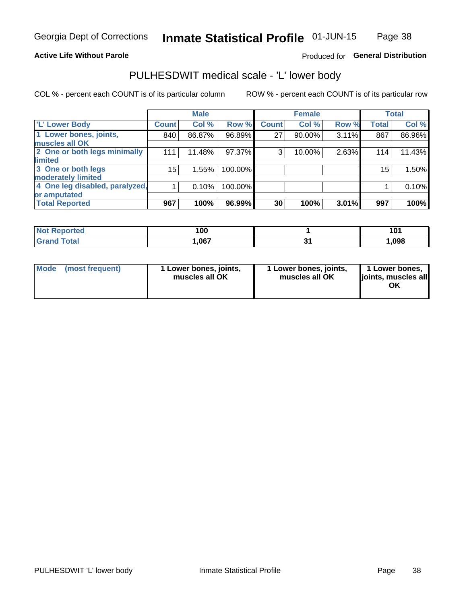### **Active Life Without Parole**

## Produced for General Distribution

## PULHESDWIT medical scale - 'L' lower body

COL % - percent each COUNT is of its particular column

|                                |                 | <b>Male</b> |         |              | <b>Female</b> |       |              | <b>Total</b> |
|--------------------------------|-----------------|-------------|---------|--------------|---------------|-------|--------------|--------------|
| 'L' Lower Body                 | <b>Count</b>    | Col %       | Row %   | <b>Count</b> | Col %         | Row % | <b>Total</b> | Col %        |
| 1 Lower bones, joints,         | 840             | 86.87%      | 96.89%  | 27           | 90.00%        | 3.11% | 867          | 86.96%       |
| muscles all OK                 |                 |             |         |              |               |       |              |              |
| 2 One or both legs minimally   | 111             | 11.48%      | 97.37%  | 3            | 10.00%        | 2.63% | 114          | 11.43%       |
| limited                        |                 |             |         |              |               |       |              |              |
| 3 One or both legs             | 15 <sup>2</sup> | 1.55%       | 100.00% |              |               |       | 15           | 1.50%        |
| moderately limited             |                 |             |         |              |               |       |              |              |
| 4 One leg disabled, paralyzed, |                 | 0.10%       | 100.00% |              |               |       |              | 0.10%        |
| or amputated                   |                 |             |         |              |               |       |              |              |
| <b>Total Reported</b>          | 967             | 100%        | 96.99%  | 30           | 100%          | 3.01% | 997          | 100%         |

| <b>Not Reported</b> | 100  | 101<br>ו טו |
|---------------------|------|-------------|
| Total               | ,067 | ,098        |

| Mode | (most frequent) | 1 Lower bones, joints,<br>muscles all OK | 1 Lower bones, joints,<br>muscles all OK | 1 Lower bones,<br>ljoints, muscles all<br>ΟK |
|------|-----------------|------------------------------------------|------------------------------------------|----------------------------------------------|
|------|-----------------|------------------------------------------|------------------------------------------|----------------------------------------------|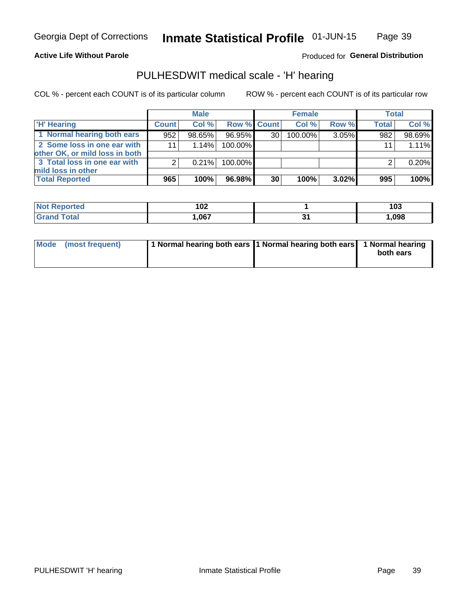### **Active Life Without Parole**

## Produced for General Distribution

## PULHESDWIT medical scale - 'H' hearing

COL % - percent each COUNT is of its particular column

|                                                               |              | <b>Male</b> |             |    | <b>Female</b> |       | <b>Total</b> |        |
|---------------------------------------------------------------|--------------|-------------|-------------|----|---------------|-------|--------------|--------|
| <b>H'</b> Hearing                                             | <b>Count</b> | Col %       | Row % Count |    | Col%          | Row % | <b>Total</b> | Col %  |
| 1 Normal hearing both ears                                    | 952          | 98.65%      | 96.95%      | 30 | 100.00%       | 3.05% | 982          | 98.69% |
| 2 Some loss in one ear with<br>other OK, or mild loss in both | 11           | 1.14%       | 100.00%     |    |               |       | 11           | 1.11%  |
| 3 Total loss in one ear with<br>mild loss in other            | 2            | 0.21%       | 100.00%     |    |               |       |              | 0.20%  |
| <b>Total Reported</b>                                         | 965          | 100%        | 96.98%      | 30 | 100%          | 3.02% | 995          | 100%   |

| Reported<br><b>Not</b> | 102  | 103  |
|------------------------|------|------|
| <b>Total</b>           | ,067 | ,098 |

| Mode (most frequent) | 1 Normal hearing both ears 1 Normal hearing both ears 1 Normal hearing | both ears |
|----------------------|------------------------------------------------------------------------|-----------|
|                      |                                                                        |           |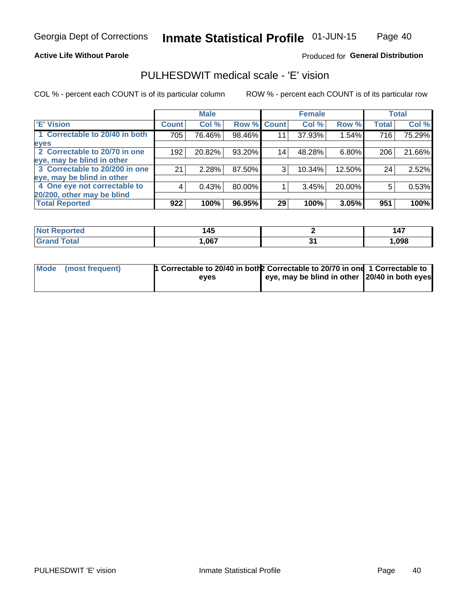### **Active Life Without Parole**

### Produced for General Distribution

## PULHESDWIT medical scale - 'E' vision

COL % - percent each COUNT is of its particular column

|                                |              | <b>Male</b> |        |              | <b>Female</b> |          |              | <b>Total</b> |
|--------------------------------|--------------|-------------|--------|--------------|---------------|----------|--------------|--------------|
| <b>E' Vision</b>               | <b>Count</b> | Col %       | Row %  | <b>Count</b> | Col %         | Row %    | <b>Total</b> | Col %        |
| 1 Correctable to 20/40 in both | 705          | 76.46%      | 98.46% | 11           | 37.93%        | 1.54%    | 716          | 75.29%       |
| eyes                           |              |             |        |              |               |          |              |              |
| 2 Correctable to 20/70 in one  | 192          | 20.82%      | 93.20% | 14           | 48.28%        | $6.80\%$ | 206          | 21.66%       |
| eye, may be blind in other     |              |             |        |              |               |          |              |              |
| 3 Correctable to 20/200 in one | 21           | 2.28%       | 87.50% | 3            | 10.34%        | 12.50%   | 24           | 2.52%        |
| eye, may be blind in other     |              |             |        |              |               |          |              |              |
| 4 One eye not correctable to   | 4            | 0.43%       | 80.00% |              | 3.45%         | 20.00%   | 5            | 0.53%        |
| 20/200, other may be blind     |              |             |        |              |               |          |              |              |
| <b>Total Reported</b>          | 922          | 100%        | 96.95% | 29           | 100%          | 3.05%    | 951          | 100%         |

| orted<br><b>NOT REDUCT</b><br>$\sim$ | $\overline{AB}$<br>. – |   | --<br>147 |
|--------------------------------------|------------------------|---|-----------|
| Total                                | ,067                   | . | ,098      |

| Mode (most frequent) | 1 Correctable to 20/40 in both 2 Correctable to 20/70 in one 1 Correctable to<br>eves | eye, may be blind in other 20/40 in both eyes |  |
|----------------------|---------------------------------------------------------------------------------------|-----------------------------------------------|--|
|                      |                                                                                       |                                               |  |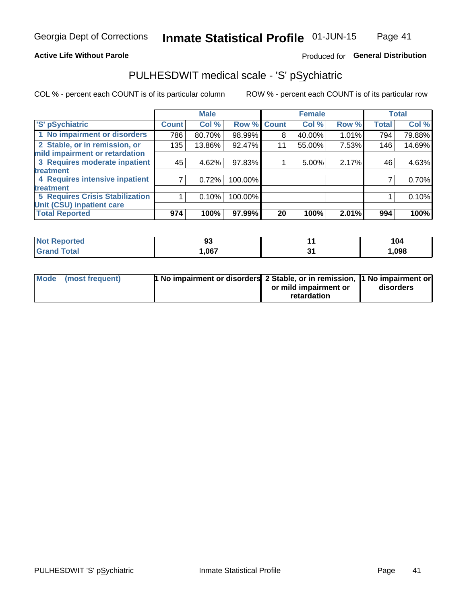### **Active Life Without Parole**

## Produced for General Distribution

## PULHESDWIT medical scale - 'S' pSychiatric

COL % - percent each COUNT is of its particular column

|                                        |              | <b>Male</b> |         |             | <b>Female</b> |       |              | <b>Total</b> |
|----------------------------------------|--------------|-------------|---------|-------------|---------------|-------|--------------|--------------|
| 'S' pSychiatric                        | <b>Count</b> | Col %       |         | Row % Count | Col %         | Row % | <b>Total</b> | Col %        |
| 1 No impairment or disorders           | 786          | 80.70%      | 98.99%  | 8           | 40.00%        | 1.01% | 794          | 79.88%       |
| 2 Stable, or in remission, or          | 135          | 13.86%      | 92.47%  | 11          | 55.00%        | 7.53% | 146          | 14.69%       |
| mild impairment or retardation         |              |             |         |             |               |       |              |              |
| 3 Requires moderate inpatient          | 45           | 4.62%       | 97.83%  |             | 5.00%         | 2.17% | 46           | 4.63%        |
| <b>treatment</b>                       |              |             |         |             |               |       |              |              |
| 4 Requires intensive inpatient         |              | 0.72%       | 100.00% |             |               |       |              | 0.70%        |
| treatment                              |              |             |         |             |               |       |              |              |
| <b>5 Requires Crisis Stabilization</b> |              | 0.10%       | 100.00% |             |               |       |              | 0.10%        |
| Unit (CSU) inpatient care              |              |             |         |             |               |       |              |              |
| <b>Total Reported</b>                  | 974          | 100%        | 97.99%  | 20          | 100%          | 2.01% | 994          | 100%         |

| <b>Not Reported</b>  | 93   | 104  |
|----------------------|------|------|
| <b>Total</b><br>Cron | ,067 | ,098 |

| Mode (most frequent) | <b>1 No impairment or disorders</b> 2 Stable, or in remission, 11 No impairment or |                       |           |
|----------------------|------------------------------------------------------------------------------------|-----------------------|-----------|
|                      |                                                                                    | or mild impairment or | disorders |
|                      |                                                                                    | retardation           |           |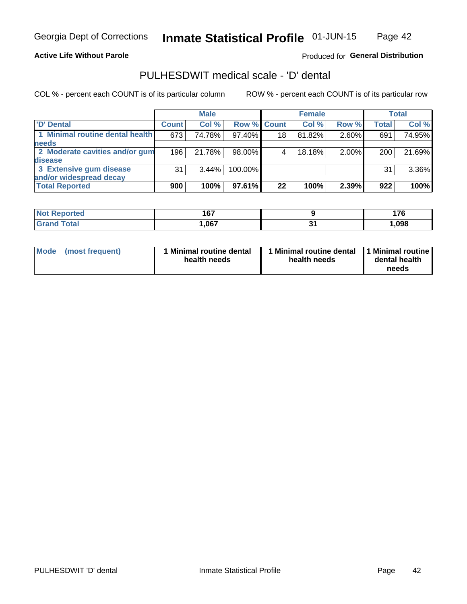### **Active Life Without Parole**

## Produced for General Distribution

## PULHESDWIT medical scale - 'D' dental

COL % - percent each COUNT is of its particular column

|                                 |              | <b>Male</b> |                    |    | <b>Female</b> |       |              | Total  |
|---------------------------------|--------------|-------------|--------------------|----|---------------|-------|--------------|--------|
| 'D' Dental                      | <b>Count</b> | Col %       | <b>Row % Count</b> |    | Col %         | Row % | <b>Total</b> | Col %  |
| 1 Minimal routine dental health | 673          | 74.78%      | 97.40%             | 18 | 81.82%        | 2.60% | 691          | 74.95% |
| <b>needs</b>                    |              |             |                    |    |               |       |              |        |
| 2 Moderate cavities and/or gum  | 196          | 21.78%      | 98.00%             |    | 18.18%        | 2.00% | 200          | 21.69% |
| <b>disease</b>                  |              |             |                    |    |               |       |              |        |
| 3 Extensive gum disease         | 31           | $3.44\%$    | 100.00%            |    |               |       | 31           | 3.36%  |
| and/or widespread decay         |              |             |                    |    |               |       |              |        |
| <b>Total Reported</b>           | 900          | 100%        | 97.61%             | 22 | 100%          | 2.39% | 922          | 100%   |

| meo   | 167  |             | $-$<br>. . v |
|-------|------|-------------|--------------|
| Гоtal | ,067 | $\bullet$ . | ,098         |

| <b>Mode</b><br><b>Minimal routine dental</b><br>(most frequent)<br>health needs | Minimal routine dental<br>health needs | 1 Minimal routine<br>dental health<br>needs |
|---------------------------------------------------------------------------------|----------------------------------------|---------------------------------------------|
|---------------------------------------------------------------------------------|----------------------------------------|---------------------------------------------|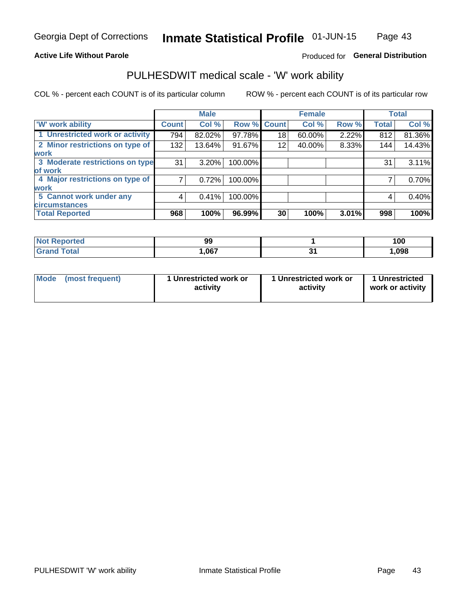### **Active Life Without Parole**

## Produced for General Distribution

## PULHESDWIT medical scale - 'W' work ability

COL % - percent each COUNT is of its particular column

|                                 |              | <b>Male</b> |         |             | <b>Female</b> |       |              | <b>Total</b> |
|---------------------------------|--------------|-------------|---------|-------------|---------------|-------|--------------|--------------|
| <b>W' work ability</b>          | <b>Count</b> | Col %       |         | Row % Count | Col %         | Row % | <b>Total</b> | Col %        |
| 1 Unrestricted work or activity | 794          | 82.02%      | 97.78%  | 18          | 60.00%        | 2.22% | 812          | 81.36%       |
| 2 Minor restrictions on type of | 132          | 13.64%      | 91.67%  | 12          | 40.00%        | 8.33% | 144          | 14.43%       |
| <b>work</b>                     |              |             |         |             |               |       |              |              |
| 3 Moderate restrictions on type | 31           | $3.20\%$    | 100.00% |             |               |       | 31           | 3.11%        |
| lof work                        |              |             |         |             |               |       |              |              |
| 4 Major restrictions on type of |              | 0.72%       | 100.00% |             |               |       |              | 0.70%        |
| <b>work</b>                     |              |             |         |             |               |       |              |              |
| 5 Cannot work under any         | 4            | 0.41%       | 100.00% |             |               |       | 4            | 0.40%        |
| <b>circumstances</b>            |              |             |         |             |               |       |              |              |
| <b>Total Reported</b>           | 968          | 100%        | 96.99%  | 30          | 100%          | 3.01% | 998          | 100%         |

| <b>Not Reported</b> | 99   | 100   |
|---------------------|------|-------|
| Total<br>Grand      | ,067 | 1,098 |

| Mode (most frequent) | 1 Unrestricted work or | 1 Unrestricted work or | 1 Unrestricted   |
|----------------------|------------------------|------------------------|------------------|
|                      | activity               | activity               | work or activity |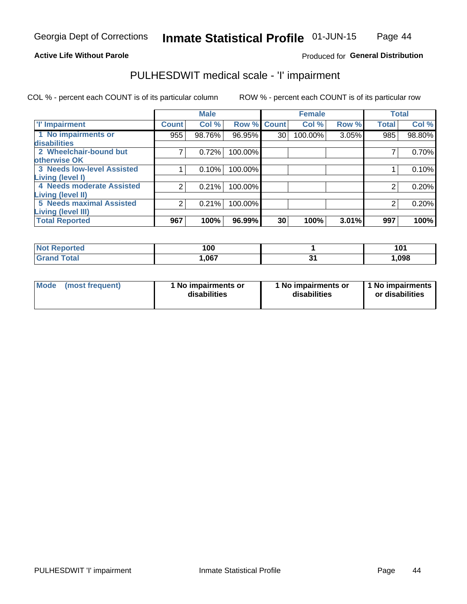### **Active Life Without Parole**

## Produced for General Distribution

## PULHESDWIT medical scale - 'I' impairment

COL % - percent each COUNT is of its particular column ROW % - percent each COUNT is of its particular row

|                                                              |              | <b>Male</b> |             |    | <b>Female</b> |       |              | <b>Total</b> |
|--------------------------------------------------------------|--------------|-------------|-------------|----|---------------|-------|--------------|--------------|
| <b>T' Impairment</b>                                         | <b>Count</b> | Col %       | Row % Count |    | Col %         | Row % | <b>Total</b> | Col %        |
| 1 No impairments or<br>disabilities                          | 955          | 98.76%      | 96.95%      | 30 | 100.00%       | 3.05% | 985          | 98.80%       |
| 2 Wheelchair-bound but<br>otherwise OK                       |              | 0.72%       | 100.00%     |    |               |       |              | 0.70%        |
| <b>3 Needs low-level Assisted</b><br>Living (level I)        |              | 0.10%       | 100.00%     |    |               |       |              | 0.10%        |
| 4 Needs moderate Assisted<br><b>Living (level II)</b>        |              | 0.21%       | 100.00%     |    |               |       |              | 0.20%        |
| <b>5 Needs maximal Assisted</b><br><b>Living (level III)</b> | 2            | 0.21%       | 100.00%     |    |               |       | 2            | 0.20%        |
| <b>Total Reported</b>                                        | 967          | 100%        | 96.99%      | 30 | 100%          | 3.01% | 997          | 100%         |

| <b>norted</b><br>NOI | 100  | 101   |
|----------------------|------|-------|
| <b>Total</b>         | ,067 | 1,098 |

| <b>Mode</b> | (most frequent) | 1 No impairments or<br>disabilities | 1 No impairments or<br>disabilities | 1 No impairments<br>or disabilities |
|-------------|-----------------|-------------------------------------|-------------------------------------|-------------------------------------|
|-------------|-----------------|-------------------------------------|-------------------------------------|-------------------------------------|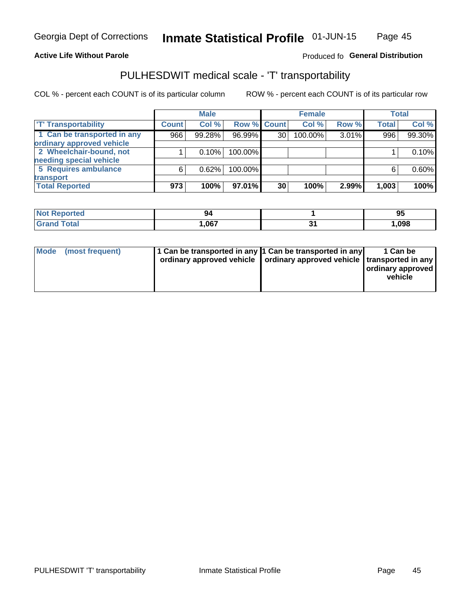### **Active Life Without Parole**

### Produced fo General Distribution

## PULHESDWIT medical scale - 'T' transportability

COL % - percent each COUNT is of its particular column

|                             |              | <b>Male</b> |             |    | <b>Female</b> |       |              | <b>Total</b> |
|-----------------------------|--------------|-------------|-------------|----|---------------|-------|--------------|--------------|
| <b>T' Transportability</b>  | <b>Count</b> | Col %       | Row % Count |    | Col %         | Row % | <b>Total</b> | Col %        |
| 1 Can be transported in any | 966          | 99.28%      | 96.99%      | 30 | 100.00%       | 3.01% | 996          | 99.30%       |
| ordinary approved vehicle   |              |             |             |    |               |       |              |              |
| 2 Wheelchair-bound, not     |              | 0.10%       | 100.00%     |    |               |       |              | 0.10%        |
| needing special vehicle     |              |             |             |    |               |       |              |              |
| 5 Requires ambulance        | 6            | 0.62%       | 100.00%     |    |               |       |              | 0.60%        |
| transport                   |              |             |             |    |               |       |              |              |
| <b>Total Reported</b>       | 973          | 100%        | 97.01%      | 30 | 100%          | 2.99% | 1,003        | 100%         |

| neio | 94   | 95    |
|------|------|-------|
|      | .067 | 1,098 |

| Mode | (most frequent) | 1 Can be transported in any 1 Can be transported in any | ordinary approved vehicle   ordinary approved vehicle   transported in any | 1 Can be<br>  ordinary approved<br>vehicle |
|------|-----------------|---------------------------------------------------------|----------------------------------------------------------------------------|--------------------------------------------|
|      |                 |                                                         |                                                                            |                                            |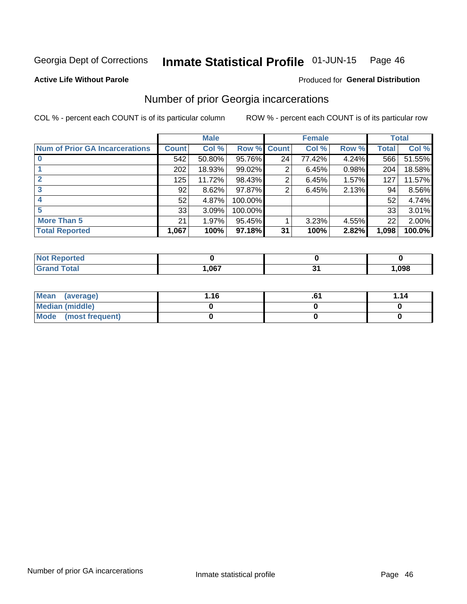#### Inmate Statistical Profile 01-JUN-15 Page 46

#### **Active Life Without Parole**

### Produced for General Distribution

## Number of prior Georgia incarcerations

COL % - percent each COUNT is of its particular column

|                                       |              | <b>Male</b> |                    |    | <b>Female</b> |       |       | <b>Total</b> |
|---------------------------------------|--------------|-------------|--------------------|----|---------------|-------|-------|--------------|
| <b>Num of Prior GA Incarcerations</b> | <b>Count</b> | Col %       | <b>Row % Count</b> |    | Col %         | Row % | Total | Col %        |
|                                       | 542          | 50.80%      | 95.76%             | 24 | 77.42%        | 4.24% | 566   | 51.55%       |
|                                       | 202          | 18.93%      | 99.02%             | 2  | 6.45%         | 0.98% | 204   | 18.58%       |
|                                       | 125          | 11.72%      | 98.43%             | 2  | 6.45%         | 1.57% | 127   | 11.57%       |
| 3                                     | 92           | 8.62%       | 97.87%             | 2  | 6.45%         | 2.13% | 94    | 8.56%        |
|                                       | 52           | 4.87%       | 100.00%            |    |               |       | 52    | 4.74%        |
| 5                                     | 33           | 3.09%       | 100.00%            |    |               |       | 33    | 3.01%        |
| <b>More Than 5</b>                    | 21           | 1.97%       | 95.45%             |    | 3.23%         | 4.55% | 22    | 2.00%        |
| <b>Total Reported</b>                 | 1,067        | 100%        | 97.18%             | 31 | 100%          | 2.82% | 1,098 | 100.0%       |

| orted<br><b>NI</b>              |             |      |
|---------------------------------|-------------|------|
| <b>otal</b><br>$\mathbf{v}$ and | በ67<br>וטטו | ,098 |

| Mean (average)       | 1.16 | .v | 1.14 |
|----------------------|------|----|------|
| Median (middle)      |      |    |      |
| Mode (most frequent) |      |    |      |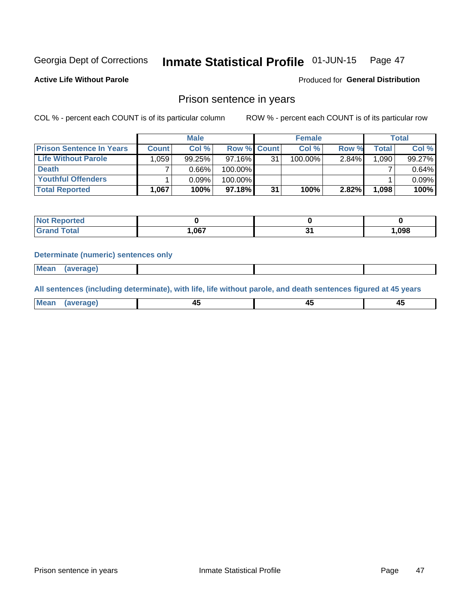#### **Inmate Statistical Profile 01-JUN-15** Page 47

**Active Life Without Parole** 

Produced for General Distribution

## Prison sentence in years

COL % - percent each COUNT is of its particular column

ROW % - percent each COUNT is of its particular row

|                                 |              | <b>Male</b> |                    |    | <b>Female</b> |          |                    | Total  |
|---------------------------------|--------------|-------------|--------------------|----|---------------|----------|--------------------|--------|
| <b>Prison Sentence In Years</b> | <b>Count</b> | Col %       | <b>Row % Count</b> |    | Col %         | Row %    | Total <sub>1</sub> | Col %  |
| <b>Life Without Parole</b>      | 1,059        | 99.25%      | $97.16\%$          | 31 | 100.00%       | $2.84\%$ | 1.090              | 99.27% |
| <b>Death</b>                    |              | 0.66%       | 100.00%            |    |               |          |                    | 0.64%  |
| <b>Youthful Offenders</b>       |              | $0.09\%$    | 100.00%            |    |               |          |                    | 0.09%  |
| <b>Total Reported</b>           | 1,067        | 100%        | 97.18%             | 31 | 100%          | $2.82\%$ | 1.098              | 100%   |

| portea<br>NO |       |    |        |
|--------------|-------|----|--------|
| <b>ota</b>   | 067,، | ъ. | 098, ا |

#### **Determinate (numeric) sentences only**

**Mean** (average)

All sentences (including determinate), with life, life without parole, and death sentences figured at 45 years

| <b>Me</b><br>me<br>-------- | ᠇<br>$\sim$ | $\sim$ | $\sim$ |
|-----------------------------|-------------|--------|--------|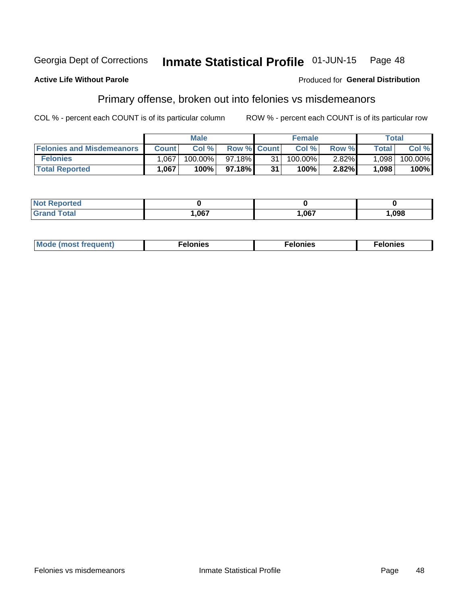#### Inmate Statistical Profile 01-JUN-15 Georgia Dept of Corrections Page 48

#### **Active Life Without Parole**

### Produced for General Distribution

## Primary offense, broken out into felonies vs misdemeanors

COL % - percent each COUNT is of its particular column

|                                  |              | <b>Male</b> |                    |    | <b>Female</b> |          |              | Total   |
|----------------------------------|--------------|-------------|--------------------|----|---------------|----------|--------------|---------|
| <b>Felonies and Misdemeanors</b> | <b>Count</b> | Col%        | <b>Row % Count</b> |    | Col%          | Row %    | <b>Total</b> | Col %   |
| <b>Felonies</b>                  | .067         | $100.00\%$  | 97.18%             | 31 | 100.00%       | $2.82\%$ | 1.098        | 100.00% |
| <b>Total Reported</b>            | .067         | $100\%$     | 97.18%             | 31 | 100%          | 2.82%    | 1,098        | 100%    |

| <b>Not Reported</b>   |      |      |      |
|-----------------------|------|------|------|
| Total<br><b>Grand</b> | ,067 | ,067 | ,098 |

| $Mc$<br>equent)<br>нез<br>$\sim$<br>. | onies<br>. | <b>onies</b><br>. |
|---------------------------------------|------------|-------------------|
|---------------------------------------|------------|-------------------|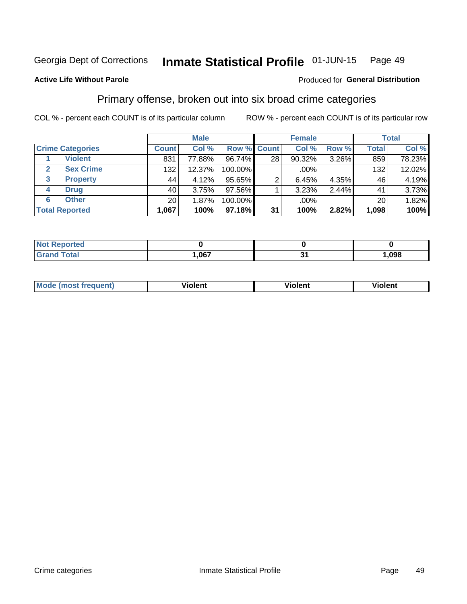#### Inmate Statistical Profile 01-JUN-15 Page 49

### **Active Life Without Parole**

### Produced for General Distribution

## Primary offense, broken out into six broad crime categories

COL % - percent each COUNT is of its particular column

|                         |                 | <b>Male</b> |             |                 | <b>Female</b> |       |              | <b>Total</b> |
|-------------------------|-----------------|-------------|-------------|-----------------|---------------|-------|--------------|--------------|
| <b>Crime Categories</b> | <b>Count</b>    | Col %       | Row % Count |                 | Col %         | Row % | <b>Total</b> | Col %        |
| <b>Violent</b>          | 831             | 77.88%      | 96.74%      | 28 <sub>1</sub> | 90.32%        | 3.26% | 859          | 78.23%       |
| <b>Sex Crime</b>        | 132             | 12.37%      | 100.00%     |                 | .00%          |       | 132          | 12.02%       |
| 3<br><b>Property</b>    | 44              | 4.12%       | $95.65\%$   |                 | 6.45%         | 4.35% | 46           | 4.19%        |
| <b>Drug</b><br>4        | 40              | 3.75%       | $97.56\%$   |                 | 3.23%         | 2.44% | 41           | 3.73%        |
| <b>Other</b><br>6       | 20 <sub>1</sub> | 1.87%       | 100.00%     |                 | .00%          |       | 20           | 1.82%        |
| <b>Total Reported</b>   | 1,067           | 100%        | $97.18\%$   | 31              | 100%          | 2.82% | 1,098        | 100%         |

| <b>Not Reported</b> |      |      |
|---------------------|------|------|
| Total               | ,067 | ,098 |

| M | . | 40 O |
|---|---|------|
|   |   |      |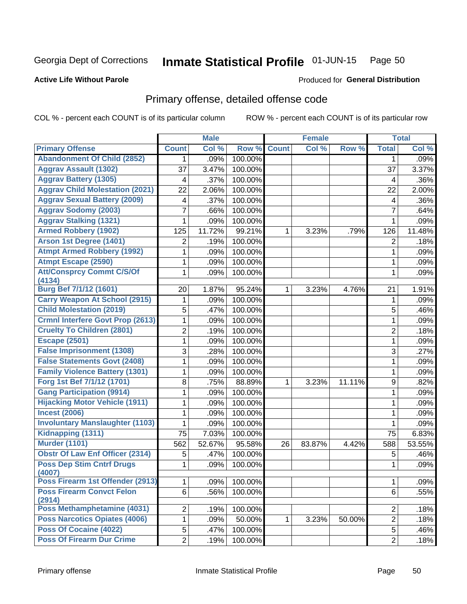#### Inmate Statistical Profile 01-JUN-15 Page 50

#### **Active Life Without Parole**

### Produced for General Distribution

## Primary offense, detailed offense code

COL % - percent each COUNT is of its particular column

|                                            |                | <b>Male</b> |         |              | <b>Female</b> |        |                | <b>Total</b> |
|--------------------------------------------|----------------|-------------|---------|--------------|---------------|--------|----------------|--------------|
| <b>Primary Offense</b>                     | <b>Count</b>   | Col %       | Row %   | <b>Count</b> | Col %         | Row %  | <b>Total</b>   | Col %        |
| <b>Abandonment Of Child (2852)</b>         | 1              | .09%        | 100.00% |              |               |        | 1              | .09%         |
| <b>Aggrav Assault (1302)</b>               | 37             | 3.47%       | 100.00% |              |               |        | 37             | 3.37%        |
| <b>Aggrav Battery (1305)</b>               | 4              | .37%        | 100.00% |              |               |        | 4              | .36%         |
| <b>Aggrav Child Molestation (2021)</b>     | 22             | 2.06%       | 100.00% |              |               |        | 22             | 2.00%        |
| <b>Aggrav Sexual Battery (2009)</b>        | 4              | .37%        | 100.00% |              |               |        | 4              | .36%         |
| <b>Aggrav Sodomy (2003)</b>                | 7              | .66%        | 100.00% |              |               |        | $\overline{7}$ | .64%         |
| <b>Aggrav Stalking (1321)</b>              | 1              | .09%        | 100.00% |              |               |        | 1              | .09%         |
| <b>Armed Robbery (1902)</b>                | 125            | 11.72%      | 99.21%  | 1            | 3.23%         | .79%   | 126            | 11.48%       |
| <b>Arson 1st Degree (1401)</b>             | $\overline{2}$ | .19%        | 100.00% |              |               |        | 2              | .18%         |
| <b>Atmpt Armed Robbery (1992)</b>          | 1              | .09%        | 100.00% |              |               |        | 1              | .09%         |
| <b>Atmpt Escape (2590)</b>                 | 1              | .09%        | 100.00% |              |               |        | 1              | .09%         |
| <b>Att/Consprcy Commt C/S/Of</b>           | 1              | .09%        | 100.00% |              |               |        | 1              | .09%         |
| (4134)                                     |                |             |         |              |               |        |                |              |
| Burg Bef 7/1/12 (1601)                     | 20             | 1.87%       | 95.24%  | 1            | 3.23%         | 4.76%  | 21             | 1.91%        |
| <b>Carry Weapon At School (2915)</b>       | 1              | .09%        | 100.00% |              |               |        | 1              | .09%         |
| <b>Child Molestation (2019)</b>            | 5              | .47%        | 100.00% |              |               |        | 5              | .46%         |
| <b>Crmnl Interfere Govt Prop (2613)</b>    | 1              | .09%        | 100.00% |              |               |        | 1              | .09%         |
| <b>Cruelty To Children (2801)</b>          | $\overline{2}$ | .19%        | 100.00% |              |               |        | $\overline{2}$ | .18%         |
| <b>Escape (2501)</b>                       | 1              | .09%        | 100.00% |              |               |        | 1              | .09%         |
| <b>False Imprisonment (1308)</b>           | 3              | .28%        | 100.00% |              |               |        | 3              | .27%         |
| <b>False Statements Govt (2408)</b>        | 1              | .09%        | 100.00% |              |               |        | 1              | .09%         |
| <b>Family Violence Battery (1301)</b>      | 1              | .09%        | 100.00% |              |               |        | 1              | .09%         |
| Forg 1st Bef 7/1/12 (1701)                 | 8              | .75%        | 88.89%  | $\mathbf 1$  | 3.23%         | 11.11% | 9              | .82%         |
| <b>Gang Participation (9914)</b>           | 1              | .09%        | 100.00% |              |               |        | 1              | .09%         |
| <b>Hijacking Motor Vehicle (1911)</b>      | 1              | .09%        | 100.00% |              |               |        | 1              | .09%         |
| <b>Incest (2006)</b>                       | 1              | .09%        | 100.00% |              |               |        | 1              | .09%         |
| <b>Involuntary Manslaughter (1103)</b>     | 1              | .09%        | 100.00% |              |               |        | 1              | .09%         |
| Kidnapping (1311)                          | 75             | 7.03%       | 100.00% |              |               |        | 75             | 6.83%        |
| <b>Murder (1101)</b>                       | 562            | 52.67%      | 95.58%  | 26           | 83.87%        | 4.42%  | 588            | 53.55%       |
| <b>Obstr Of Law Enf Officer (2314)</b>     | 5              | .47%        | 100.00% |              |               |        | 5              | .46%         |
| <b>Poss Dep Stim Cntrf Drugs</b><br>(4007) | 1              | .09%        | 100.00% |              |               |        | 1              | .09%         |
| Poss Firearm 1st Offender (2913)           | 1              | .09%        | 100.00% |              |               |        | 1              | .09%         |
| <b>Poss Firearm Convct Felon</b><br>(2914) | 6              | .56%        | 100.00% |              |               |        | 6              | .55%         |
| Poss Methamphetamine (4031)                | $\overline{2}$ | .19%        | 100.00% |              |               |        | 2              | .18%         |
| Poss Narcotics Opiates (4006)              | 1              | .09%        | 50.00%  | 1            | 3.23%         | 50.00% | $\overline{2}$ | .18%         |
| <b>Poss Of Cocaine (4022)</b>              | 5              | .47%        | 100.00% |              |               |        | 5              | .46%         |
| <b>Poss Of Firearm Dur Crime</b>           | $\overline{2}$ | .19%        | 100.00% |              |               |        | $\overline{2}$ | .18%         |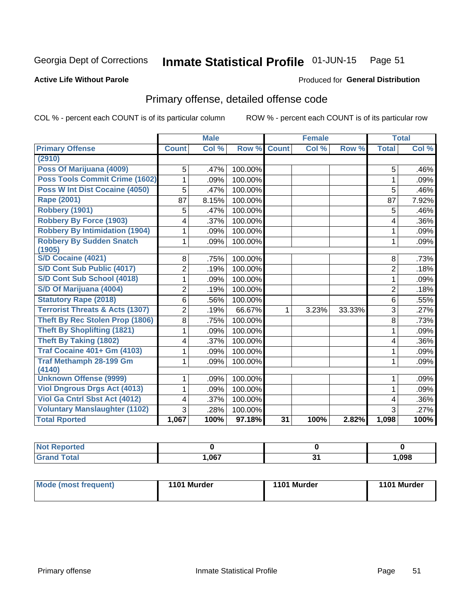#### Inmate Statistical Profile 01-JUN-15 Page 51

#### **Active Life Without Parole**

### Produced for General Distribution

## Primary offense, detailed offense code

COL % - percent each COUNT is of its particular column

|                                            |                | <b>Male</b> |                    |                 | <b>Female</b> |        |                | <b>Total</b> |
|--------------------------------------------|----------------|-------------|--------------------|-----------------|---------------|--------|----------------|--------------|
| <b>Primary Offense</b>                     | <b>Count</b>   | Col %       | <b>Row % Count</b> |                 | Col%          | Row %  | <b>Total</b>   | Col %        |
| (2910)                                     |                |             |                    |                 |               |        |                |              |
| Poss Of Marijuana (4009)                   | 5              | .47%        | 100.00%            |                 |               |        | 5              | .46%         |
| Poss Tools Commit Crime (1602)             | 1              | .09%        | 100.00%            |                 |               |        | 1              | .09%         |
| Poss W Int Dist Cocaine (4050)             | 5              | .47%        | 100.00%            |                 |               |        | 5              | .46%         |
| Rape (2001)                                | 87             | 8.15%       | 100.00%            |                 |               |        | 87             | 7.92%        |
| Robbery (1901)                             | 5              | .47%        | 100.00%            |                 |               |        | 5              | .46%         |
| <b>Robbery By Force (1903)</b>             | 4              | .37%        | 100.00%            |                 |               |        | 4              | .36%         |
| <b>Robbery By Intimidation (1904)</b>      | 1              | .09%        | 100.00%            |                 |               |        | 1              | .09%         |
| <b>Robbery By Sudden Snatch</b>            | 1              | .09%        | 100.00%            |                 |               |        | 1              | .09%         |
| (1905)                                     |                |             |                    |                 |               |        |                |              |
| <b>S/D Cocaine (4021)</b>                  | 8              | .75%        | 100.00%            |                 |               |        | 8              | .73%         |
| S/D Cont Sub Public (4017)                 | $\overline{2}$ | .19%        | 100.00%            |                 |               |        | $\overline{2}$ | .18%         |
| S/D Cont Sub School (4018)                 | 1              | .09%        | 100.00%            |                 |               |        | 1              | .09%         |
| S/D Of Marijuana (4004)                    | $\overline{2}$ | .19%        | 100.00%            |                 |               |        | $\overline{2}$ | .18%         |
| <b>Statutory Rape (2018)</b>               | $6\phantom{1}$ | .56%        | 100.00%            |                 |               |        | 6              | .55%         |
| <b>Terrorist Threats &amp; Acts (1307)</b> | $\overline{2}$ | .19%        | 66.67%             | 1               | 3.23%         | 33.33% | 3              | .27%         |
| Theft By Rec Stolen Prop (1806)            | 8              | .75%        | 100.00%            |                 |               |        | 8              | .73%         |
| <b>Theft By Shoplifting (1821)</b>         |                | .09%        | 100.00%            |                 |               |        | 1              | .09%         |
| <b>Theft By Taking (1802)</b>              | 4              | .37%        | 100.00%            |                 |               |        | 4              | .36%         |
| <b>Traf Cocaine 401+ Gm (4103)</b>         | 1              | .09%        | 100.00%            |                 |               |        | 1              | .09%         |
| <b>Traf Methamph 28-199 Gm</b><br>(4140)   | 1              | .09%        | 100.00%            |                 |               |        | 1              | .09%         |
| <b>Unknown Offense (9999)</b>              | 1              | .09%        | 100.00%            |                 |               |        | 1              | .09%         |
| <b>Viol Dngrous Drgs Act (4013)</b>        | 1              | .09%        | 100.00%            |                 |               |        | 1              | .09%         |
| Viol Ga Cntrl Sbst Act (4012)              | 4              | .37%        | 100.00%            |                 |               |        | 4              | .36%         |
| <b>Voluntary Manslaughter (1102)</b>       | 3              | .28%        | 100.00%            |                 |               |        | 3              | .27%         |
| <b>Total Rported</b>                       | 1,067          | 100%        | 97.18%             | $\overline{31}$ | 100%          | 2.82%  | 1,098          | 100%         |

| portea<br>w |     |    |      |
|-------------|-----|----|------|
| _____       | ne7 | v, | ,098 |

| Mode (most frequent) | 1101 Murder | 1101 Murder | 1101 Murder |
|----------------------|-------------|-------------|-------------|
|                      |             |             |             |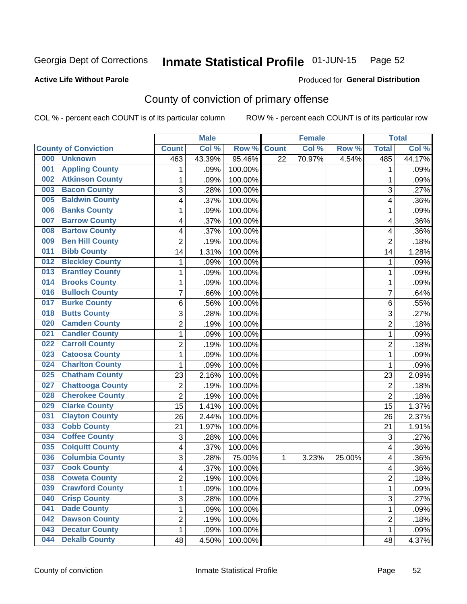#### Inmate Statistical Profile 01-JUN-15 Page 52

Produced for General Distribution

### **Active Life Without Parole**

## County of conviction of primary offense

COL % - percent each COUNT is of its particular column

|                               |                         |                | <b>Male</b> |         |                 | <b>Female</b> |        |                | <b>Total</b> |
|-------------------------------|-------------------------|----------------|-------------|---------|-----------------|---------------|--------|----------------|--------------|
| <b>County of Conviction</b>   |                         | <b>Count</b>   | Col %       | Row %   | <b>Count</b>    | Col %         | Row %  | <b>Total</b>   | Col %        |
| 000<br><b>Unknown</b>         |                         | 463            | 43.39%      | 95.46%  | $\overline{22}$ | 70.97%        | 4.54%  | 485            | 44.17%       |
| <b>Appling County</b><br>001  |                         | 1              | .09%        | 100.00% |                 |               |        | 1              | .09%         |
| <b>Atkinson County</b><br>002 |                         | $\mathbf{1}$   | .09%        | 100.00% |                 |               |        | 1              | .09%         |
| <b>Bacon County</b><br>003    |                         | 3              | .28%        | 100.00% |                 |               |        | 3              | .27%         |
| <b>Baldwin County</b><br>005  |                         | 4              | .37%        | 100.00% |                 |               |        | 4              | .36%         |
| <b>Banks County</b><br>006    |                         | 1              | .09%        | 100.00% |                 |               |        | 1              | .09%         |
| <b>Barrow County</b><br>007   |                         | 4              | .37%        | 100.00% |                 |               |        | 4              | .36%         |
| <b>Bartow County</b><br>008   |                         | 4              | .37%        | 100.00% |                 |               |        | 4              | .36%         |
| <b>Ben Hill County</b><br>009 |                         | $\overline{2}$ | .19%        | 100.00% |                 |               |        | $\overline{2}$ | .18%         |
| <b>Bibb County</b><br>011     |                         | 14             | 1.31%       | 100.00% |                 |               |        | 14             | 1.28%        |
| <b>Bleckley County</b><br>012 |                         | 1              | .09%        | 100.00% |                 |               |        | 1              | .09%         |
| <b>Brantley County</b><br>013 |                         | 1              | .09%        | 100.00% |                 |               |        | $\mathbf 1$    | .09%         |
| <b>Brooks County</b><br>014   |                         | $\mathbf{1}$   | .09%        | 100.00% |                 |               |        | $\mathbf 1$    | .09%         |
| <b>Bulloch County</b><br>016  |                         | 7              | .66%        | 100.00% |                 |               |        | $\overline{7}$ | .64%         |
| <b>Burke County</b><br>017    |                         | 6              | .56%        | 100.00% |                 |               |        | 6              | .55%         |
| <b>Butts County</b><br>018    |                         | 3              | .28%        | 100.00% |                 |               |        | 3              | .27%         |
| <b>Camden County</b><br>020   |                         | $\overline{2}$ | .19%        | 100.00% |                 |               |        | $\overline{2}$ | .18%         |
| <b>Candler County</b><br>021  |                         | 1              | .09%        | 100.00% |                 |               |        | 1              | .09%         |
| <b>Carroll County</b><br>022  |                         | $\overline{2}$ | .19%        | 100.00% |                 |               |        | $\overline{2}$ | .18%         |
| <b>Catoosa County</b><br>023  |                         | 1              | .09%        | 100.00% |                 |               |        | 1              | .09%         |
| <b>Charlton County</b><br>024 |                         | $\mathbf{1}$   | .09%        | 100.00% |                 |               |        | $\mathbf 1$    | .09%         |
| <b>Chatham County</b><br>025  |                         | 23             | 2.16%       | 100.00% |                 |               |        | 23             | 2.09%        |
| 027                           | <b>Chattooga County</b> | $\overline{c}$ | .19%        | 100.00% |                 |               |        | $\overline{2}$ | .18%         |
| 028                           | <b>Cherokee County</b>  | $\overline{2}$ | .19%        | 100.00% |                 |               |        | $\overline{2}$ | .18%         |
| <b>Clarke County</b><br>029   |                         | 15             | 1.41%       | 100.00% |                 |               |        | 15             | 1.37%        |
| <b>Clayton County</b><br>031  |                         | 26             | 2.44%       | 100.00% |                 |               |        | 26             | 2.37%        |
| <b>Cobb County</b><br>033     |                         | 21             | 1.97%       | 100.00% |                 |               |        | 21             | 1.91%        |
| <b>Coffee County</b><br>034   |                         | 3              | .28%        | 100.00% |                 |               |        | 3              | .27%         |
| <b>Colquitt County</b><br>035 |                         | 4              | .37%        | 100.00% |                 |               |        | 4              | .36%         |
| 036                           | <b>Columbia County</b>  | 3              | .28%        | 75.00%  | 1               | 3.23%         | 25.00% | 4              | .36%         |
| <b>Cook County</b><br>037     |                         | 4              | .37%        | 100.00% |                 |               |        | 4              | .36%         |
| 038<br><b>Coweta County</b>   |                         | 2              | .19%        | 100.00% |                 |               |        | 2              | .18%         |
| 039                           | <b>Crawford County</b>  | 1              | .09%        | 100.00% |                 |               |        | $\mathbf{1}$   | .09%         |
| <b>Crisp County</b><br>040    |                         | 3              | .28%        | 100.00% |                 |               |        | 3              | .27%         |
| <b>Dade County</b><br>041     |                         | 1              | .09%        | 100.00% |                 |               |        | $\mathbf{1}$   | .09%         |
| <b>Dawson County</b><br>042   |                         | $\overline{2}$ | .19%        | 100.00% |                 |               |        | $\overline{c}$ | .18%         |
| <b>Decatur County</b><br>043  |                         | 1              | .09%        | 100.00% |                 |               |        | $\mathbf{1}$   | .09%         |
| <b>Dekalb County</b><br>044   |                         | 48             | 4.50%       | 100.00% |                 |               |        | 48             | 4.37%        |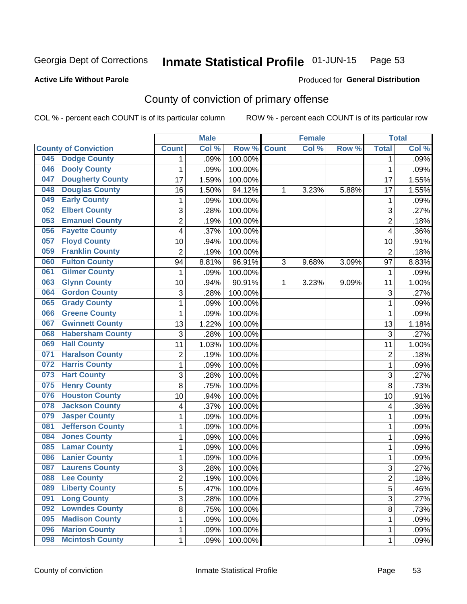#### Inmate Statistical Profile 01-JUN-15 Page 53

### **Active Life Without Parole**

## **Produced for General Distribution**

## County of conviction of primary offense

COL % - percent each COUNT is of its particular column

|                                |                         | <b>Male</b> |                  |              | <b>Female</b> |       |                         | <b>Total</b> |
|--------------------------------|-------------------------|-------------|------------------|--------------|---------------|-------|-------------------------|--------------|
| <b>County of Conviction</b>    | <b>Count</b>            | Col %       | Row <sup>%</sup> | <b>Count</b> | Col %         | Row % | <b>Total</b>            | Col %        |
| <b>Dodge County</b><br>045     | 1                       | .09%        | 100.00%          |              |               |       | 1                       | .09%         |
| <b>Dooly County</b><br>046     | 1                       | .09%        | 100.00%          |              |               |       | 1                       | .09%         |
| <b>Dougherty County</b><br>047 | $\overline{17}$         | 1.59%       | 100.00%          |              |               |       | 17                      | 1.55%        |
| <b>Douglas County</b><br>048   | 16                      | 1.50%       | 94.12%           | 1            | 3.23%         | 5.88% | 17                      | 1.55%        |
| <b>Early County</b><br>049     | 1                       | .09%        | 100.00%          |              |               |       | 1                       | .09%         |
| <b>Elbert County</b><br>052    | 3                       | .28%        | 100.00%          |              |               |       | 3                       | .27%         |
| <b>Emanuel County</b><br>053   | $\overline{2}$          | .19%        | 100.00%          |              |               |       | $\overline{2}$          | .18%         |
| <b>Fayette County</b><br>056   | 4                       | .37%        | 100.00%          |              |               |       | 4                       | .36%         |
| <b>Floyd County</b><br>057     | 10                      | .94%        | 100.00%          |              |               |       | 10                      | .91%         |
| <b>Franklin County</b><br>059  | $\overline{2}$          | .19%        | 100.00%          |              |               |       | $\overline{2}$          | .18%         |
| <b>Fulton County</b><br>060    | 94                      | 8.81%       | 96.91%           | 3            | 9.68%         | 3.09% | 97                      | 8.83%        |
| <b>Gilmer County</b><br>061    | 1                       | .09%        | 100.00%          |              |               |       | 1                       | .09%         |
| <b>Glynn County</b><br>063     | 10                      | .94%        | 90.91%           | 1            | 3.23%         | 9.09% | 11                      | 1.00%        |
| <b>Gordon County</b><br>064    | 3                       | .28%        | 100.00%          |              |               |       | 3                       | .27%         |
| <b>Grady County</b><br>065     | 1                       | .09%        | 100.00%          |              |               |       | 1                       | .09%         |
| <b>Greene County</b><br>066    | 1                       | .09%        | 100.00%          |              |               |       | 1                       | .09%         |
| <b>Gwinnett County</b><br>067  | 13                      | 1.22%       | 100.00%          |              |               |       | 13                      | 1.18%        |
| <b>Habersham County</b><br>068 | 3                       | .28%        | 100.00%          |              |               |       | 3                       | .27%         |
| <b>Hall County</b><br>069      | 11                      | 1.03%       | 100.00%          |              |               |       | 11                      | 1.00%        |
| <b>Haralson County</b><br>071  | $\overline{2}$          | .19%        | 100.00%          |              |               |       | $\overline{2}$          | .18%         |
| <b>Harris County</b><br>072    | 1                       | .09%        | 100.00%          |              |               |       | $\mathbf{1}$            | .09%         |
| <b>Hart County</b><br>073      | 3                       | .28%        | 100.00%          |              |               |       | 3                       | .27%         |
| <b>Henry County</b><br>075     | 8                       | .75%        | 100.00%          |              |               |       | 8                       | .73%         |
| <b>Houston County</b><br>076   | 10                      | .94%        | 100.00%          |              |               |       | 10                      | .91%         |
| <b>Jackson County</b><br>078   | 4                       | .37%        | 100.00%          |              |               |       | 4                       | .36%         |
| <b>Jasper County</b><br>079    | 1                       | .09%        | 100.00%          |              |               |       | 1                       | .09%         |
| <b>Jefferson County</b><br>081 | 1                       | .09%        | 100.00%          |              |               |       | 1                       | .09%         |
| <b>Jones County</b><br>084     | 1                       | .09%        | 100.00%          |              |               |       | 1                       | .09%         |
| <b>Lamar County</b><br>085     | 1                       | .09%        | 100.00%          |              |               |       | 1                       | .09%         |
| <b>Lanier County</b><br>086    | 1                       | .09%        | 100.00%          |              |               |       | 1                       | .09%         |
| <b>Laurens County</b><br>087   | 3                       | .28%        | 100.00%          |              |               |       | 3                       | .27%         |
| 088<br><b>Lee County</b>       | $\overline{\mathbf{c}}$ | .19%        | 100.00%          |              |               |       | $\overline{\mathbf{c}}$ | .18%         |
| <b>Liberty County</b><br>089   | 5                       | .47%        | 100.00%          |              |               |       | $\overline{5}$          | .46%         |
| <b>Long County</b><br>091      | 3                       | .28%        | 100.00%          |              |               |       | 3                       | .27%         |
| <b>Lowndes County</b><br>092   | 8                       | .75%        | 100.00%          |              |               |       | 8                       | .73%         |
| <b>Madison County</b><br>095   | 1                       | .09%        | 100.00%          |              |               |       | 1                       | .09%         |
| <b>Marion County</b><br>096    | 1                       | .09%        | 100.00%          |              |               |       | 1                       | .09%         |
| <b>Mcintosh County</b><br>098  | 1                       | .09%        | 100.00%          |              |               |       | 1                       | .09%         |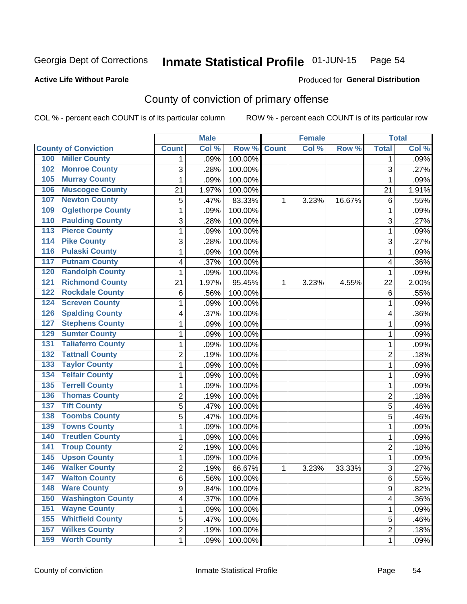#### Inmate Statistical Profile 01-JUN-15 Page 54

### **Active Life Without Parole**

### Produced for General Distribution

## County of conviction of primary offense

COL % - percent each COUNT is of its particular column

|                                            |                | <b>Male</b> |         |              | <b>Female</b> |        |                | <b>Total</b> |
|--------------------------------------------|----------------|-------------|---------|--------------|---------------|--------|----------------|--------------|
| <b>County of Conviction</b>                | <b>Count</b>   | Col %       | Row %   | <b>Count</b> | Col %         | Row %  | <b>Total</b>   | Col %        |
| <b>Miller County</b><br>100                | 1              | .09%        | 100.00% |              |               |        | 1              | .09%         |
| <b>Monroe County</b><br>102                | 3              | .28%        | 100.00% |              |               |        | 3              | .27%         |
| <b>Murray County</b><br>105                | 1              | .09%        | 100.00% |              |               |        | $\mathbf{1}$   | .09%         |
| <b>Muscogee County</b><br>106              | 21             | 1.97%       | 100.00% |              |               |        | 21             | 1.91%        |
| <b>Newton County</b><br>107                | 5              | .47%        | 83.33%  | 1            | 3.23%         | 16.67% | 6              | .55%         |
| <b>Oglethorpe County</b><br>109            | 1              | .09%        | 100.00% |              |               |        | 1              | .09%         |
| <b>Paulding County</b><br>110              | 3              | .28%        | 100.00% |              |               |        | 3              | .27%         |
| <b>Pierce County</b><br>113                | 1              | .09%        | 100.00% |              |               |        | $\mathbf 1$    | .09%         |
| <b>Pike County</b><br>114                  | 3              | .28%        | 100.00% |              |               |        | 3              | .27%         |
| <b>Pulaski County</b><br>116               | 1              | .09%        | 100.00% |              |               |        | 1              | .09%         |
| <b>Putnam County</b><br>117                | 4              | .37%        | 100.00% |              |               |        | 4              | .36%         |
| <b>Randolph County</b><br>120              | 1              | .09%        | 100.00% |              |               |        | 1              | .09%         |
| <b>Richmond County</b><br>$\overline{121}$ | 21             | 1.97%       | 95.45%  | 1            | 3.23%         | 4.55%  | 22             | 2.00%        |
| <b>Rockdale County</b><br>122              | $\,6$          | .56%        | 100.00% |              |               |        | 6              | .55%         |
| <b>Screven County</b><br>124               | 1              | .09%        | 100.00% |              |               |        | 1              | .09%         |
| <b>Spalding County</b><br>126              | 4              | .37%        | 100.00% |              |               |        | 4              | .36%         |
| <b>Stephens County</b><br>127              | 1              | .09%        | 100.00% |              |               |        | 1              | .09%         |
| <b>Sumter County</b><br>129                | 1              | .09%        | 100.00% |              |               |        | 1              | .09%         |
| <b>Taliaferro County</b><br>131            | 1              | .09%        | 100.00% |              |               |        | 1              | .09%         |
| <b>Tattnall County</b><br>132              | $\overline{c}$ | .19%        | 100.00% |              |               |        | $\overline{2}$ | .18%         |
| <b>Taylor County</b><br>133                | 1              | .09%        | 100.00% |              |               |        | $\mathbf 1$    | .09%         |
| <b>Telfair County</b><br>134               | 1              | .09%        | 100.00% |              |               |        | $\mathbf 1$    | .09%         |
| <b>Terrell County</b><br>135               | 1              | .09%        | 100.00% |              |               |        | 1              | .09%         |
| <b>Thomas County</b><br>136                | $\overline{c}$ | .19%        | 100.00% |              |               |        | $\overline{2}$ | .18%         |
| <b>Tift County</b><br>137                  | 5              | .47%        | 100.00% |              |               |        | 5              | .46%         |
| <b>Toombs County</b><br>138                | 5              | .47%        | 100.00% |              |               |        | 5              | .46%         |
| <b>Towns County</b><br>139                 | 1              | .09%        | 100.00% |              |               |        | 1              | .09%         |
| <b>Treutlen County</b><br>140              | 1              | .09%        | 100.00% |              |               |        | 1              | .09%         |
| <b>Troup County</b><br>141                 | $\overline{2}$ | .19%        | 100.00% |              |               |        | $\overline{2}$ | .18%         |
| <b>Upson County</b><br>145                 | 1              | .09%        | 100.00% |              |               |        | $\mathbf 1$    | .09%         |
| <b>Walker County</b><br>146                | $\overline{2}$ | .19%        | 66.67%  | 1            | 3.23%         | 33.33% | 3              | .27%         |
| 147<br><b>Walton County</b>                | 6              | .56%        | 100.00% |              |               |        | 6              | .55%         |
| <b>Ware County</b><br>148                  | 9              | .84%        | 100.00% |              |               |        | 9              | .82%         |
| <b>Washington County</b><br>150            | 4              | .37%        | 100.00% |              |               |        | 4              | .36%         |
| <b>Wayne County</b><br>151                 | 1              | .09%        | 100.00% |              |               |        | $\mathbf{1}$   | .09%         |
| <b>Whitfield County</b><br>155             | 5              | .47%        | 100.00% |              |               |        | 5              | .46%         |
| <b>Wilkes County</b><br>157                | $\overline{2}$ | .19%        | 100.00% |              |               |        | $\overline{c}$ | .18%         |
| <b>Worth County</b><br>159                 | 1              | .09%        | 100.00% |              |               |        | 1              | .09%         |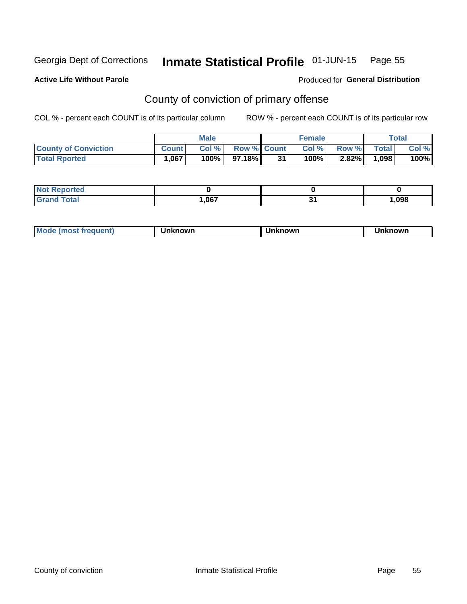#### Inmate Statistical Profile 01-JUN-15 Page 55

#### **Active Life Without Parole**

## Produced for General Distribution

## County of conviction of primary offense

COL % - percent each COUNT is of its particular column

|                             |              | <b>Male</b> |                    |    | <b>Female</b> |          |              | $\tau$ otal |
|-----------------------------|--------------|-------------|--------------------|----|---------------|----------|--------------|-------------|
| <b>County of Conviction</b> | <b>Count</b> | Col %       | <b>Row % Count</b> |    | Col %         | Row %    | <b>Total</b> | Col %       |
| <b>Total Rported</b>        | 1,067        | 100%        | 97.18%             | 31 | $100\%$       | $2.82\%$ | .098         | 100%        |

| orted<br>NO.            |      |     |
|-------------------------|------|-----|
| <b>c</b> otal<br>'Grand | ,067 | 098 |

| <b>Mode</b><br>frequent)<br>. ו <b>MOST</b> ב | ∖known | Unknown | <b>nknown</b> |
|-----------------------------------------------|--------|---------|---------------|
|-----------------------------------------------|--------|---------|---------------|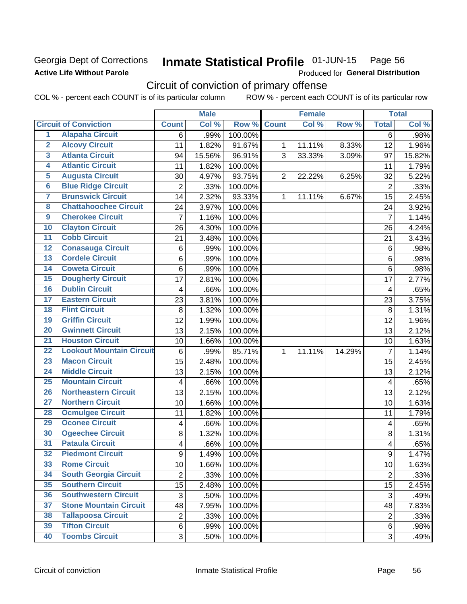## Georgia Dept of Corrections **Active Life Without Parole**

#### Inmate Statistical Profile 01-JUN-15 Page 56

Produced for General Distribution

## Circuit of conviction of primary offense

COL % - percent each COUNT is of its particular column ROW % - percent each COUNT is of its particular row

|                         |                                 |                           | <b>Male</b> |         |                | <b>Female</b> |        |                         | <b>Total</b>        |
|-------------------------|---------------------------------|---------------------------|-------------|---------|----------------|---------------|--------|-------------------------|---------------------|
|                         | <b>Circuit of Conviction</b>    | <b>Count</b>              | Col %       | Row %   | <b>Count</b>   | Col %         | Row %  | <b>Total</b>            | Col %               |
| 1                       | <b>Alapaha Circuit</b>          | 6                         | .99%        | 100.00% |                |               |        | 6                       | .98%                |
| $\overline{2}$          | <b>Alcovy Circuit</b>           | 11                        | 1.82%       | 91.67%  | 1              | 11.11%        | 8.33%  | 12                      | 1.96%               |
| $\overline{\mathbf{3}}$ | <b>Atlanta Circuit</b>          | 94                        | 15.56%      | 96.91%  | 3              | 33.33%        | 3.09%  | 97                      | 15.82%              |
| 4                       | <b>Atlantic Circuit</b>         | 11                        | 1.82%       | 100.00% |                |               |        | 11                      | 1.79%               |
| 5                       | <b>Augusta Circuit</b>          | 30                        | 4.97%       | 93.75%  | $\overline{2}$ | 22.22%        | 6.25%  | 32                      | 5.22%               |
| $\overline{6}$          | <b>Blue Ridge Circuit</b>       | $\overline{2}$            | .33%        | 100.00% |                |               |        | $\overline{2}$          | .33%                |
| 7                       | <b>Brunswick Circuit</b>        | 14                        | 2.32%       | 93.33%  | $\mathbf 1$    | 11.11%        | 6.67%  | 15                      | 2.45%               |
| 8                       | <b>Chattahoochee Circuit</b>    | 24                        | 3.97%       | 100.00% |                |               |        | 24                      | 3.92%               |
| 9                       | <b>Cherokee Circuit</b>         | $\overline{7}$            | 1.16%       | 100.00% |                |               |        | $\overline{7}$          | 1.14%               |
| 10                      | <b>Clayton Circuit</b>          | 26                        | 4.30%       | 100.00% |                |               |        | 26                      | 4.24%               |
| $\overline{11}$         | <b>Cobb Circuit</b>             | 21                        | 3.48%       | 100.00% |                |               |        | 21                      | 3.43%               |
| $\overline{12}$         | <b>Conasauga Circuit</b>        | 6                         | .99%        | 100.00% |                |               |        | $6\phantom{1}6$         | .98%                |
| $\overline{13}$         | <b>Cordele Circuit</b>          | 6                         | .99%        | 100.00% |                |               |        | 6                       | .98%                |
| $\overline{14}$         | <b>Coweta Circuit</b>           | 6                         | .99%        | 100.00% |                |               |        | 6                       | .98%                |
| $\overline{15}$         | <b>Dougherty Circuit</b>        | 17                        | 2.81%       | 100.00% |                |               |        | 17                      | 2.77%               |
| 16                      | <b>Dublin Circuit</b>           | 4                         | .66%        | 100.00% |                |               |        | 4                       | .65%                |
| $\overline{17}$         | <b>Eastern Circuit</b>          | 23                        | 3.81%       | 100.00% |                |               |        | 23                      | 3.75%               |
| $\overline{18}$         | <b>Flint Circuit</b>            | 8                         | 1.32%       | 100.00% |                |               |        | 8                       | 1.31%               |
| 19                      | <b>Griffin Circuit</b>          | 12                        | 1.99%       | 100.00% |                |               |        | 12                      | 1.96%               |
| 20                      | <b>Gwinnett Circuit</b>         | 13                        | 2.15%       | 100.00% |                |               |        | 13                      | 2.12%               |
| $\overline{21}$         | <b>Houston Circuit</b>          | 10                        | 1.66%       | 100.00% |                |               |        | 10                      | 1.63%               |
| $\overline{22}$         | <b>Lookout Mountain Circuit</b> | 6                         | .99%        | 85.71%  | $\mathbf{1}$   | 11.11%        | 14.29% | $\overline{7}$          | 1.14%               |
| 23                      | <b>Macon Circuit</b>            | $\overline{15}$           | 2.48%       | 100.00% |                |               |        | 15                      | 2.45%               |
| 24                      | <b>Middle Circuit</b>           | 13                        | 2.15%       | 100.00% |                |               |        | 13                      | 2.12%               |
| $\overline{25}$         | <b>Mountain Circuit</b>         | $\overline{\mathbf{4}}$   | .66%        | 100.00% |                |               |        | $\overline{4}$          | .65%                |
| 26                      | <b>Northeastern Circuit</b>     | 13                        | 2.15%       | 100.00% |                |               |        | 13                      | 2.12%               |
| $\overline{27}$         | <b>Northern Circuit</b>         | 10                        | 1.66%       | 100.00% |                |               |        | 10                      | 1.63%               |
| 28                      | <b>Ocmulgee Circuit</b>         | 11                        | 1.82%       | 100.00% |                |               |        | 11                      | 1.79%               |
| 29                      | <b>Oconee Circuit</b>           | $\overline{\mathbf{4}}$   | .66%        | 100.00% |                |               |        | $\overline{\mathbf{4}}$ | .65%                |
| 30                      | <b>Ogeechee Circuit</b>         | 8                         | 1.32%       | 100.00% |                |               |        | 8                       | 1.31%               |
| $\overline{31}$         | <b>Pataula Circuit</b>          | 4                         | .66%        | 100.00% |                |               |        | 4                       | .65%                |
| 32                      | <b>Piedmont Circuit</b>         | 9                         | 1.49%       | 100.00% |                |               |        | 9                       | 1.47%               |
| 33                      | <b>Rome Circuit</b>             | 10                        | 1.66%       | 100.00% |                |               |        | 10                      | $\overline{1.63\%}$ |
| 34                      | <b>South Georgia Circuit</b>    | $\overline{2}$            | .33%        | 100.00% |                |               |        | $\overline{2}$          | .33%                |
| 35                      | <b>Southern Circuit</b>         | 15                        | 2.48%       | 100.00% |                |               |        | 15                      | 2.45%               |
| 36                      | <b>Southwestern Circuit</b>     | $\ensuremath{\mathsf{3}}$ | .50%        | 100.00% |                |               |        | $\sqrt{3}$              | .49%                |
| 37                      | <b>Stone Mountain Circuit</b>   | 48                        | 7.95%       | 100.00% |                |               |        | 48                      | 7.83%               |
| 38                      | <b>Tallapoosa Circuit</b>       | $\overline{2}$            | .33%        | 100.00% |                |               |        | $\overline{2}$          | .33%                |
| 39                      | <b>Tifton Circuit</b>           | 6                         | .99%        | 100.00% |                |               |        | 6                       | .98%                |
| 40                      | <b>Toombs Circuit</b>           | $\overline{3}$            | .50%        | 100.00% |                |               |        | 3                       | .49%                |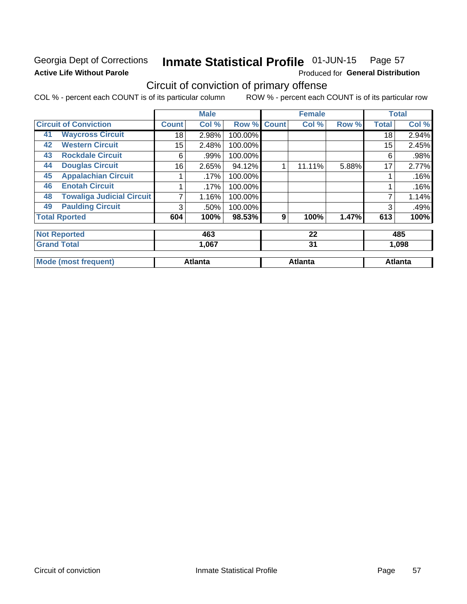## Georgia Dept of Corrections **Active Life Without Parole**

#### Inmate Statistical Profile 01-JUN-15 Page 57

Produced for General Distribution

## Circuit of conviction of primary offense

COL % - percent each COUNT is of its particular column ROW % - percent each COUNT is of its particular row

|    |                                  |                 | <b>Male</b>    |         |              | <b>Female</b>  |       |              | <b>Total</b>   |
|----|----------------------------------|-----------------|----------------|---------|--------------|----------------|-------|--------------|----------------|
|    | <b>Circuit of Conviction</b>     | <b>Count</b>    | Col %          | Row %   | <b>Count</b> | Col %          | Row % | <b>Total</b> | Col %          |
| 41 | <b>Waycross Circuit</b>          | 18              | 2.98%          | 100.00% |              |                |       | 18           | 2.94%          |
| 42 | <b>Western Circuit</b>           | 15 <sub>2</sub> | 2.48%          | 100.00% |              |                |       | 15           | 2.45%          |
| 43 | <b>Rockdale Circuit</b>          | 6               | .99%           | 100.00% |              |                |       | 6            | .98%           |
| 44 | <b>Douglas Circuit</b>           | 16              | 2.65%          | 94.12%  | 1            | 11.11%         | 5.88% | 17           | 2.77%          |
| 45 | <b>Appalachian Circuit</b>       |                 | .17%           | 100.00% |              |                |       |              | .16%           |
| 46 | <b>Enotah Circuit</b>            |                 | .17%           | 100.00% |              |                |       |              | .16%           |
| 48 | <b>Towaliga Judicial Circuit</b> | 7               | 1.16%          | 100.00% |              |                |       | 7            | 1.14%          |
| 49 | <b>Paulding Circuit</b>          | 3               | .50%           | 100.00% |              |                |       | 3            | .49%           |
|    | <b>Total Rported</b>             | 604             | 100%           | 98.53%  | 9            | 100%           | 1.47% | 613          | 100%           |
|    | <b>Not Reported</b>              |                 | 463            |         |              | 22             |       |              | 485            |
|    | <b>Grand Total</b>               |                 | 1,067          |         |              | 31             |       |              | 1,098          |
|    | <b>Mode (most frequent)</b>      |                 | <b>Atlanta</b> |         |              | <b>Atlanta</b> |       |              | <b>Atlanta</b> |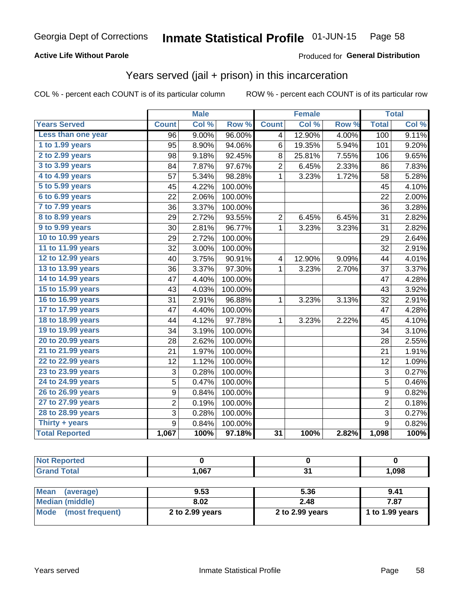## **Active Life Without Parole**

### Produced for General Distribution

## Years served (jail + prison) in this incarceration

COL % - percent each COUNT is of its particular column

|                       |                | <b>Male</b> |         |                 | <b>Female</b> |       |                | <b>Total</b> |
|-----------------------|----------------|-------------|---------|-----------------|---------------|-------|----------------|--------------|
| <b>Years Served</b>   | <b>Count</b>   | Col %       | Row %   | <b>Count</b>    | Col %         | Row % | <b>Total</b>   | Col %        |
| Less than one year    | 96             | 9.00%       | 96.00%  | 4               | 12.90%        | 4.00% | 100            | 9.11%        |
| 1 to 1.99 years       | 95             | 8.90%       | 94.06%  | 6               | 19.35%        | 5.94% | 101            | 9.20%        |
| 2 to 2.99 years       | 98             | 9.18%       | 92.45%  | 8               | 25.81%        | 7.55% | 106            | 9.65%        |
| 3 to 3.99 years       | 84             | 7.87%       | 97.67%  | $\overline{2}$  | 6.45%         | 2.33% | 86             | 7.83%        |
| 4 to 4.99 years       | 57             | 5.34%       | 98.28%  | $\mathbf 1$     | 3.23%         | 1.72% | 58             | 5.28%        |
| 5 to 5.99 years       | 45             | 4.22%       | 100.00% |                 |               |       | 45             | 4.10%        |
| 6 to 6.99 years       | 22             | 2.06%       | 100.00% |                 |               |       | 22             | 2.00%        |
| 7 to 7.99 years       | 36             | 3.37%       | 100.00% |                 |               |       | 36             | 3.28%        |
| 8 to 8.99 years       | 29             | 2.72%       | 93.55%  | $\overline{c}$  | 6.45%         | 6.45% | 31             | 2.82%        |
| 9 to 9.99 years       | 30             | 2.81%       | 96.77%  | $\mathbf{1}$    | 3.23%         | 3.23% | 31             | 2.82%        |
| 10 to 10.99 years     | 29             | 2.72%       | 100.00% |                 |               |       | 29             | 2.64%        |
| 11 to 11.99 years     | 32             | 3.00%       | 100.00% |                 |               |       | 32             | 2.91%        |
| 12 to 12.99 years     | 40             | 3.75%       | 90.91%  | 4               | 12.90%        | 9.09% | 44             | 4.01%        |
| 13 to 13.99 years     | 36             | 3.37%       | 97.30%  | 1               | 3.23%         | 2.70% | 37             | 3.37%        |
| 14 to 14.99 years     | 47             | 4.40%       | 100.00% |                 |               |       | 47             | 4.28%        |
| 15 to 15.99 years     | 43             | 4.03%       | 100.00% |                 |               |       | 43             | 3.92%        |
| 16 to 16.99 years     | 31             | 2.91%       | 96.88%  | 1               | 3.23%         | 3.13% | 32             | 2.91%        |
| 17 to 17.99 years     | 47             | 4.40%       | 100.00% |                 |               |       | 47             | 4.28%        |
| 18 to 18.99 years     | 44             | 4.12%       | 97.78%  | 1               | 3.23%         | 2.22% | 45             | 4.10%        |
| 19 to 19.99 years     | 34             | 3.19%       | 100.00% |                 |               |       | 34             | 3.10%        |
| 20 to 20.99 years     | 28             | 2.62%       | 100.00% |                 |               |       | 28             | 2.55%        |
| 21 to 21.99 years     | 21             | 1.97%       | 100.00% |                 |               |       | 21             | 1.91%        |
| 22 to 22.99 years     | 12             | 1.12%       | 100.00% |                 |               |       | 12             | 1.09%        |
| 23 to 23.99 years     | 3              | 0.28%       | 100.00% |                 |               |       | 3              | 0.27%        |
| 24 to 24.99 years     | 5              | 0.47%       | 100.00% |                 |               |       | 5              | 0.46%        |
| 26 to 26.99 years     | 9              | 0.84%       | 100.00% |                 |               |       | 9              | 0.82%        |
| 27 to 27.99 years     | $\overline{2}$ | 0.19%       | 100.00% |                 |               |       | $\overline{2}$ | 0.18%        |
| 28 to 28.99 years     | 3              | 0.28%       | 100.00% |                 |               |       | 3              | 0.27%        |
| Thirty + years        | 9              | 0.84%       | 100.00% |                 |               |       | $\overline{9}$ | 0.82%        |
| <b>Total Reported</b> | 1,067          | 100%        | 97.18%  | $\overline{31}$ | 100%          | 2.82% | 1,098          | 100%         |

| <b>Not Reported</b> |       |   |       |
|---------------------|-------|---|-------|
| <b>Grand Total</b>  | 1,067 | ູ | 800,1 |
|                     |       |   |       |

| Mean (average)         | 9.53              | 5.36              | 9.41            |
|------------------------|-------------------|-------------------|-----------------|
| <b>Median (middle)</b> | 8.02              | 2.48              | 7.87            |
| Mode (most frequent)   | 2 to $2.99$ years | 2 to $2.99$ years | 1 to 1.99 years |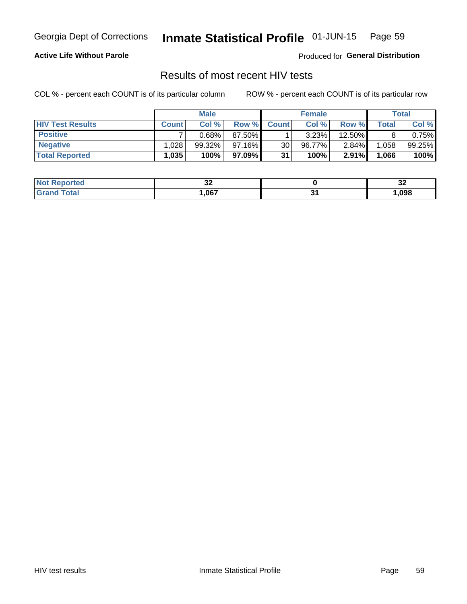#### Inmate Statistical Profile 01-JUN-15 Page 59

## **Active Life Without Parole**

Produced for General Distribution

## Results of most recent HIV tests

COL % - percent each COUNT is of its particular column

|                         | <b>Male</b>  |           |           | <b>Female</b> |        |          | Total |        |
|-------------------------|--------------|-----------|-----------|---------------|--------|----------|-------|--------|
| <b>HIV Test Results</b> | <b>Count</b> | Col%      | Row %     | <b>Count</b>  | Col %  | Row %    | Total | Col %  |
| <b>Positive</b>         |              | 0.68%     | 87.50%    |               | 3.23%  | 12.50%   |       | 0.75%  |
| <b>Negative</b>         | .028         | $99.32\%$ | $97.16\%$ | 30            | 96.77% | $2.84\%$ | 1,058 | 99.25% |
| <b>Total Reported</b>   | .035         | 100%      | 97.09%    | 31            | 100%   | 2.91%    | 1,066 | 100%   |

| <b>Not Reported</b> | ~<br>◡▵ |    | . .<br>◡▵ |
|---------------------|---------|----|-----------|
| <b>Total</b>        | .067    | п. | ,098      |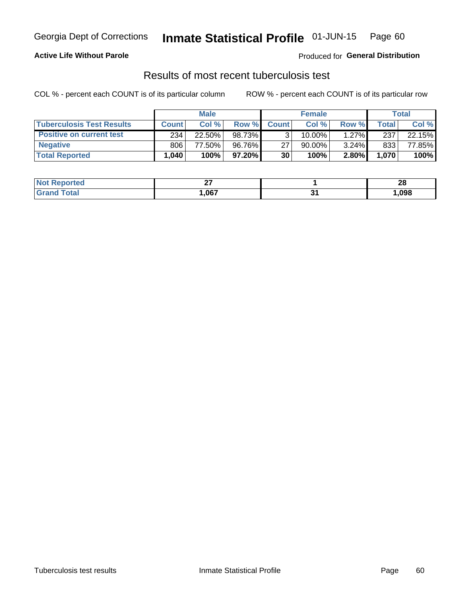## **Active Life Without Parole**

Produced for General Distribution

## Results of most recent tuberculosis test

COL % - percent each COUNT is of its particular column

|                                  | <b>Male</b>  |        |           | <b>Female</b> |        |          | Total |        |
|----------------------------------|--------------|--------|-----------|---------------|--------|----------|-------|--------|
| <b>Tuberculosis Test Results</b> | <b>Count</b> | Col%   | Row %I    | <b>Count</b>  | Col %  | Row %    | Total | Col %  |
| <b>Positive on current test</b>  | 234          | 22.50% | 98.73%    |               | 10.00% | $1.27\%$ | 237   | 22.15% |
| <b>Negative</b>                  | 806          | 77.50% | 96.76%    | 27            | 90.00% | $3.24\%$ | 833   | 77.85% |
| <b>Total Reported</b>            | .040         | 100%   | $97.20\%$ | 30            | 100%   | 2.80%    | 1,070 | 100%   |

| <b>Not Reported</b>     | ~-<br>-- |              | ົ<br>ZС |
|-------------------------|----------|--------------|---------|
| <b>Total</b><br>. Grori | .067     | ∼.<br>$\sim$ | ,098    |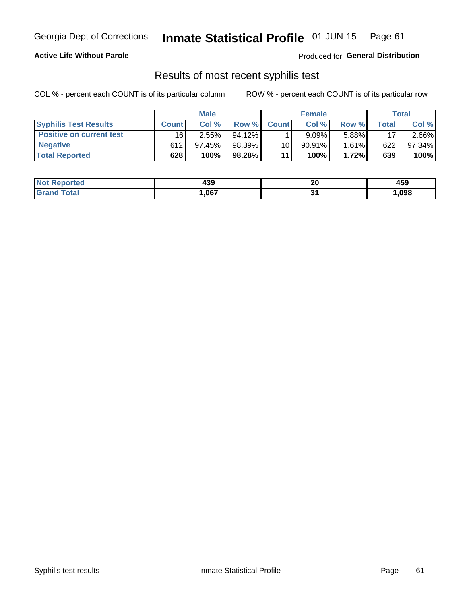## Georgia Dept of Corrections **Inmate Statistical Profile** 01-JUN-15 Page 61

## **Active Life Without Parole**

Produced for **General Distribution**

## Results of most recent syphilis test

COL % - percent each COUNT is of its particular column ROW % - percent each COUNT is of its particular row

|                                 | <b>Male</b>  |           |           | <b>Female</b> |           |        | Total       |        |
|---------------------------------|--------------|-----------|-----------|---------------|-----------|--------|-------------|--------|
| <b>Syphilis Test Results</b>    | <b>Count</b> | Col%      | Row %     | <b>Count</b>  | Col %     | Row %I | $\tau$ otal | Col %  |
| <b>Positive on current test</b> | 16           | $2.55\%$  | $94.12\%$ |               | 9.09%     | 5.88%  | 17          | 2.66%  |
| <b>Negative</b>                 | 612          | $97.45\%$ | 98.39%    | 10            | $90.91\%$ | 1.61%  | 622         | 97.34% |
| <b>Total Reported</b>           | 628          | 100%      | 98.28%    | 11            | 100%      | 1.72%  | 639         | 100%   |

| <b>Not Reported</b> | 439  | 00<br>Zu | 459  |
|---------------------|------|----------|------|
| <b>Grand Total</b>  | ,067 | . .<br>. | ,098 |